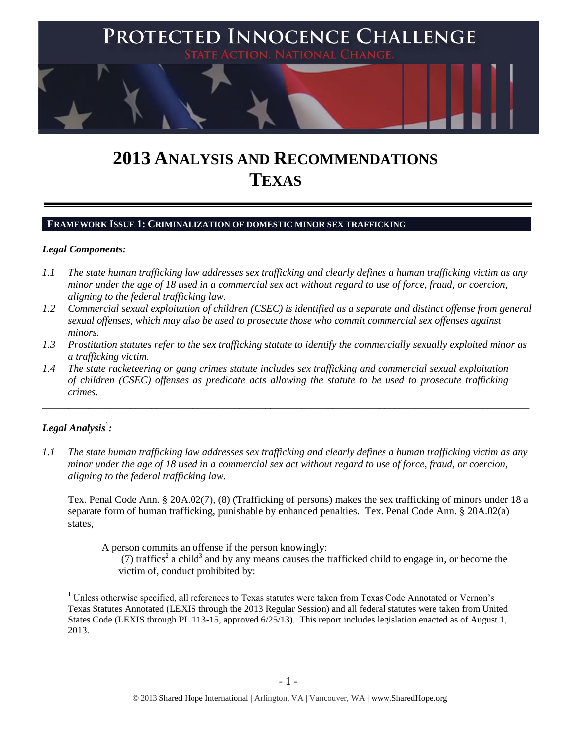

# **2013 ANALYSIS AND RECOMMENDATIONS TEXAS**

## **FRAMEWORK ISSUE 1: CRIMINALIZATION OF DOMESTIC MINOR SEX TRAFFICKING**

#### *Legal Components:*

- *1.1 The state human trafficking law addresses sex trafficking and clearly defines a human trafficking victim as any minor under the age of 18 used in a commercial sex act without regard to use of force, fraud, or coercion, aligning to the federal trafficking law.*
- *1.2 Commercial sexual exploitation of children (CSEC) is identified as a separate and distinct offense from general sexual offenses, which may also be used to prosecute those who commit commercial sex offenses against minors.*
- *1.3 Prostitution statutes refer to the sex trafficking statute to identify the commercially sexually exploited minor as a trafficking victim.*

\_\_\_\_\_\_\_\_\_\_\_\_\_\_\_\_\_\_\_\_\_\_\_\_\_\_\_\_\_\_\_\_\_\_\_\_\_\_\_\_\_\_\_\_\_\_\_\_\_\_\_\_\_\_\_\_\_\_\_\_\_\_\_\_\_\_\_\_\_\_\_\_\_\_\_\_\_\_\_\_\_\_\_\_\_\_\_\_\_\_\_\_\_\_

*1.4 The state racketeering or gang crimes statute includes sex trafficking and commercial sexual exploitation of children (CSEC) offenses as predicate acts allowing the statute to be used to prosecute trafficking crimes.* 

# $\bm{L}$ egal Analysis $^1$ :

 $\overline{a}$ 

*1.1 The state human trafficking law addresses sex trafficking and clearly defines a human trafficking victim as any minor under the age of 18 used in a commercial sex act without regard to use of force, fraud, or coercion, aligning to the federal trafficking law.*

Tex. Penal Code Ann. § 20A.02(7), (8) (Trafficking of persons) makes the sex trafficking of minors under 18 a separate form of human trafficking, punishable by enhanced penalties. Tex. Penal Code Ann. § 20A.02(a) states,

A person commits an offense if the person knowingly:

(7) traffics<sup>2</sup> a child<sup>3</sup> and by any means causes the trafficked child to engage in, or become the victim of, conduct prohibited by:

<sup>&</sup>lt;sup>1</sup> Unless otherwise specified, all references to Texas statutes were taken from Texas Code Annotated or Vernon's Texas Statutes Annotated (LEXIS through the 2013 Regular Session) and all federal statutes were taken from United States Code (LEXIS through PL 113-15, approved 6/25/13). This report includes legislation enacted as of August 1, 2013.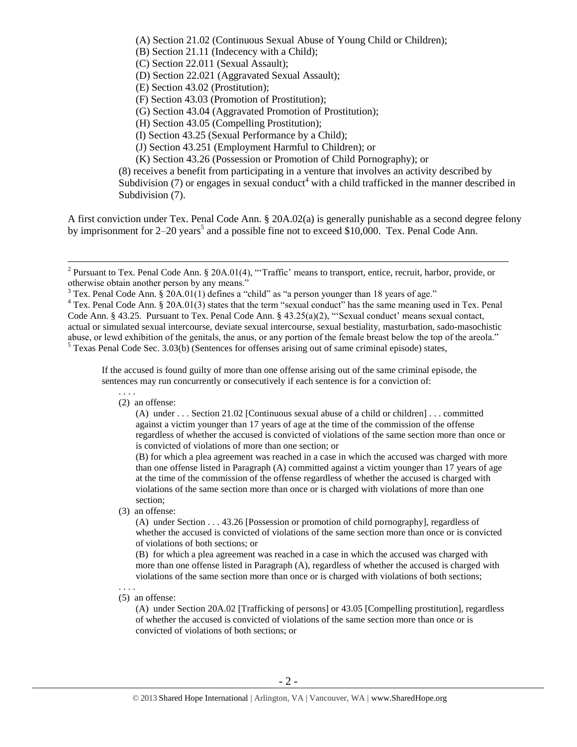<span id="page-1-1"></span>(A) Section 21.02 (Continuous Sexual Abuse of Young Child or Children); (B) Section 21.11 (Indecency with a Child); (C) Section 22.011 (Sexual Assault); (D) Section 22.021 (Aggravated Sexual Assault); (E) Section 43.02 (Prostitution); (F) Section 43.03 (Promotion of Prostitution); (G) Section 43.04 (Aggravated Promotion of Prostitution); (H) Section 43.05 (Compelling Prostitution); (I) Section 43.25 (Sexual Performance by a Child); (J) Section 43.251 (Employment Harmful to Children); or (K) Section 43.26 (Possession or Promotion of Child Pornography); or (8) receives a benefit from participating in a venture that involves an activity described by Subdivision (7) or engages in sexual conduct<sup>4</sup> with a child trafficked in the manner described in Subdivision (7).

<span id="page-1-0"></span>A first conviction under Tex. Penal Code Ann. § 20A.02(a) is generally punishable as a second degree felony by imprisonment for  $2-20$  years<sup>5</sup> and a possible fine not to exceed \$10,000. Tex. Penal Code Ann.

If the accused is found guilty of more than one offense arising out of the same criminal episode, the sentences may run concurrently or consecutively if each sentence is for a conviction of:

(2) an offense:

(A) under . . . Section 21.02 [Continuous sexual abuse of a child or children] . . . committed against a victim younger than 17 years of age at the time of the commission of the offense regardless of whether the accused is convicted of violations of the same section more than once or is convicted of violations of more than one section; or

(B) for which a plea agreement was reached in a case in which the accused was charged with more than one offense listed in Paragraph (A) committed against a victim younger than 17 years of age at the time of the commission of the offense regardless of whether the accused is charged with violations of the same section more than once or is charged with violations of more than one section;

(3) an offense:

(A) under Section . . . 43.26 [Possession or promotion of child pornography], regardless of whether the accused is convicted of violations of the same section more than once or is convicted of violations of both sections; or

(B) for which a plea agreement was reached in a case in which the accused was charged with more than one offense listed in Paragraph (A), regardless of whether the accused is charged with violations of the same section more than once or is charged with violations of both sections;

. . . . (5) an offense:

> (A) under Section 20A.02 [Trafficking of persons] or 43.05 [Compelling prostitution], regardless of whether the accused is convicted of violations of the same section more than once or is convicted of violations of both sections; or

<sup>&</sup>lt;sup>2</sup> Pursuant to Tex. Penal Code Ann. § 20A.01(4), "Traffic' means to transport, entice, recruit, harbor, provide, or otherwise obtain another person by any means."

 $3$  Tex. Penal Code Ann.  $\frac{20A.01(1)}{2}$  defines a "child" as "a person younger than 18 years of age."

<sup>&</sup>lt;sup>4</sup> Tex. Penal Code Ann. § 20A.01(3) states that the term "sexual conduct" has the same meaning used in Tex. Penal Code Ann. § 43.25. Pursuant to Tex. Penal Code Ann. § 43.25(a)(2), "'Sexual conduct' means sexual contact, actual or simulated sexual intercourse, deviate sexual intercourse, sexual bestiality, masturbation, sado-masochistic abuse, or lewd exhibition of the genitals, the anus, or any portion of the female breast below the top of the areola." <sup>5</sup> Texas Penal Code Sec. 3.03(b) (Sentences for offenses arising out of same criminal episode) states,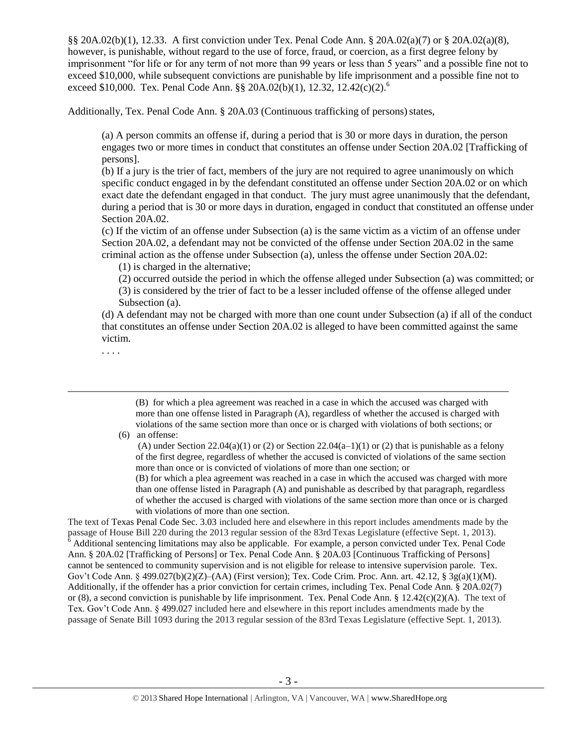§§ 20A.02(b)(1), 12.33. A first conviction under Tex. Penal Code Ann. § 20A.02(a)(7) or § 20A.02(a)(8), however, is punishable, without regard to the use of force, fraud, or coercion, as a first degree felony by imprisonment "for life or for any term of not more than 99 years or less than 5 years" and a possible fine not to exceed \$10,000, while subsequent convictions are punishable by life imprisonment and a possible fine not to exceed \$10,000. Tex. Penal Code Ann. §§ 20A.02(b)(1), 12.32, 12.42(c)(2).<sup>6</sup>

Additionally, Tex. Penal Code Ann. § 20A.03 (Continuous trafficking of persons) states,

<span id="page-2-0"></span>(a) A person commits an offense if, during a period that is 30 or more days in duration, the person engages two or more times in conduct that constitutes an offense under Section 20A.02 [Trafficking of persons].

(b) If a jury is the trier of fact, members of the jury are not required to agree unanimously on which specific conduct engaged in by the defendant constituted an offense under Section 20A.02 or on which exact date the defendant engaged in that conduct. The jury must agree unanimously that the defendant, during a period that is 30 or more days in duration, engaged in conduct that constituted an offense under Section 20A.02.

(c) If the victim of an offense under Subsection (a) is the same victim as a victim of an offense under Section 20A.02, a defendant may not be convicted of the offense under Section 20A.02 in the same criminal action as the offense under Subsection (a), unless the offense under Section 20A.02:

(1) is charged in the alternative;

(2) occurred outside the period in which the offense alleged under Subsection (a) was committed; or (3) is considered by the trier of fact to be a lesser included offense of the offense alleged under Subsection (a).

(d) A defendant may not be charged with more than one count under Subsection (a) if all of the conduct that constitutes an offense under Section 20A.02 is alleged to have been committed against the same victim.

. . . .

 $\overline{a}$ 

(B) for which a plea agreement was reached in a case in which the accused was charged with more than one offense listed in Paragraph (A), regardless of whether the accused is charged with violations of the same section more than once or is charged with violations of both sections; or

(6) an offense:

(B) for which a plea agreement was reached in a case in which the accused was charged with more than one offense listed in Paragraph (A) and punishable as described by that paragraph, regardless of whether the accused is charged with violations of the same section more than once or is charged with violations of more than one section.

The text of Texas Penal Code Sec. 3.03 included here and elsewhere in this report includes amendments made by the passage of House Bill 220 during the 2013 regular session of the 83rd Texas Legislature (effective Sept. 1, 2013).  $6$  Additional sentencing limitations may also be applicable. For example, a person convicted under Tex. Penal Code Ann. § 20A.02 [Trafficking of Persons] or Tex. Penal Code Ann. § 20A.03 [Continuous Trafficking of Persons] cannot be sentenced to community supervision and is not eligible for release to intensive supervision parole. Tex. Gov't Code Ann. § 499.027(b)(2)(Z)–(AA) (First version); Tex. Code Crim. Proc. Ann. art. 42.12, §  $\frac{3g(a)(1)(M)}{2}$ . Additionally, if the offender has a prior conviction for certain crimes, including Tex. Penal Code Ann. § 20A.02(7) or (8), a second conviction is punishable by life imprisonment. Tex. Penal Code Ann. § 12.42(c)(2)(A). The text of Tex. Gov't Code Ann. § 499.027 included here and elsewhere in this report includes amendments made by the passage of Senate Bill 1093 during the 2013 regular session of the 83rd Texas Legislature (effective Sept. 1, 2013).

<sup>(</sup>A) under Section 22.04(a)(1) or (2) or Section 22.04(a–1)(1) or (2) that is punishable as a felony of the first degree, regardless of whether the accused is convicted of violations of the same section more than once or is convicted of violations of more than one section; or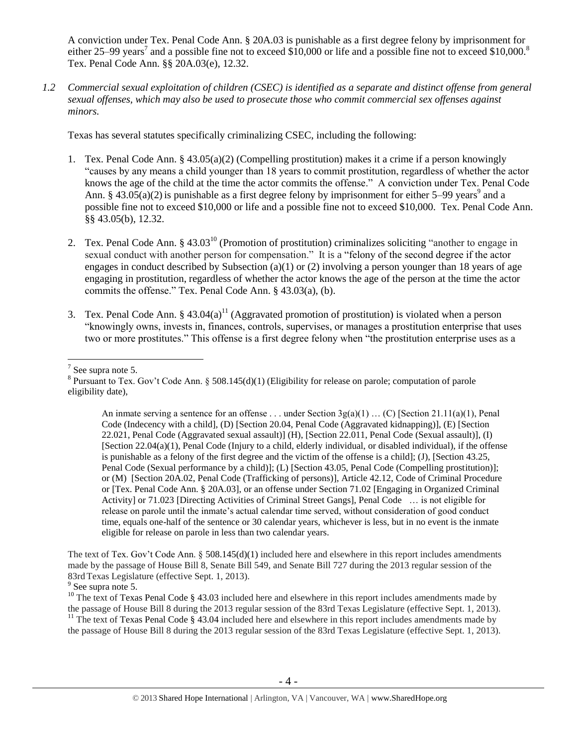<span id="page-3-0"></span>A conviction under Tex. Penal Code Ann. § 20A.03 is punishable as a first degree felony by imprisonment for either 25–99 years<sup>7</sup> and a possible fine not to exceed \$10,000 or life and a possible fine not to exceed \$10,000.<sup>8</sup> Tex. Penal Code Ann. §§ 20A.03(e), 12.32.

*1.2 Commercial sexual exploitation of children (CSEC) is identified as a separate and distinct offense from general sexual offenses, which may also be used to prosecute those who commit commercial sex offenses against minors.*

Texas has several statutes specifically criminalizing CSEC, including the following:

- 1. Tex. Penal Code Ann. § 43.05(a)(2) (Compelling prostitution) makes it a crime if a person knowingly "causes by any means a child younger than 18 years to commit prostitution, regardless of whether the actor knows the age of the child at the time the actor commits the offense." A conviction under Tex. Penal Code Ann. § 43.05(a)(2) is punishable as a first degree felony by imprisonment for either 5–99 years<sup>9</sup> and a possible fine not to exceed \$10,000 or life and a possible fine not to exceed \$10,000. Tex. Penal Code Ann. §§ 43.05(b), 12.32.
- 2. Tex. Penal Code Ann. § 43.03<sup>10</sup> (Promotion of prostitution) criminalizes soliciting "another to engage in sexual conduct with another person for compensation." It is a "felony of the second degree if the actor engages in conduct described by Subsection (a)(1) or (2) involving a person younger than 18 years of age engaging in prostitution, regardless of whether the actor knows the age of the person at the time the actor commits the offense." Tex. Penal Code Ann. § 43.03(a), (b).
- 3. Tex. Penal Code Ann. § 43.04(a)<sup>11</sup> (Aggravated promotion of prostitution) is violated when a person "knowingly owns, invests in, finances, controls, supervises, or manages a prostitution enterprise that uses two or more prostitutes." This offense is a first degree felony when "the prostitution enterprise uses as a

 $\overline{a}$ 

An inmate serving a sentence for an offense . . . under Section  $3g(a)(1)$  ... (C) [Section 21.11(a)(1), Penal Code (Indecency with a child], (D) [Section 20.04, Penal Code (Aggravated kidnapping)], (E) [Section 22.021, Penal Code (Aggravated sexual assault)] (H), [Section 22.011, Penal Code (Sexual assault)], (I) [Section 22.04(a)(1), Penal Code (Injury to a child, elderly individual, or disabled individual), if the offense is punishable as a felony of the first degree and the victim of the offense is a child]; (J), [Section 43.25, Penal Code (Sexual performance by a child)]; (L) [Section 43.05, Penal Code (Compelling prostitution)]; or (M) [Section 20A.02, Penal Code (Trafficking of persons)], Article 42.12, Code of Criminal Procedure or [Tex. Penal Code Ann. § 20A.03], or an offense under Section 71.02 [Engaging in Organized Criminal Activity] or 71.023 [Directing Activities of Criminal Street Gangs], Penal Code … is not eligible for release on parole until the inmate's actual calendar time served, without consideration of good conduct time, equals one-half of the sentence or 30 calendar years, whichever is less, but in no event is the inmate eligible for release on parole in less than two calendar years.

The text of Tex. Gov't Code Ann. § 508.145(d)(1) included here and elsewhere in this report includes amendments made by the passage of House Bill 8, Senate Bill 549, and Senate Bill 727 during the 2013 regular session of the 83rd Texas Legislature (effective Sept. 1, 2013).

<sup>9</sup> See supra note [5.](#page-1-0)

 $7$  See supra note [5.](#page-1-0)

<sup>&</sup>lt;sup>8</sup> Pursuant to Tex. Gov't Code Ann. § 508.145(d)(1) (Eligibility for release on parole; computation of parole eligibility date),

<sup>&</sup>lt;sup>10</sup> The text of Texas Penal Code § 43.03 included here and elsewhere in this report includes amendments made by the passage of House Bill 8 during the 2013 regular session of the 83rd Texas Legislature (effective Sept. 1, 2013). <sup>11</sup> The text of Texas Penal Code  $\S$  43.04 included here and elsewhere in this report includes amendments made by the passage of House Bill 8 during the 2013 regular session of the 83rd Texas Legislature (effective Sept. 1, 2013).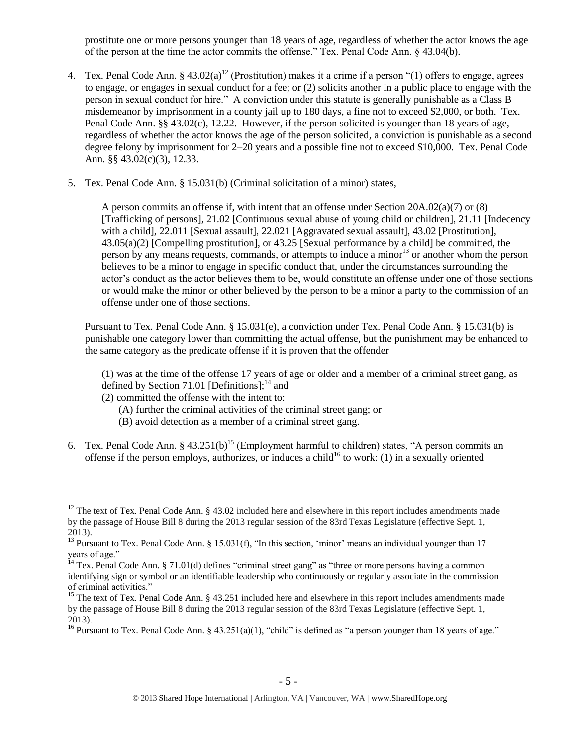<span id="page-4-0"></span>prostitute one or more persons younger than 18 years of age, regardless of whether the actor knows the age of the person at the time the actor commits the offense." Tex. Penal Code Ann. § 43.04(b).

- 4. Tex. Penal Code Ann. §  $43.02(a)^{12}$  (Prostitution) makes it a crime if a person "(1) offers to engage, agrees to engage, or engages in sexual conduct for a fee; or (2) solicits another in a public place to engage with the person in sexual conduct for hire." A conviction under this statute is generally punishable as a Class B misdemeanor by imprisonment in a county jail up to 180 days, a fine not to exceed \$2,000, or both. Tex. Penal Code Ann. §§ 43.02(c), 12.22. However, if the person solicited is younger than 18 years of age, regardless of whether the actor knows the age of the person solicited, a conviction is punishable as a second degree felony by imprisonment for 2–20 years and a possible fine not to exceed \$10,000. Tex. Penal Code Ann. §§ 43.02(c)(3), 12.33.
- 5. Tex. Penal Code Ann. § 15.031(b) (Criminal solicitation of a minor) states,

<span id="page-4-2"></span>A person commits an offense if, with intent that an offense under Section 20A.02(a)(7) or (8) [Trafficking of persons], 21.02 [Continuous sexual abuse of young child or children], 21.11 [Indecency with a child], 22.011 [Sexual assault], 22.021 [Aggravated sexual assault], 43.02 [Prostitution], 43.05(a)(2) [Compelling prostitution], or 43.25 [Sexual performance by a child] be committed, the person by any means requests, commands, or attempts to induce a minor<sup>13</sup> or another whom the person believes to be a minor to engage in specific conduct that, under the circumstances surrounding the actor's conduct as the actor believes them to be, would constitute an offense under one of those sections or would make the minor or other believed by the person to be a minor a party to the commission of an offense under one of those sections.

Pursuant to Tex. Penal Code Ann. § 15.031(e), a conviction under Tex. Penal Code Ann. § 15.031(b) is punishable one category lower than committing the actual offense, but the punishment may be enhanced to the same category as the predicate offense if it is proven that the offender

(1) was at the time of the offense 17 years of age or older and a member of a criminal street gang, as defined by Section 71.01 [Definitions]: $^{14}$  and

(2) committed the offense with the intent to:

- <span id="page-4-1"></span>(A) further the criminal activities of the criminal street gang; or
- <span id="page-4-3"></span>(B) avoid detection as a member of a criminal street gang.
- 6. Tex. Penal Code Ann. §  $43.251(b)^{15}$  (Employment harmful to children) states, "A person commits an offense if the person employs, authorizes, or induces a child<sup>16</sup> to work: (1) in a sexually oriented

<sup>&</sup>lt;sup>12</sup> The text of Tex. Penal Code Ann.  $\S$  43.02 included here and elsewhere in this report includes amendments made by the passage of House Bill 8 during the 2013 regular session of the 83rd Texas Legislature (effective Sept. 1, 2013).

<sup>&</sup>lt;sup>13</sup> Pursuant to Tex. Penal Code Ann. § 15.031(f), "In this section, 'minor' means an individual younger than 17 years of age."

 $14$  Tex. Penal Code Ann. § 71.01(d) defines "criminal street gang" as "three or more persons having a common identifying sign or symbol or an identifiable leadership who continuously or regularly associate in the commission of criminal activities."

<sup>&</sup>lt;sup>15</sup> The text of Tex. Penal Code Ann. § 43.251 included here and elsewhere in this report includes amendments made by the passage of House Bill 8 during the 2013 regular session of the 83rd Texas Legislature (effective Sept. 1, 2013).

<sup>&</sup>lt;sup>16</sup> Pursuant to Tex. Penal Code Ann. § 43.251(a)(1), "child" is defined as "a person younger than 18 years of age."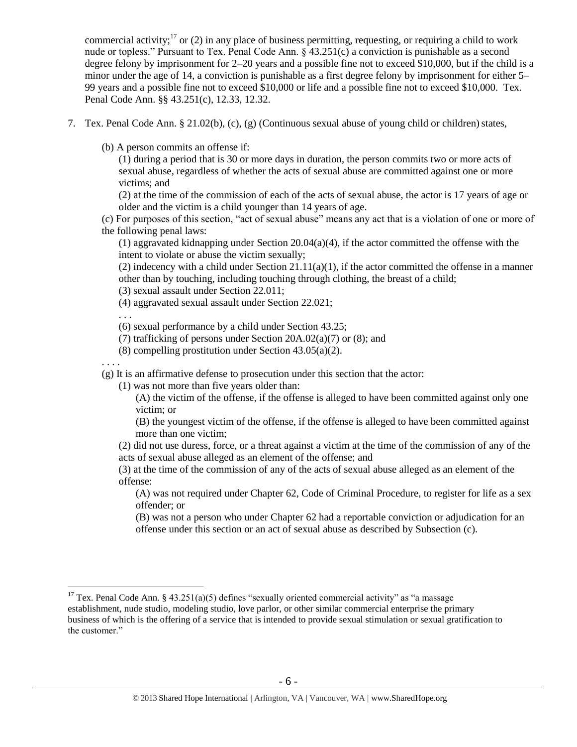commercial activity;<sup>17</sup> or (2) in any place of business permitting, requesting, or requiring a child to work nude or topless." Pursuant to Tex. Penal Code Ann. § 43.251(c) a conviction is punishable as a second degree felony by imprisonment for 2–20 years and a possible fine not to exceed \$10,000, but if the child is a minor under the age of 14, a conviction is punishable as a first degree felony by imprisonment for either 5– 99 years and a possible fine not to exceed \$10,000 or life and a possible fine not to exceed \$10,000. Tex. Penal Code Ann. §§ 43.251(c), 12.33, 12.32.

- 7. Tex. Penal Code Ann. § 21.02(b), (c), (g) (Continuous sexual abuse of young child or children) states,
	- (b) A person commits an offense if:

(1) during a period that is 30 or more days in duration, the person commits two or more acts of sexual abuse, regardless of whether the acts of sexual abuse are committed against one or more victims; and

(2) at the time of the commission of each of the acts of sexual abuse, the actor is 17 years of age or older and the victim is a child younger than 14 years of age.

(c) For purposes of this section, "act of sexual abuse" means any act that is a violation of one or more of the following penal laws:

(1) aggravated kidnapping under Section 20.04(a)(4), if the actor committed the offense with the intent to violate or abuse the victim sexually;

(2) indecency with a child under Section  $21.11(a)(1)$ , if the actor committed the offense in a manner other than by touching, including touching through clothing, the breast of a child;

(3) sexual assault under Section 22.011;

(4) aggravated sexual assault under Section 22.021;

. . .

(6) sexual performance by a child under Section 43.25;

- (7) trafficking of persons under Section 20A.02(a)(7) or (8); and
- (8) compelling prostitution under Section 43.05(a)(2).

. . . .

 $\overline{a}$ 

(g) It is an affirmative defense to prosecution under this section that the actor:

(1) was not more than five years older than:

(A) the victim of the offense, if the offense is alleged to have been committed against only one victim; or

(B) the youngest victim of the offense, if the offense is alleged to have been committed against more than one victim;

(2) did not use duress, force, or a threat against a victim at the time of the commission of any of the acts of sexual abuse alleged as an element of the offense; and

(3) at the time of the commission of any of the acts of sexual abuse alleged as an element of the offense:

(A) was not required under Chapter 62, Code of Criminal Procedure, to register for life as a sex offender; or

(B) was not a person who under Chapter 62 had a reportable conviction or adjudication for an offense under this section or an act of sexual abuse as described by Subsection (c).

<sup>&</sup>lt;sup>17</sup> Tex. Penal Code Ann. § 43.251(a)(5) defines "sexually oriented commercial activity" as "a massage establishment, nude studio, modeling studio, love parlor, or other similar commercial enterprise the primary business of which is the offering of a service that is intended to provide sexual stimulation or sexual gratification to the customer."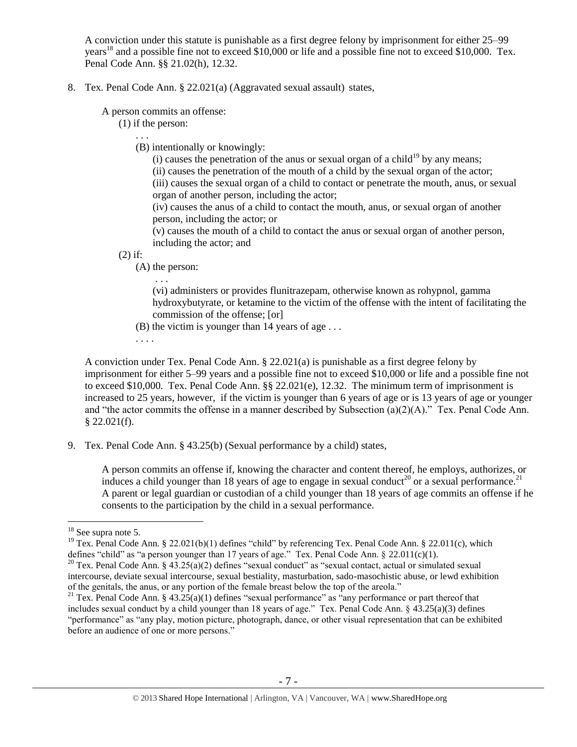A conviction under this statute is punishable as a first degree felony by imprisonment for either 25–99 years<sup>18</sup> and a possible fine not to exceed \$10,000 or life and a possible fine not to exceed \$10,000. Tex. Penal Code Ann. §§ 21.02(h), 12.32.

8. Tex. Penal Code Ann. § 22.021(a) (Aggravated sexual assault) states,

A person commits an offense:

(1) if the person:

. . .

(B) intentionally or knowingly:

(i) causes the penetration of the anus or sexual organ of a child<sup>19</sup> by any means;

(ii) causes the penetration of the mouth of a child by the sexual organ of the actor;

(iii) causes the sexual organ of a child to contact or penetrate the mouth, anus, or sexual organ of another person, including the actor;

(iv) causes the anus of a child to contact the mouth, anus, or sexual organ of another person, including the actor; or

(v) causes the mouth of a child to contact the anus or sexual organ of another person, including the actor; and

(2) if:

(A) the person:

. . .

(vi) administers or provides flunitrazepam, otherwise known as rohypnol, gamma hydroxybutyrate, or ketamine to the victim of the offense with the intent of facilitating the commission of the offense; [or]

(B) the victim is younger than 14 years of age . . .

<span id="page-6-1"></span>. . . .

A conviction under Tex. Penal Code Ann. § 22.021(a) is punishable as a first degree felony by imprisonment for either 5–99 years and a possible fine not to exceed \$10,000 or life and a possible fine not to exceed \$10,000. Tex. Penal Code Ann. §§ 22.021(e), 12.32. The minimum term of imprisonment is increased to 25 years, however, if the victim is younger than 6 years of age or is 13 years of age or younger and "the actor commits the offense in a manner described by Subsection (a)(2)(A)." Tex. Penal Code Ann.  $$22.021(f).$ 

9. Tex. Penal Code Ann. § 43.25(b) (Sexual performance by a child) states,

<span id="page-6-0"></span>A person commits an offense if, knowing the character and content thereof, he employs, authorizes, or induces a child younger than 18 years of age to engage in sexual conduct<sup>20</sup> or a sexual performance.<sup>21</sup> A parent or legal guardian or custodian of a child younger than 18 years of age commits an offense if he consents to the participation by the child in a sexual performance.

 $\overline{a}$ 

<sup>19</sup> Tex. Penal Code Ann. § 22.021(b)(1) defines "child" by referencing Tex. Penal Code Ann. § 22.011(c), which defines "child" as "a person younger than 17 years of age." Tex. Penal Code Ann.  $\S$  22.011(c)(1).

 $18$  See supra note [5.](#page-1-0)

 $^{20}$  Tex. Penal Code Ann. § 43.25(a)(2) defines "sexual conduct" as "sexual contact, actual or simulated sexual intercourse, deviate sexual intercourse, sexual bestiality, masturbation, sado-masochistic abuse, or lewd exhibition of the genitals, the anus, or any portion of the female breast below the top of the areola."

<sup>&</sup>lt;sup>21</sup> Tex. Penal Code Ann. § 43.25(a)(1) defines "sexual performance" as "any performance or part thereof that includes sexual conduct by a child younger than 18 years of age." Tex. Penal Code Ann. § 43.25(a)(3) defines "performance" as "any play, motion picture, photograph, dance, or other visual representation that can be exhibited before an audience of one or more persons."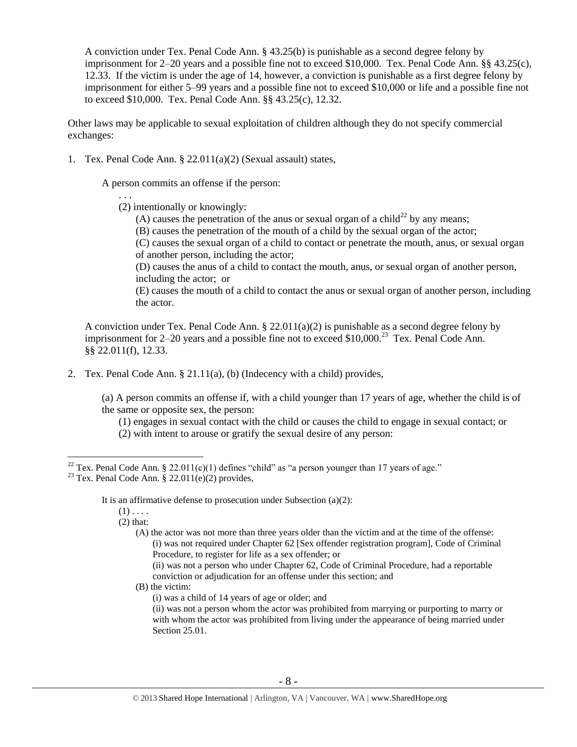A conviction under Tex. Penal Code Ann. § 43.25(b) is punishable as a second degree felony by imprisonment for 2–20 years and a possible fine not to exceed \$10,000. Tex. Penal Code Ann. §§ 43.25(c), 12.33. If the victim is under the age of 14, however, a conviction is punishable as a first degree felony by imprisonment for either 5–99 years and a possible fine not to exceed \$10,000 or life and a possible fine not to exceed \$10,000. Tex. Penal Code Ann. §§ 43.25(c), 12.32.

Other laws may be applicable to sexual exploitation of children although they do not specify commercial exchanges:

1. Tex. Penal Code Ann. § 22.011(a)(2) (Sexual assault) states,

A person commits an offense if the person:

. . . (2) intentionally or knowingly:

- (A) causes the penetration of the anus or sexual organ of a child<sup>22</sup> by any means;
- (B) causes the penetration of the mouth of a child by the sexual organ of the actor;

(C) causes the sexual organ of a child to contact or penetrate the mouth, anus, or sexual organ of another person, including the actor;

(D) causes the anus of a child to contact the mouth, anus, or sexual organ of another person, including the actor; or

(E) causes the mouth of a child to contact the anus or sexual organ of another person, including the actor.

A conviction under Tex. Penal Code Ann. § 22.011(a)(2) is punishable as a second degree felony by imprisonment for 2–20 years and a possible fine not to exceed \$10,000.<sup>23</sup> Tex. Penal Code Ann. §§ 22.011(f), 12.33.

2. Tex. Penal Code Ann. § 21.11(a), (b) (Indecency with a child) provides,

(a) A person commits an offense if, with a child younger than 17 years of age, whether the child is of the same or opposite sex, the person:

(1) engages in sexual contact with the child or causes the child to engage in sexual contact; or (2) with intent to arouse or gratify the sexual desire of any person:

It is an affirmative defense to prosecution under Subsection (a)(2):

 $(1)$ ...

 $\overline{a}$ 

(2) that:

(A) the actor was not more than three years older than the victim and at the time of the offense: (i) was not required under Chapter 62 [Sex offender registration program], Code of Criminal Procedure, to register for life as a sex offender; or

(ii) was not a person who under Chapter 62, Code of Criminal Procedure, had a reportable conviction or adjudication for an offense under this section; and

(B) the victim:

(i) was a child of 14 years of age or older; and

<sup>&</sup>lt;sup>22</sup> Tex. Penal Code Ann. § 22.011(c)(1) defines "child" as "a person younger than 17 years of age."

<sup>&</sup>lt;sup>23</sup> Tex. Penal Code Ann. § 22.011(e)(2) provides,

<sup>(</sup>ii) was not a person whom the actor was prohibited from marrying or purporting to marry or with whom the actor was prohibited from living under the appearance of being married under Section 25.01.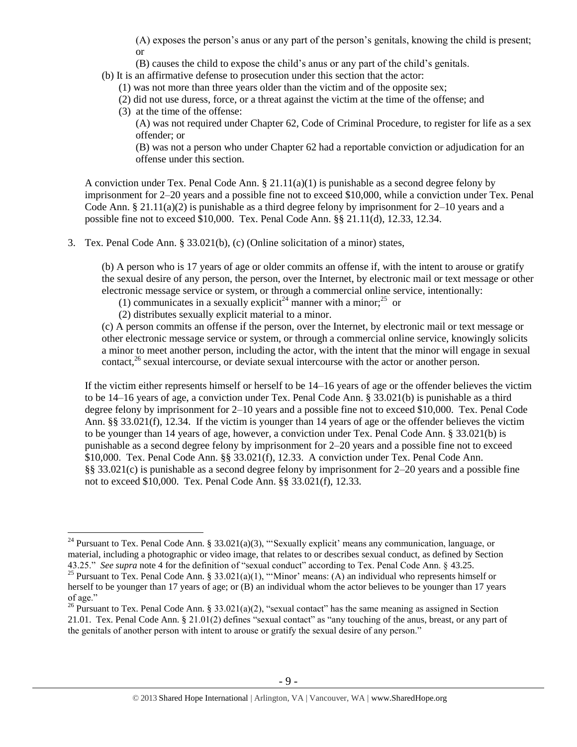(A) exposes the person's anus or any part of the person's genitals, knowing the child is present; or

- (B) causes the child to expose the child's anus or any part of the child's genitals.
- (b) It is an affirmative defense to prosecution under this section that the actor:
	- (1) was not more than three years older than the victim and of the opposite sex;
	- (2) did not use duress, force, or a threat against the victim at the time of the offense; and
	- (3) at the time of the offense:

 $\overline{a}$ 

(A) was not required under Chapter 62, Code of Criminal Procedure, to register for life as a sex offender; or

(B) was not a person who under Chapter 62 had a reportable conviction or adjudication for an offense under this section.

A conviction under Tex. Penal Code Ann.  $\S 21.11(a)(1)$  is punishable as a second degree felony by imprisonment for 2–20 years and a possible fine not to exceed \$10,000, while a conviction under Tex. Penal Code Ann. § 21.11(a)(2) is punishable as a third degree felony by imprisonment for  $2-10$  years and a possible fine not to exceed \$10,000. Tex. Penal Code Ann. §§ 21.11(d), 12.33, 12.34.

3. Tex. Penal Code Ann. § 33.021(b), (c) (Online solicitation of a minor) states,

(b) A person who is 17 years of age or older commits an offense if, with the intent to arouse or gratify the sexual desire of any person, the person, over the Internet, by electronic mail or text message or other electronic message service or system, or through a commercial online service, intentionally:

<span id="page-8-1"></span><span id="page-8-0"></span>(1) communicates in a sexually explicit<sup>24</sup> manner with a minor;<sup>25</sup> or

(2) distributes sexually explicit material to a minor.

<span id="page-8-2"></span>(c) A person commits an offense if the person, over the Internet, by electronic mail or text message or other electronic message service or system, or through a commercial online service, knowingly solicits a minor to meet another person, including the actor, with the intent that the minor will engage in sexual contact, $^{26}$  sexual intercourse, or deviate sexual intercourse with the actor or another person.

If the victim either represents himself or herself to be 14–16 years of age or the offender believes the victim to be 14–16 years of age, a conviction under Tex. Penal Code Ann. § 33.021(b) is punishable as a third degree felony by imprisonment for 2–10 years and a possible fine not to exceed \$10,000. Tex. Penal Code Ann. §§ 33.021(f), 12.34. If the victim is younger than 14 years of age or the offender believes the victim to be younger than 14 years of age, however, a conviction under Tex. Penal Code Ann. § 33.021(b) is punishable as a second degree felony by imprisonment for 2–20 years and a possible fine not to exceed \$10,000. Tex. Penal Code Ann. §§ 33.021(f), 12.33. A conviction under Tex. Penal Code Ann. §§ 33.021(c) is punishable as a second degree felony by imprisonment for 2–20 years and a possible fine not to exceed \$10,000. Tex. Penal Code Ann. §§ 33.021(f), 12.33.

<sup>&</sup>lt;sup>24</sup> Pursuant to Tex. Penal Code Ann. § 33.021(a)(3), "'Sexually explicit' means any communication, language, or material, including a photographic or video image, that relates to or describes sexual conduct, as defined by Section 43.25." *See supra* note [4](#page-1-1) for the definition of "sexual conduct" according to Tex. Penal Code Ann. § 43.25.

<sup>&</sup>lt;sup>25</sup> Pursuant to Tex. Penal Code Ann. § 33.021(a)(1), "'Minor' means: (A) an individual who represents himself or herself to be younger than 17 years of age; or (B) an individual whom the actor believes to be younger than 17 years of age."

<sup>&</sup>lt;sup>26</sup> Pursuant to Tex. Penal Code Ann. § 33.021(a)(2), "sexual contact" has the same meaning as assigned in Section 21.01. Tex. Penal Code Ann. § 21.01(2) defines "sexual contact" as "any touching of the anus, breast, or any part of the genitals of another person with intent to arouse or gratify the sexual desire of any person."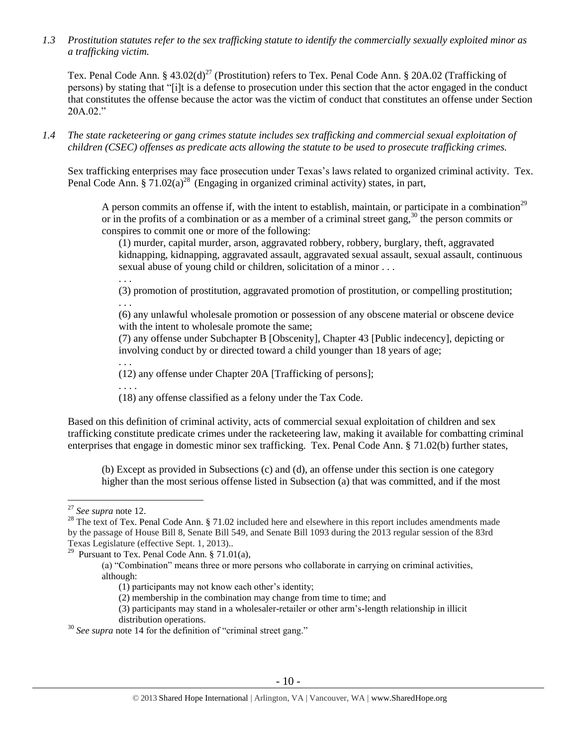*1.3 Prostitution statutes refer to the sex trafficking statute to identify the commercially sexually exploited minor as a trafficking victim.* 

Tex. Penal Code Ann. § 43.02(d)<sup>27</sup> (Prostitution) refers to Tex. Penal Code Ann. § 20A.02 (Trafficking of persons) by stating that "[i]t is a defense to prosecution under this section that the actor engaged in the conduct that constitutes the offense because the actor was the victim of conduct that constitutes an offense under Section 20A.02."

*1.4 The state racketeering or gang crimes statute includes sex trafficking and commercial sexual exploitation of children (CSEC) offenses as predicate acts allowing the statute to be used to prosecute trafficking crimes.* 

Sex trafficking enterprises may face prosecution under Texas's laws related to organized criminal activity. Tex. Penal Code Ann. § 71.02(a)<sup>28</sup> (Engaging in organized criminal activity) states, in part,

<span id="page-9-0"></span>A person commits an offense if, with the intent to establish, maintain, or participate in a combination<sup>29</sup> or in the profits of a combination or as a member of a criminal street gang,  $30$  the person commits or conspires to commit one or more of the following:

<span id="page-9-1"></span>(1) murder, capital murder, arson, aggravated robbery, robbery, burglary, theft, aggravated kidnapping, kidnapping, aggravated assault, aggravated sexual assault, sexual assault, continuous sexual abuse of young child or children, solicitation of a minor . . .

. . .

. . .

(3) promotion of prostitution, aggravated promotion of prostitution, or compelling prostitution; . . .

(6) any unlawful wholesale promotion or possession of any obscene material or obscene device with the intent to wholesale promote the same;

(7) any offense under Subchapter B [Obscenity], Chapter 43 [Public indecency], depicting or involving conduct by or directed toward a child younger than 18 years of age;

(12) any offense under Chapter 20A [Trafficking of persons];

. . . . (18) any offense classified as a felony under the Tax Code.

Based on this definition of criminal activity, acts of commercial sexual exploitation of children and sex trafficking constitute predicate crimes under the racketeering law, making it available for combatting criminal enterprises that engage in domestic minor sex trafficking. Tex. Penal Code Ann. § 71.02(b) further states,

(b) Except as provided in Subsections (c) and (d), an offense under this section is one category higher than the most serious offense listed in Subsection (a) that was committed, and if the most

<sup>27</sup> *See supra* note [12.](#page-4-0)

<sup>&</sup>lt;sup>28</sup> The text of Tex. Penal Code Ann. § 71.02 included here and elsewhere in this report includes amendments made by the passage of House Bill 8, Senate Bill 549, and Senate Bill 1093 during the 2013 regular session of the 83rd Texas Legislature (effective Sept. 1, 2013)..

<sup>&</sup>lt;sup>29</sup> Pursuant to Tex. Penal Code Ann.  $§ 71.01(a)$ ,

<sup>(</sup>a) "Combination" means three or more persons who collaborate in carrying on criminal activities, although:

<sup>(1)</sup> participants may not know each other's identity;

<sup>(2)</sup> membership in the combination may change from time to time; and

<sup>(3)</sup> participants may stand in a wholesaler-retailer or other arm's-length relationship in illicit distribution operations.

<sup>&</sup>lt;sup>30</sup> *See supra* note [14](#page-4-1) for the definition of "criminal street gang."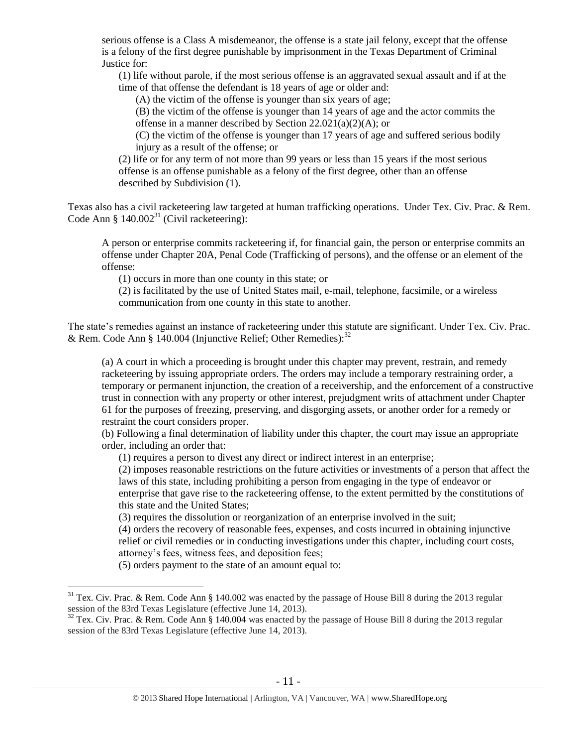serious offense is a Class A misdemeanor, the offense is a state jail felony, except that the offense is a felony of the first degree punishable by imprisonment in the Texas Department of Criminal Justice for:

(1) life without parole, if the most serious offense is an aggravated sexual assault and if at the time of that offense the defendant is 18 years of age or older and:

(A) the victim of the offense is younger than six years of age;

(B) the victim of the offense is younger than 14 years of age and the actor commits the offense in a manner described by Section 22.021(a)(2)(A); or

(C) the victim of the offense is younger than 17 years of age and suffered serious bodily injury as a result of the offense; or

(2) life or for any term of not more than 99 years or less than 15 years if the most serious offense is an offense punishable as a felony of the first degree, other than an offense described by Subdivision (1).

Texas also has a civil racketeering law targeted at human trafficking operations. Under Tex. Civ. Prac. & Rem. Code Ann §  $140.002^{31}$  (Civil racketeering):

A person or enterprise commits racketeering if, for financial gain, the person or enterprise commits an offense under Chapter 20A, Penal Code (Trafficking of persons), and the offense or an element of the offense:

(1) occurs in more than one county in this state; or

(2) is facilitated by the use of United States mail, e-mail, telephone, facsimile, or a wireless communication from one county in this state to another.

The state's remedies against an instance of racketeering under this statute are significant. Under Tex. Civ. Prac. & Rem. Code Ann § 140.004 (Injunctive Relief; Other Remedies): $32$ 

(a) A court in which a proceeding is brought under this chapter may prevent, restrain, and remedy racketeering by issuing appropriate orders. The orders may include a temporary restraining order, a temporary or permanent injunction, the creation of a receivership, and the enforcement of a constructive trust in connection with any property or other interest, prejudgment writs of attachment under Chapter 61 for the purposes of freezing, preserving, and disgorging assets, or another order for a remedy or restraint the court considers proper.

(b) Following a final determination of liability under this chapter, the court may issue an appropriate order, including an order that:

(1) requires a person to divest any direct or indirect interest in an enterprise;

(2) imposes reasonable restrictions on the future activities or investments of a person that affect the laws of this state, including prohibiting a person from engaging in the type of endeavor or enterprise that gave rise to the racketeering offense, to the extent permitted by the constitutions of this state and the United States;

(3) requires the dissolution or reorganization of an enterprise involved in the suit;

(4) orders the recovery of reasonable fees, expenses, and costs incurred in obtaining injunctive relief or civil remedies or in conducting investigations under this chapter, including court costs, attorney's fees, witness fees, and deposition fees;

(5) orders payment to the state of an amount equal to:

 $31$  Tex. Civ. Prac. & Rem. Code Ann § 140.002 was enacted by the passage of House Bill 8 during the 2013 regular session of the 83rd Texas Legislature (effective June 14, 2013).

 $32$  Tex. Civ. Prac. & Rem. Code Ann § 140.004 was enacted by the passage of House Bill 8 during the 2013 regular session of the 83rd Texas Legislature (effective June 14, 2013).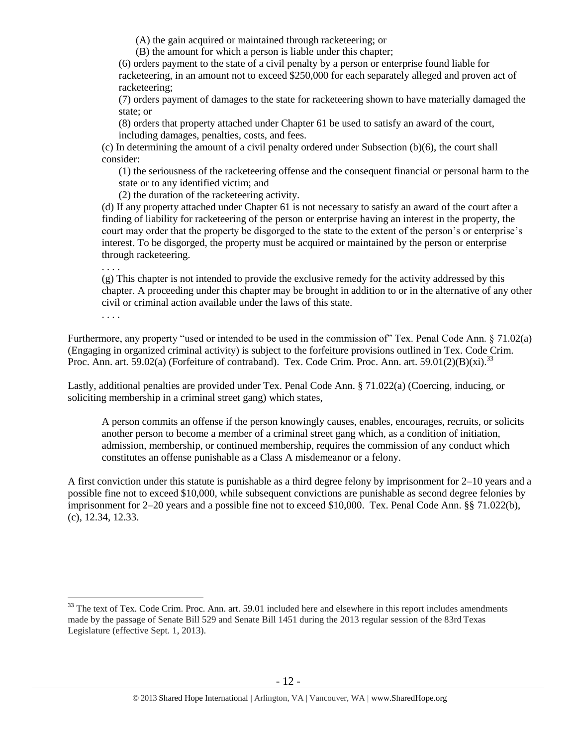(A) the gain acquired or maintained through racketeering; or

(B) the amount for which a person is liable under this chapter;

(6) orders payment to the state of a civil penalty by a person or enterprise found liable for racketeering, in an amount not to exceed \$250,000 for each separately alleged and proven act of racketeering;

(7) orders payment of damages to the state for racketeering shown to have materially damaged the state; or

(8) orders that property attached under Chapter 61 be used to satisfy an award of the court, including damages, penalties, costs, and fees.

(c) In determining the amount of a civil penalty ordered under Subsection (b)(6), the court shall consider:

(1) the seriousness of the racketeering offense and the consequent financial or personal harm to the state or to any identified victim; and

(2) the duration of the racketeering activity.

(d) If any property attached under Chapter 61 is not necessary to satisfy an award of the court after a finding of liability for racketeering of the person or enterprise having an interest in the property, the court may order that the property be disgorged to the state to the extent of the person's or enterprise's interest. To be disgorged, the property must be acquired or maintained by the person or enterprise through racketeering.

. . . .

(g) This chapter is not intended to provide the exclusive remedy for the activity addressed by this chapter. A proceeding under this chapter may be brought in addition to or in the alternative of any other civil or criminal action available under the laws of this state.

<span id="page-11-0"></span>. . . .

 $\overline{a}$ 

Furthermore, any property "used or intended to be used in the commission of" Tex. Penal Code Ann. § 71.02(a) (Engaging in organized criminal activity) is subject to the forfeiture provisions outlined in Tex. Code Crim. Proc. Ann. art. 59.02(a) (Forfeiture of contraband). Tex. Code Crim. Proc. Ann. art. 59.01(2)(B)(xi).<sup>33</sup>

Lastly, additional penalties are provided under Tex. Penal Code Ann. § 71.022(a) (Coercing, inducing, or soliciting membership in a criminal street gang) which states,

A person commits an offense if the person knowingly causes, enables, encourages, recruits, or solicits another person to become a member of a criminal street gang which, as a condition of initiation, admission, membership, or continued membership, requires the commission of any conduct which constitutes an offense punishable as a Class A misdemeanor or a felony.

A first conviction under this statute is punishable as a third degree felony by imprisonment for 2–10 years and a possible fine not to exceed \$10,000, while subsequent convictions are punishable as second degree felonies by imprisonment for 2–20 years and a possible fine not to exceed \$10,000. Tex. Penal Code Ann. §§ 71.022(b), (c), 12.34, 12.33.

 $33$  The text of Tex. Code Crim. Proc. Ann. art. 59.01 included here and elsewhere in this report includes amendments made by the passage of Senate Bill 529 and Senate Bill 1451 during the 2013 regular session of the 83rd Texas Legislature (effective Sept. 1, 2013).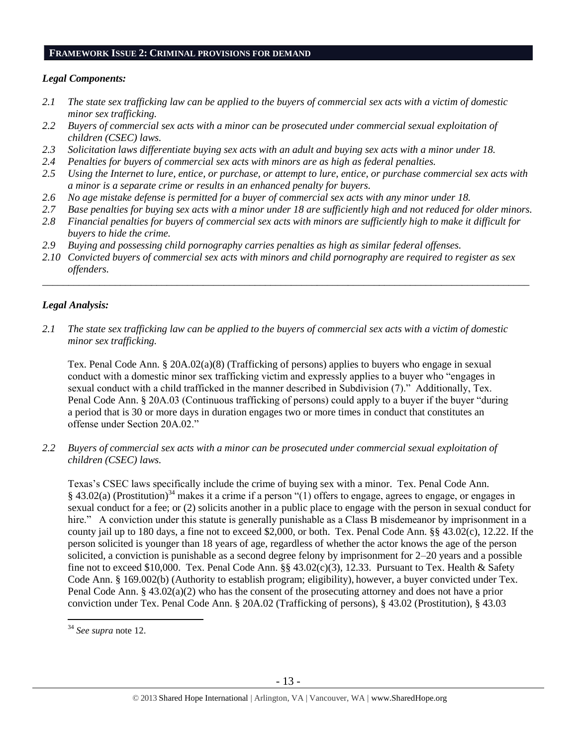#### **FRAMEWORK ISSUE 2: CRIMINAL PROVISIONS FOR DEMAND**

#### *Legal Components:*

- *2.1 The state sex trafficking law can be applied to the buyers of commercial sex acts with a victim of domestic minor sex trafficking.*
- *2.2 Buyers of commercial sex acts with a minor can be prosecuted under commercial sexual exploitation of children (CSEC) laws.*
- *2.3 Solicitation laws differentiate buying sex acts with an adult and buying sex acts with a minor under 18.*
- *2.4 Penalties for buyers of commercial sex acts with minors are as high as federal penalties.*
- *2.5 Using the Internet to lure, entice, or purchase, or attempt to lure, entice, or purchase commercial sex acts with a minor is a separate crime or results in an enhanced penalty for buyers.*
- *2.6 No age mistake defense is permitted for a buyer of commercial sex acts with any minor under 18.*
- *2.7 Base penalties for buying sex acts with a minor under 18 are sufficiently high and not reduced for older minors.*
- *2.8 Financial penalties for buyers of commercial sex acts with minors are sufficiently high to make it difficult for buyers to hide the crime.*
- *2.9 Buying and possessing child pornography carries penalties as high as similar federal offenses.*
- *2.10 Convicted buyers of commercial sex acts with minors and child pornography are required to register as sex offenders.*

\_\_\_\_\_\_\_\_\_\_\_\_\_\_\_\_\_\_\_\_\_\_\_\_\_\_\_\_\_\_\_\_\_\_\_\_\_\_\_\_\_\_\_\_\_\_\_\_\_\_\_\_\_\_\_\_\_\_\_\_\_\_\_\_\_\_\_\_\_\_\_\_\_\_\_\_\_\_\_\_\_\_\_\_\_\_\_\_\_\_\_\_\_\_

#### *Legal Analysis:*

*2.1 The state sex trafficking law can be applied to the buyers of commercial sex acts with a victim of domestic minor sex trafficking.*

Tex. Penal Code Ann. § 20A.02(a)(8) (Trafficking of persons) applies to buyers who engage in sexual conduct with a domestic minor sex trafficking victim and expressly applies to a buyer who "engages in sexual conduct with a child trafficked in the manner described in Subdivision (7)." Additionally, Tex. Penal Code Ann. § 20A.03 (Continuous trafficking of persons) could apply to a buyer if the buyer "during a period that is 30 or more days in duration engages two or more times in conduct that constitutes an offense under Section 20A.02."

*2.2 Buyers of commercial sex acts with a minor can be prosecuted under commercial sexual exploitation of children (CSEC) laws.*

Texas's CSEC laws specifically include the crime of buying sex with a minor. Tex. Penal Code Ann. § 43.02(a) (Prostitution)<sup>34</sup> makes it a crime if a person "(1) offers to engage, agrees to engage, or engages in sexual conduct for a fee; or (2) solicits another in a public place to engage with the person in sexual conduct for hire." A conviction under this statute is generally punishable as a Class B misdemeanor by imprisonment in a county jail up to 180 days, a fine not to exceed \$2,000, or both. Tex. Penal Code Ann. §§ 43.02(c), 12.22. If the person solicited is younger than 18 years of age, regardless of whether the actor knows the age of the person solicited, a conviction is punishable as a second degree felony by imprisonment for 2–20 years and a possible fine not to exceed \$10,000. Tex. Penal Code Ann.  $\S$ § 43.02(c)(3), 12.33. Pursuant to Tex. Health & Safety Code Ann. § 169.002(b) (Authority to establish program; eligibility), however, a buyer convicted under Tex. Penal Code Ann. § 43.02(a)(2) who has the consent of the prosecuting attorney and does not have a prior conviction under Tex. Penal Code Ann. § 20A.02 (Trafficking of persons), § 43.02 (Prostitution), § 43.03

 $\overline{a}$ <sup>34</sup> *See supra* note [12.](#page-4-0)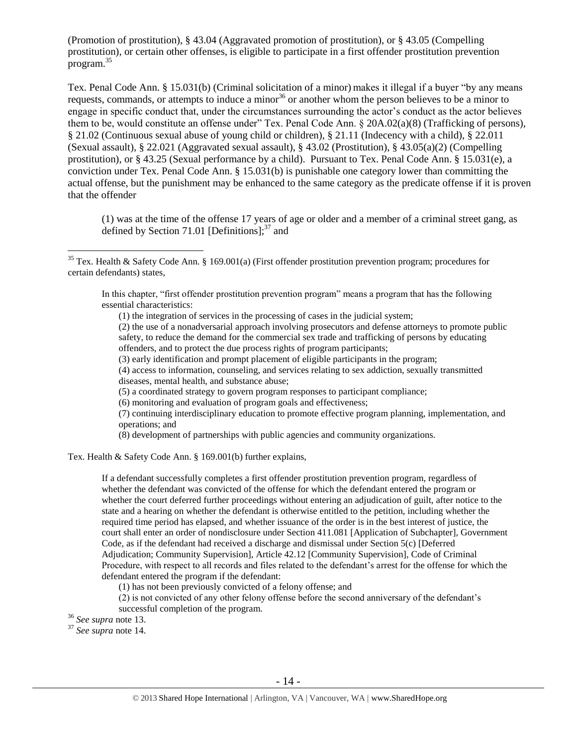(Promotion of prostitution), § 43.04 (Aggravated promotion of prostitution), or § 43.05 (Compelling prostitution), or certain other offenses, is eligible to participate in a first offender prostitution prevention program.<sup>35</sup>

Tex. Penal Code Ann. § 15.031(b) (Criminal solicitation of a minor) makes it illegal if a buyer "by any means requests, commands, or attempts to induce a minor<sup>36</sup> or another whom the person believes to be a minor to engage in specific conduct that, under the circumstances surrounding the actor's conduct as the actor believes them to be, would constitute an offense under" Tex. Penal Code Ann. § 20A.02(a)(8) (Trafficking of persons), § 21.02 (Continuous sexual abuse of young child or children), § 21.11 (Indecency with a child), § 22.011 (Sexual assault), § 22.021 (Aggravated sexual assault), § 43.02 (Prostitution), § 43.05(a)(2) (Compelling prostitution), or § 43.25 (Sexual performance by a child). Pursuant to Tex. Penal Code Ann. § 15.031(e), a conviction under Tex. Penal Code Ann. § 15.031(b) is punishable one category lower than committing the actual offense, but the punishment may be enhanced to the same category as the predicate offense if it is proven that the offender

(1) was at the time of the offense 17 years of age or older and a member of a criminal street gang, as defined by Section 71.01 [Definitions]; $37$  and

In this chapter, "first offender prostitution prevention program" means a program that has the following essential characteristics:

(1) the integration of services in the processing of cases in the judicial system;

(2) the use of a nonadversarial approach involving prosecutors and defense attorneys to promote public safety, to reduce the demand for the commercial sex trade and trafficking of persons by educating offenders, and to protect the due process rights of program participants;

(3) early identification and prompt placement of eligible participants in the program;

(4) access to information, counseling, and services relating to sex addiction, sexually transmitted diseases, mental health, and substance abuse;

- (5) a coordinated strategy to govern program responses to participant compliance;
- (6) monitoring and evaluation of program goals and effectiveness;

(7) continuing interdisciplinary education to promote effective program planning, implementation, and operations; and

(8) development of partnerships with public agencies and community organizations.

Tex. Health & Safety Code Ann. § 169.001(b) further explains,

If a defendant successfully completes a first offender prostitution prevention program, regardless of whether the defendant was convicted of the offense for which the defendant entered the program or whether the court deferred further proceedings without entering an adjudication of guilt, after notice to the state and a hearing on whether the defendant is otherwise entitled to the petition, including whether the required time period has elapsed, and whether issuance of the order is in the best interest of justice, the court shall enter an order of nondisclosure under Section 411.081 [Application of Subchapter], Government Code, as if the defendant had received a discharge and dismissal under Section 5(c) [Deferred Adjudication; Community Supervision], Article 42.12 [Community Supervision], Code of Criminal Procedure, with respect to all records and files related to the defendant's arrest for the offense for which the defendant entered the program if the defendant:

(1) has not been previously convicted of a felony offense; and

(2) is not convicted of any other felony offense before the second anniversary of the defendant's successful completion of the program.

<sup>36</sup> *See supra* note [13.](#page-4-2) 

 $\overline{a}$ 

<sup>37</sup> *See supra* note [14.](#page-4-1) 

<sup>&</sup>lt;sup>35</sup> Tex. Health & Safety Code Ann. § 169.001(a) (First offender prostitution prevention program; procedures for certain defendants) states,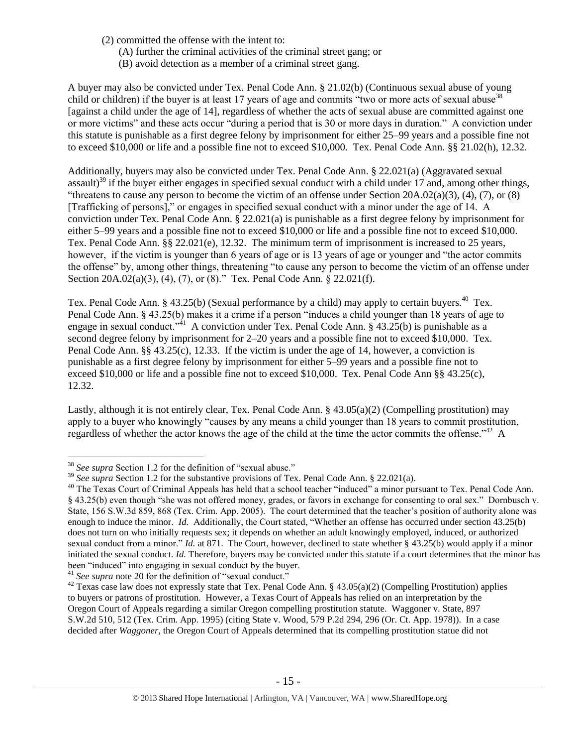- (2) committed the offense with the intent to:
	- (A) further the criminal activities of the criminal street gang; or
	- (B) avoid detection as a member of a criminal street gang.

A buyer may also be convicted under Tex. Penal Code Ann. § 21.02(b) (Continuous sexual abuse of young child or children) if the buyer is at least 17 years of age and commits "two or more acts of sexual abuse  $38$ [against a child under the age of 14], regardless of whether the acts of sexual abuse are committed against one or more victims" and these acts occur "during a period that is 30 or more days in duration." A conviction under this statute is punishable as a first degree felony by imprisonment for either 25–99 years and a possible fine not to exceed \$10,000 or life and a possible fine not to exceed \$10,000. Tex. Penal Code Ann. §§ 21.02(h), 12.32.

Additionally, buyers may also be convicted under Tex. Penal Code Ann. § 22.021(a) (Aggravated sexual assault)<sup>39</sup> if the buyer either engages in specified sexual conduct with a child under 17 and, among other things, "threatens to cause any person to become the victim of an offense under Section 20A.02(a)(3), (4), (7), or (8) [Trafficking of persons]," or engages in specified sexual conduct with a minor under the age of 14. A conviction under Tex. Penal Code Ann. § 22.021(a) is punishable as a first degree felony by imprisonment for either 5–99 years and a possible fine not to exceed \$10,000 or life and a possible fine not to exceed \$10,000. Tex. Penal Code Ann. §§ 22.021(e), 12.32. The minimum term of imprisonment is increased to 25 years, however, if the victim is younger than 6 years of age or is 13 years of age or younger and "the actor commits the offense" by, among other things, threatening "to cause any person to become the victim of an offense under Section 20A.02(a)(3), (4), (7), or (8)." Tex. Penal Code Ann. § 22.021(f).

Tex. Penal Code Ann. § 43.25(b) (Sexual performance by a child) may apply to certain buyers.<sup>40</sup> Tex. Penal Code Ann. § 43.25(b) makes it a crime if a person "induces a child younger than 18 years of age to engage in sexual conduct.<sup> $341$ </sup> A conviction under Tex. Penal Code Ann. § 43.25(b) is punishable as a second degree felony by imprisonment for 2–20 years and a possible fine not to exceed \$10,000. Tex. Penal Code Ann. §§ 43.25(c), 12.33. If the victim is under the age of 14, however, a conviction is punishable as a first degree felony by imprisonment for either 5–99 years and a possible fine not to exceed \$10,000 or life and a possible fine not to exceed \$10,000. Tex. Penal Code Ann §§ 43.25(c), 12.32.

Lastly, although it is not entirely clear, Tex. Penal Code Ann. § 43.05(a)(2) (Compelling prostitution) may apply to a buyer who knowingly "causes by any means a child younger than 18 years to commit prostitution, regardless of whether the actor knows the age of the child at the time the actor commits the offense."<sup>42</sup> A

<sup>38</sup> *See supra* Section 1.2 for the definition of "sexual abuse."

<sup>&</sup>lt;sup>39</sup> *See supra* Section 1.2 for the substantive provisions of Tex. Penal Code Ann. § 22.021(a).

<sup>&</sup>lt;sup>40</sup> The Texas Court of Criminal Appeals has held that a school teacher "induced" a minor pursuant to Tex. Penal Code Ann. § 43.25(b) even though "she was not offered money, grades, or favors in exchange for consenting to oral sex." Dornbusch v. State, 156 S.W.3d 859, 868 (Tex. Crim. App. 2005). The court determined that the teacher's position of authority alone was enough to induce the minor. *Id.* Additionally, the Court stated, "Whether an offense has occurred under section 43.25(b) does not turn on who initially requests sex; it depends on whether an adult knowingly employed, induced, or authorized sexual conduct from a minor." *Id.* at 871. The Court, however, declined to state whether § 43.25(b) would apply if a minor initiated the sexual conduct. *Id*. Therefore, buyers may be convicted under this statute if a court determines that the minor has been "induced" into engaging in sexual conduct by the buyer.

<sup>&</sup>lt;sup>41</sup> See supra note [20](#page-6-0) for the definition of "sexual conduct."

<sup>&</sup>lt;sup>42</sup> Texas case law does not expressly state that Tex. Penal Code Ann. § 43.05(a)(2) (Compelling Prostitution) applies to buyers or patrons of prostitution. However, a Texas Court of Appeals has relied on an interpretation by the Oregon Court of Appeals regarding a similar Oregon compelling prostitution statute. Waggoner v. State, 897 S.W.2d 510, 512 (Tex. Crim. App. 1995) (citing State v. Wood, 579 P.2d 294, 296 (Or. Ct. App. 1978)). In a case decided after *Waggoner*, the Oregon Court of Appeals determined that its compelling prostitution statue did not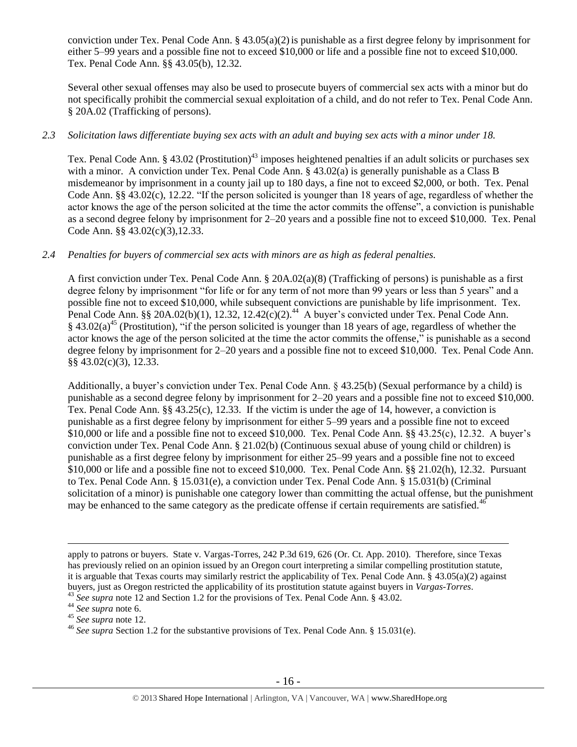conviction under Tex. Penal Code Ann.  $\S 43.05(a)(2)$  is punishable as a first degree felony by imprisonment for either 5–99 years and a possible fine not to exceed \$10,000 or life and a possible fine not to exceed \$10,000. Tex. Penal Code Ann. §§ 43.05(b), 12.32.

Several other sexual offenses may also be used to prosecute buyers of commercial sex acts with a minor but do not specifically prohibit the commercial sexual exploitation of a child, and do not refer to Tex. Penal Code Ann. § 20A.02 (Trafficking of persons).

## *2.3 Solicitation laws differentiate buying sex acts with an adult and buying sex acts with a minor under 18.*

Tex. Penal Code Ann. § 43.02 (Prostitution)<sup>43</sup> imposes heightened penalties if an adult solicits or purchases sex with a minor. A conviction under Tex. Penal Code Ann. § 43.02(a) is generally punishable as a Class B misdemeanor by imprisonment in a county jail up to 180 days, a fine not to exceed \$2,000, or both. Tex. Penal Code Ann. §§ 43.02(c), 12.22. "If the person solicited is younger than 18 years of age, regardless of whether the actor knows the age of the person solicited at the time the actor commits the offense", a conviction is punishable as a second degree felony by imprisonment for 2–20 years and a possible fine not to exceed \$10,000. Tex. Penal Code Ann. §§ 43.02(c)(3),12.33.

#### *2.4 Penalties for buyers of commercial sex acts with minors are as high as federal penalties.*

A first conviction under Tex. Penal Code Ann. § 20A.02(a)(8) (Trafficking of persons) is punishable as a first degree felony by imprisonment "for life or for any term of not more than 99 years or less than 5 years" and a possible fine not to exceed \$10,000, while subsequent convictions are punishable by life imprisonment. Tex. Penal Code Ann. §§ 20A.02(b)(1), 12.32, 12.42(c)(2).<sup>44</sup> A buyer's convicted under Tex. Penal Code Ann.  $§$  43.02(a)<sup>45</sup> (Prostitution), "if the person solicited is younger than 18 years of age, regardless of whether the actor knows the age of the person solicited at the time the actor commits the offense," is punishable as a second degree felony by imprisonment for 2–20 years and a possible fine not to exceed \$10,000. Tex. Penal Code Ann. §§ 43.02(c)(3), 12.33.

Additionally, a buyer's conviction under Tex. Penal Code Ann. § 43.25(b) (Sexual performance by a child) is punishable as a second degree felony by imprisonment for 2–20 years and a possible fine not to exceed \$10,000. Tex. Penal Code Ann. §§ 43.25(c), 12.33. If the victim is under the age of 14, however, a conviction is punishable as a first degree felony by imprisonment for either 5–99 years and a possible fine not to exceed \$10,000 or life and a possible fine not to exceed \$10,000. Tex. Penal Code Ann. §§ 43.25(c), 12.32. A buyer's conviction under Tex. Penal Code Ann. § 21.02(b) (Continuous sexual abuse of young child or children) is punishable as a first degree felony by imprisonment for either 25–99 years and a possible fine not to exceed \$10,000 or life and a possible fine not to exceed \$10,000. Tex. Penal Code Ann. §§ 21.02(h), 12.32. Pursuant to Tex. Penal Code Ann. § 15.031(e), a conviction under Tex. Penal Code Ann. § 15.031(b) (Criminal solicitation of a minor) is punishable one category lower than committing the actual offense, but the punishment may be enhanced to the same category as the predicate offense if certain requirements are satisfied.<sup>46</sup>

apply to patrons or buyers. State v. Vargas-Torres, 242 P.3d 619, 626 (Or. Ct. App. 2010). Therefore, since Texas has previously relied on an opinion issued by an Oregon court interpreting a similar compelling prostitution statute, it is arguable that Texas courts may similarly restrict the applicability of Tex. Penal Code Ann. § 43.05(a)(2) against buyers, just as Oregon restricted the applicability of its prostitution statute against buyers in *Vargas-Torres*.

<sup>&</sup>lt;sup>43</sup> See supra note [12](#page-4-0) and Section 1.2 for the provisions of Tex. Penal Code Ann. § 43.02.

<sup>44</sup> *See supra* note [6.](#page-2-0)

<sup>45</sup> *See supra* note [12.](#page-4-0)

<sup>46</sup> *See supra* Section 1.2 for the substantive provisions of Tex. Penal Code Ann. § 15.031(e).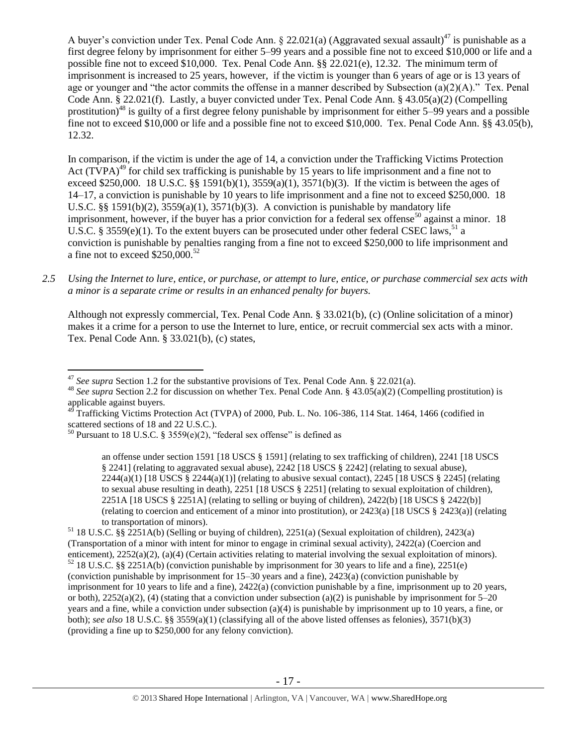A buyer's conviction under Tex. Penal Code Ann. § 22.021(a) (Aggravated sexual assault)<sup>47</sup> is punishable as a first degree felony by imprisonment for either 5–99 years and a possible fine not to exceed \$10,000 or life and a possible fine not to exceed \$10,000. Tex. Penal Code Ann. §§ 22.021(e), 12.32. The minimum term of imprisonment is increased to 25 years, however, if the victim is younger than 6 years of age or is 13 years of age or younger and "the actor commits the offense in a manner described by Subsection (a)(2)(A)." Tex. Penal Code Ann. § 22.021(f). Lastly, a buyer convicted under Tex. Penal Code Ann. § 43.05(a)(2) (Compelling prostitution)<sup>48</sup> is guilty of a first degree felony punishable by imprisonment for either 5–99 years and a possible fine not to exceed \$10,000 or life and a possible fine not to exceed \$10,000. Tex. Penal Code Ann. §§ 43.05(b), 12.32.

<span id="page-16-1"></span><span id="page-16-0"></span>In comparison, if the victim is under the age of 14, a conviction under the Trafficking Victims Protection Act  $(TVPA)^{49}$  for child sex trafficking is punishable by 15 years to life imprisonment and a fine not to exceed \$250,000. 18 U.S.C. §§ 1591(b)(1),  $3559(a)(1)$ ,  $3571(b)(3)$ . If the victim is between the ages of 14–17, a conviction is punishable by 10 years to life imprisonment and a fine not to exceed \$250,000. 18 U.S.C.  $\S$ § 1591(b)(2), 3559(a)(1), 3571(b)(3). A conviction is punishable by mandatory life imprisonment, however, if the buyer has a prior conviction for a federal sex offense<sup>50</sup> against a minor. 18 U.S.C. § 3559(e)(1). To the extent buyers can be prosecuted under other federal CSEC laws,<sup>51</sup> a conviction is punishable by penalties ranging from a fine not to exceed \$250,000 to life imprisonment and a fine not to exceed  $$250,000.<sup>52</sup>$ 

*2.5 Using the Internet to lure, entice, or purchase, or attempt to lure, entice, or purchase commercial sex acts with a minor is a separate crime or results in an enhanced penalty for buyers.*

Although not expressly commercial, Tex. Penal Code Ann. § 33.021(b), (c) (Online solicitation of a minor) makes it a crime for a person to use the Internet to lure, entice, or recruit commercial sex acts with a minor. Tex. Penal Code Ann. § 33.021(b), (c) states,

<sup>&</sup>lt;sup>47</sup> See supra Section 1.2 for the substantive provisions of Tex. Penal Code Ann. § 22.021(a).

<sup>48</sup> *See supra* Section 2.2 for discussion on whether Tex. Penal Code Ann. § 43.05(a)(2) (Compelling prostitution) is applicable against buyers.

<sup>49</sup> Trafficking Victims Protection Act (TVPA) of 2000, Pub. L. No. 106-386, 114 Stat. 1464, 1466 (codified in scattered sections of 18 and 22 U.S.C.).

<sup>&</sup>lt;sup>50</sup> Pursuant to 18 U.S.C. § 3559(e)(2), "federal sex offense" is defined as

an offense under section 1591 [18 USCS § 1591] (relating to sex trafficking of children), 2241 [18 USCS § 2241] (relating to aggravated sexual abuse), 2242 [18 USCS § 2242] (relating to sexual abuse),  $2244(a)(1)$  [18 USCS §  $2244(a)(1)$ ] (relating to abusive sexual contact),  $2245$  [18 USCS § 2245] (relating to sexual abuse resulting in death), 2251 [18 USCS § 2251] (relating to sexual exploitation of children), 2251A [18 USCS § 2251A] (relating to selling or buying of children), 2422(b) [18 USCS § 2422(b)] (relating to coercion and enticement of a minor into prostitution), or 2423(a) [18 USCS § 2423(a)] (relating to transportation of minors).

<sup>51</sup> 18 U.S.C. §§ 2251A(b) (Selling or buying of children), 2251(a) (Sexual exploitation of children), 2423(a) (Transportation of a minor with intent for minor to engage in criminal sexual activity), 2422(a) (Coercion and enticement), 2252(a)(2), (a)(4) (Certain activities relating to material involving the sexual exploitation of minors).  $52$  18 U.S.C. §§ 2251A(b) (conviction punishable by imprisonment for 30 years to life and a fine), 2251(e) (conviction punishable by imprisonment for 15–30 years and a fine), 2423(a) (conviction punishable by imprisonment for 10 years to life and a fine), 2422(a) (conviction punishable by a fine, imprisonment up to 20 years, or both),  $2252(a)(2)$ , (4) (stating that a conviction under subsection (a)(2) is punishable by imprisonment for 5–20 years and a fine, while a conviction under subsection (a)(4) is punishable by imprisonment up to 10 years, a fine, or both); *see also* 18 U.S.C. §§ 3559(a)(1) (classifying all of the above listed offenses as felonies), 3571(b)(3) (providing a fine up to \$250,000 for any felony conviction).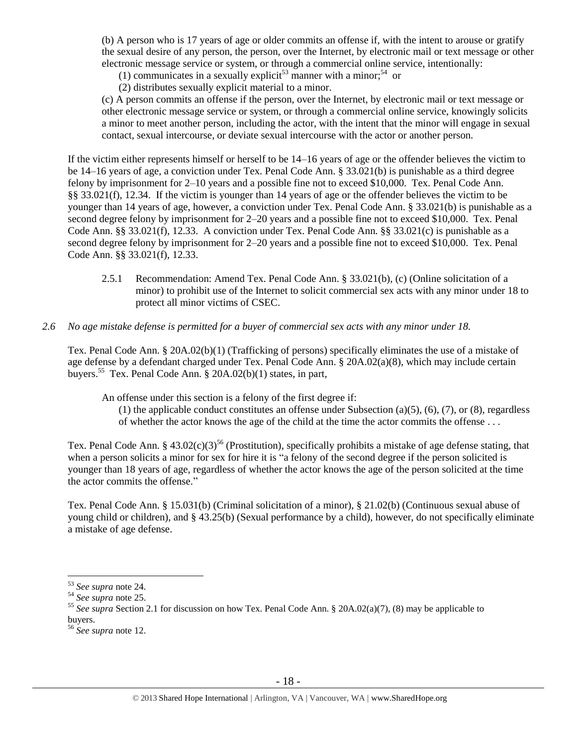(b) A person who is 17 years of age or older commits an offense if, with the intent to arouse or gratify the sexual desire of any person, the person, over the Internet, by electronic mail or text message or other electronic message service or system, or through a commercial online service, intentionally:

(1) communicates in a sexually explicit<sup>53</sup> manner with a minor;<sup>54</sup> or

(2) distributes sexually explicit material to a minor.

(c) A person commits an offense if the person, over the Internet, by electronic mail or text message or other electronic message service or system, or through a commercial online service, knowingly solicits a minor to meet another person, including the actor, with the intent that the minor will engage in sexual contact, sexual intercourse, or deviate sexual intercourse with the actor or another person.

If the victim either represents himself or herself to be 14–16 years of age or the offender believes the victim to be 14–16 years of age, a conviction under Tex. Penal Code Ann. § 33.021(b) is punishable as a third degree felony by imprisonment for 2–10 years and a possible fine not to exceed \$10,000. Tex. Penal Code Ann. §§ 33.021(f), 12.34. If the victim is younger than 14 years of age or the offender believes the victim to be younger than 14 years of age, however, a conviction under Tex. Penal Code Ann. § 33.021(b) is punishable as a second degree felony by imprisonment for 2–20 years and a possible fine not to exceed \$10,000. Tex. Penal Code Ann. §§ 33.021(f), 12.33. A conviction under Tex. Penal Code Ann. §§ 33.021(c) is punishable as a second degree felony by imprisonment for 2–20 years and a possible fine not to exceed \$10,000. Tex. Penal Code Ann. §§ 33.021(f), 12.33.

- 2.5.1 Recommendation: Amend Tex. Penal Code Ann. § 33.021(b), (c) (Online solicitation of a minor) to prohibit use of the Internet to solicit commercial sex acts with any minor under 18 to protect all minor victims of CSEC.
- *2.6 No age mistake defense is permitted for a buyer of commercial sex acts with any minor under 18.*

Tex. Penal Code Ann. § 20A.02(b)(1) (Trafficking of persons) specifically eliminates the use of a mistake of age defense by a defendant charged under Tex. Penal Code Ann. § 20A.02(a)(8), which may include certain buyers.<sup>55</sup> Tex. Penal Code Ann. § 20A.02(b)(1) states, in part,

An offense under this section is a felony of the first degree if:

(1) the applicable conduct constitutes an offense under Subsection (a)(5), (6), (7), or (8), regardless of whether the actor knows the age of the child at the time the actor commits the offense . . .

Tex. Penal Code Ann. §  $43.02(c)(3)^{56}$  (Prostitution), specifically prohibits a mistake of age defense stating, that when a person solicits a minor for sex for hire it is "a felony of the second degree if the person solicited is younger than 18 years of age, regardless of whether the actor knows the age of the person solicited at the time the actor commits the offense."

Tex. Penal Code Ann. § 15.031(b) (Criminal solicitation of a minor), § 21.02(b) (Continuous sexual abuse of young child or children), and § 43.25(b) (Sexual performance by a child), however, do not specifically eliminate a mistake of age defense.

<sup>53</sup> *See supra* note [24.](#page-8-0) 

<sup>54</sup> *See supra* note [25.](#page-8-1) 

<sup>55</sup> *See supra* Section 2.1 for discussion on how Tex. Penal Code Ann. § 20A.02(a)(7), (8) may be applicable to buyers.

<sup>56</sup> *See supra* note [12.](#page-4-0)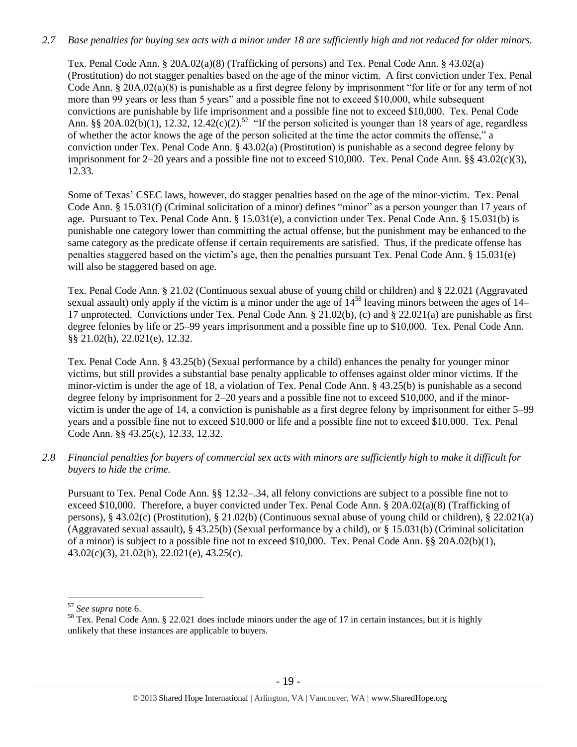## *2.7 Base penalties for buying sex acts with a minor under 18 are sufficiently high and not reduced for older minors.*

Tex. Penal Code Ann. § 20A.02(a)(8) (Trafficking of persons) and Tex. Penal Code Ann. § 43.02(a) (Prostitution) do not stagger penalties based on the age of the minor victim. A first conviction under Tex. Penal Code Ann. § 20A.02(a)(8) is punishable as a first degree felony by imprisonment "for life or for any term of not more than 99 years or less than 5 years" and a possible fine not to exceed \$10,000, while subsequent convictions are punishable by life imprisonment and a possible fine not to exceed \$10,000. Tex. Penal Code Ann. §§ 20A.02(b)(1), 12.32, 12.42(c)(2).<sup>57</sup> "If the person solicited is younger than 18 years of age, regardless of whether the actor knows the age of the person solicited at the time the actor commits the offense," a conviction under Tex. Penal Code Ann. § 43.02(a) (Prostitution) is punishable as a second degree felony by imprisonment for 2–20 years and a possible fine not to exceed \$10,000. Tex. Penal Code Ann. §§ 43.02(c)(3), 12.33.

Some of Texas' CSEC laws, however, do stagger penalties based on the age of the minor-victim. Tex. Penal Code Ann. § 15.031(f) (Criminal solicitation of a minor) defines "minor" as a person younger than 17 years of age. Pursuant to Tex. Penal Code Ann. § 15.031(e), a conviction under Tex. Penal Code Ann. § 15.031(b) is punishable one category lower than committing the actual offense, but the punishment may be enhanced to the same category as the predicate offense if certain requirements are satisfied. Thus, if the predicate offense has penalties staggered based on the victim's age, then the penalties pursuant Tex. Penal Code Ann. § 15.031(e) will also be staggered based on age.

Tex. Penal Code Ann. § 21.02 (Continuous sexual abuse of young child or children) and § 22.021 (Aggravated sexual assault) only apply if the victim is a minor under the age of  $14^{58}$  leaving minors between the ages of  $14-$ 17 unprotected. Convictions under Tex. Penal Code Ann. § 21.02(b), (c) and § 22.021(a) are punishable as first degree felonies by life or 25–99 years imprisonment and a possible fine up to \$10,000. Tex. Penal Code Ann. §§ 21.02(h), 22.021(e), 12.32.

Tex. Penal Code Ann. § 43.25(b) (Sexual performance by a child) enhances the penalty for younger minor victims, but still provides a substantial base penalty applicable to offenses against older minor victims. If the minor-victim is under the age of 18, a violation of Tex. Penal Code Ann. § 43.25(b) is punishable as a second degree felony by imprisonment for 2–20 years and a possible fine not to exceed \$10,000, and if the minorvictim is under the age of 14, a conviction is punishable as a first degree felony by imprisonment for either 5–99 years and a possible fine not to exceed \$10,000 or life and a possible fine not to exceed \$10,000. Tex. Penal Code Ann. §§ 43.25(c), 12.33, 12.32.

*2.8 Financial penalties for buyers of commercial sex acts with minors are sufficiently high to make it difficult for buyers to hide the crime.* 

Pursuant to Tex. Penal Code Ann. §§ 12.32–.34, all felony convictions are subject to a possible fine not to exceed \$10,000. Therefore, a buyer convicted under Tex. Penal Code Ann. § 20A.02(a)(8) (Trafficking of persons), § 43.02(c) (Prostitution), § 21.02(b) (Continuous sexual abuse of young child or children), § 22.021(a) (Aggravated sexual assault), § 43.25(b) (Sexual performance by a child), or § 15.031(b) (Criminal solicitation of a minor) is subject to a possible fine not to exceed \$10,000. Tex. Penal Code Ann. §§ 20A.02(b)(1), 43.02(c)(3), 21.02(h), 22.021(e), 43.25(c).

<sup>57</sup> *See supra* note [6.](#page-2-0)

<sup>&</sup>lt;sup>58</sup> Tex. Penal Code Ann. § 22.021 does include minors under the age of 17 in certain instances, but it is highly unlikely that these instances are applicable to buyers.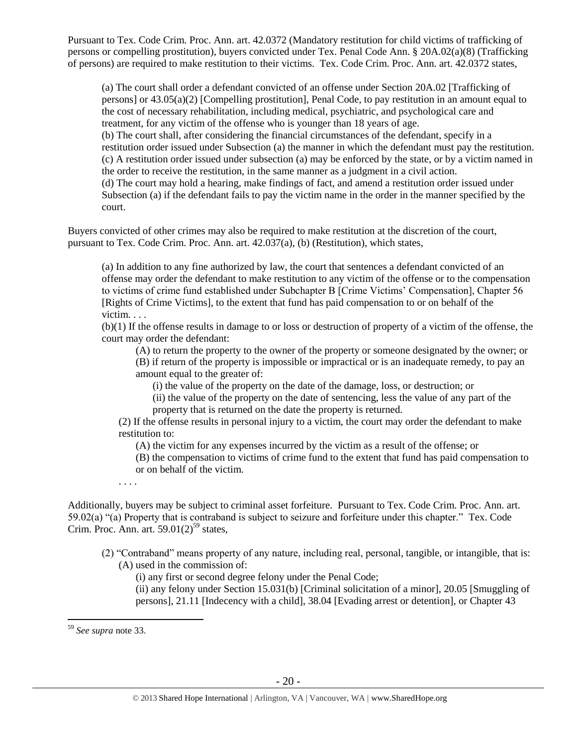Pursuant to Tex. Code Crim. Proc. Ann. art. 42.0372 (Mandatory restitution for child victims of trafficking of persons or compelling prostitution), buyers convicted under Tex. Penal Code Ann. § 20A.02(a)(8) (Trafficking of persons) are required to make restitution to their victims. Tex. Code Crim. Proc. Ann. art. 42.0372 states,

(a) The court shall order a defendant convicted of an offense under Section 20A.02 [Trafficking of persons] or 43.05(a)(2) [Compelling prostitution], Penal Code, to pay restitution in an amount equal to the cost of necessary rehabilitation, including medical, psychiatric, and psychological care and treatment, for any victim of the offense who is younger than 18 years of age.

(b) The court shall, after considering the financial circumstances of the defendant, specify in a restitution order issued under Subsection (a) the manner in which the defendant must pay the restitution. (c) A restitution order issued under subsection (a) may be enforced by the state, or by a victim named in the order to receive the restitution, in the same manner as a judgment in a civil action.

(d) The court may hold a hearing, make findings of fact, and amend a restitution order issued under Subsection (a) if the defendant fails to pay the victim name in the order in the manner specified by the court.

Buyers convicted of other crimes may also be required to make restitution at the discretion of the court, pursuant to Tex. Code Crim. Proc. Ann. art. 42.037(a), (b) (Restitution), which states,

(a) In addition to any fine authorized by law, the court that sentences a defendant convicted of an offense may order the defendant to make restitution to any victim of the offense or to the compensation to victims of crime fund established under Subchapter B [Crime Victims' Compensation], Chapter 56 [Rights of Crime Victims], to the extent that fund has paid compensation to or on behalf of the victim. . . .

(b)(1) If the offense results in damage to or loss or destruction of property of a victim of the offense, the court may order the defendant:

(A) to return the property to the owner of the property or someone designated by the owner; or

(B) if return of the property is impossible or impractical or is an inadequate remedy, to pay an amount equal to the greater of:

(i) the value of the property on the date of the damage, loss, or destruction; or

(ii) the value of the property on the date of sentencing, less the value of any part of the property that is returned on the date the property is returned.

(2) If the offense results in personal injury to a victim, the court may order the defendant to make restitution to:

(A) the victim for any expenses incurred by the victim as a result of the offense; or

(B) the compensation to victims of crime fund to the extent that fund has paid compensation to or on behalf of the victim.

. . . .

Additionally, buyers may be subject to criminal asset forfeiture. Pursuant to Tex. Code Crim. Proc. Ann. art. 59.02(a) "(a) Property that is contraband is subject to seizure and forfeiture under this chapter." Tex. Code Crim. Proc. Ann. art.  $59.01(2)^{59}$  states,

(2) "Contraband" means property of any nature, including real, personal, tangible, or intangible, that is: (A) used in the commission of:

(i) any first or second degree felony under the Penal Code;

(ii) any felony under Section 15.031(b) [Criminal solicitation of a minor], 20.05 [Smuggling of persons], 21.11 [Indecency with a child], 38.04 [Evading arrest or detention], or Chapter 43

<sup>59</sup> *See supra* note [33.](#page-11-0)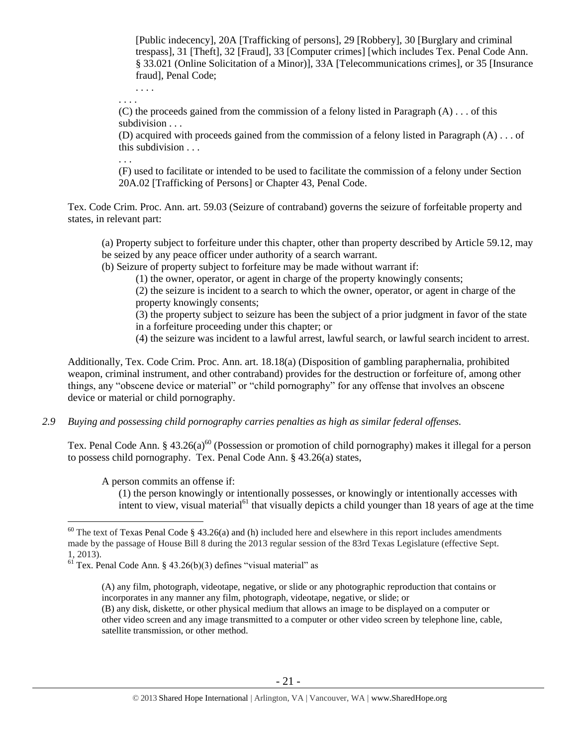[Public indecency], 20A [Trafficking of persons], 29 [Robbery], 30 [Burglary and criminal trespass], 31 [Theft], 32 [Fraud], 33 [Computer crimes] [which includes Tex. Penal Code Ann. § 33.021 (Online Solicitation of a Minor)], 33A [Telecommunications crimes], or 35 [Insurance fraud], Penal Code;

. . . . . . . .

(C) the proceeds gained from the commission of a felony listed in Paragraph  $(A)$ ... of this subdivision . . .

(D) acquired with proceeds gained from the commission of a felony listed in Paragraph (A) . . . of this subdivision . . .

. . .

(F) used to facilitate or intended to be used to facilitate the commission of a felony under Section 20A.02 [Trafficking of Persons] or Chapter 43, Penal Code.

Tex. Code Crim. Proc. Ann. art. 59.03 (Seizure of contraband) governs the seizure of forfeitable property and states, in relevant part:

(a) Property subject to forfeiture under this chapter, other than property described by Article 59.12, may be seized by any peace officer under authority of a search warrant.

(b) Seizure of property subject to forfeiture may be made without warrant if:

(1) the owner, operator, or agent in charge of the property knowingly consents;

(2) the seizure is incident to a search to which the owner, operator, or agent in charge of the property knowingly consents;

(3) the property subject to seizure has been the subject of a prior judgment in favor of the state in a forfeiture proceeding under this chapter; or

(4) the seizure was incident to a lawful arrest, lawful search, or lawful search incident to arrest.

Additionally, Tex. Code Crim. Proc. Ann. art. 18.18(a) (Disposition of gambling paraphernalia, prohibited weapon, criminal instrument, and other contraband) provides for the destruction or forfeiture of, among other things, any "obscene device or material" or "child pornography" for any offense that involves an obscene device or material or child pornography.

*2.9 Buying and possessing child pornography carries penalties as high as similar federal offenses.*

Tex. Penal Code Ann. § 43.26(a)<sup>60</sup> (Possession or promotion of child pornography) makes it illegal for a person to possess child pornography. Tex. Penal Code Ann. § 43.26(a) states,

A person commits an offense if:

 $\overline{a}$ 

<span id="page-20-0"></span>(1) the person knowingly or intentionally possesses, or knowingly or intentionally accesses with intent to view, visual material<sup> $61$ </sup> that visually depicts a child younger than 18 years of age at the time

 $60$  The text of Texas Penal Code § 43.26(a) and (h) included here and elsewhere in this report includes amendments made by the passage of House Bill 8 during the 2013 regular session of the 83rd Texas Legislature (effective Sept. 1, 2013).

 $<sup>61</sup>$  Tex. Penal Code Ann. § 43.26(b)(3) defines "visual material" as</sup>

<sup>(</sup>A) any film, photograph, videotape, negative, or slide or any photographic reproduction that contains or incorporates in any manner any film, photograph, videotape, negative, or slide; or (B) any disk, diskette, or other physical medium that allows an image to be displayed on a computer or other video screen and any image transmitted to a computer or other video screen by telephone line, cable, satellite transmission, or other method.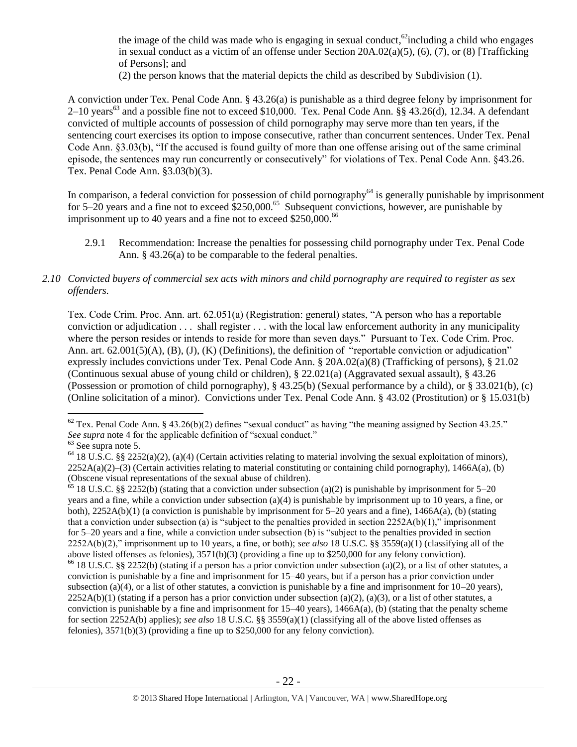the image of the child was made who is engaging in sexual conduct, $^{62}$ including a child who engages in sexual conduct as a victim of an offense under Section  $20A.02(a)(5)$ ,  $(6)$ ,  $(7)$ , or  $(8)$  [Trafficking of Persons]; and

(2) the person knows that the material depicts the child as described by Subdivision (1).

A conviction under Tex. Penal Code Ann. § 43.26(a) is punishable as a third degree felony by imprisonment for 2–10 years<sup>63</sup> and a possible fine not to exceed \$10,000. Tex. Penal Code Ann. §§ 43.26(d), 12.34. A defendant convicted of multiple accounts of possession of child pornography may serve more than ten years, if the sentencing court exercises its option to impose consecutive, rather than concurrent sentences. Under Tex. Penal Code Ann. §3.03(b), "If the accused is found guilty of more than one offense arising out of the same criminal episode, the sentences may run concurrently or consecutively" for violations of Tex. Penal Code Ann. §43.26. Tex. Penal Code Ann. §3.03(b)(3).

In comparison, a federal conviction for possession of child pornography<sup>64</sup> is generally punishable by imprisonment for 5–20 years and a fine not to exceed  $$250,000$ .<sup>65</sup> Subsequent convictions, however, are punishable by imprisonment up to 40 years and a fine not to exceed  $$250,000.<sup>66</sup>$ 

2.9.1 Recommendation: Increase the penalties for possessing child pornography under Tex. Penal Code Ann. § 43.26(a) to be comparable to the federal penalties.

#### *2.10 Convicted buyers of commercial sex acts with minors and child pornography are required to register as sex offenders.*

Tex. Code Crim. Proc. Ann. art. 62.051(a) (Registration: general) states, "A person who has a reportable conviction or adjudication . . . shall register . . . with the local law enforcement authority in any municipality where the person resides or intends to reside for more than seven days." Pursuant to Tex. Code Crim. Proc. Ann. art. 62.001(5)(A), (B), (J), (K) (Definitions), the definition of "reportable conviction or adjudication" expressly includes convictions under Tex. Penal Code Ann. § 20A.02(a)(8) (Trafficking of persons), § 21.02 (Continuous sexual abuse of young child or children), § 22.021(a) (Aggravated sexual assault), § 43.26 (Possession or promotion of child pornography), § 43.25(b) (Sexual performance by a child), or § 33.021(b), (c) (Online solicitation of a minor). Convictions under Tex. Penal Code Ann. § 43.02 (Prostitution) or § 15.031(b)

 $62$  Tex. Penal Code Ann. § 43.26(b)(2) defines "sexual conduct" as having "the meaning assigned by Section 43.25." *See supra* note [4](#page-1-1) for the applicable definition of "sexual conduct."

<sup>63</sup> See supra note [5.](#page-1-0)

<sup>&</sup>lt;sup>64</sup> 18 U.S.C. §§ 2252(a)(2), (a)(4) (Certain activities relating to material involving the sexual exploitation of minors),  $2252A(a)(2)$ –(3) (Certain activities relating to material constituting or containing child pornography), 1466A(a), (b) (Obscene visual representations of the sexual abuse of children).

<sup>&</sup>lt;sup>65</sup> 18 U.S.C. §§ 2252(b) (stating that a conviction under subsection (a)(2) is punishable by imprisonment for 5–20 years and a fine, while a conviction under subsection (a)(4) is punishable by imprisonment up to 10 years, a fine, or both), 2252A(b)(1) (a conviction is punishable by imprisonment for 5–20 years and a fine), 1466A(a), (b) (stating that a conviction under subsection (a) is "subject to the penalties provided in section  $2252A(b)(1)$ ," imprisonment for 5–20 years and a fine, while a conviction under subsection (b) is "subject to the penalties provided in section 2252A(b)(2)," imprisonment up to 10 years, a fine, or both); *see also* 18 U.S.C. §§ 3559(a)(1) (classifying all of the above listed offenses as felonies), 3571(b)(3) (providing a fine up to \$250,000 for any felony conviction). <sup>66</sup> 18 U.S.C. §§ 2252(b) (stating if a person has a prior conviction under subsection (a)(2), or a list of other statutes, a conviction is punishable by a fine and imprisonment for 15–40 years, but if a person has a prior conviction under subsection (a)(4), or a list of other statutes, a conviction is punishable by a fine and imprisonment for  $10-20$  years),  $2252A(b)(1)$  (stating if a person has a prior conviction under subsection (a)(2), (a)(3), or a list of other statutes, a conviction is punishable by a fine and imprisonment for  $15-40$  years),  $1466A(a)$ , (b) (stating that the penalty scheme for section 2252A(b) applies); *see also* 18 U.S.C. §§ 3559(a)(1) (classifying all of the above listed offenses as

felonies), 3571(b)(3) (providing a fine up to \$250,000 for any felony conviction).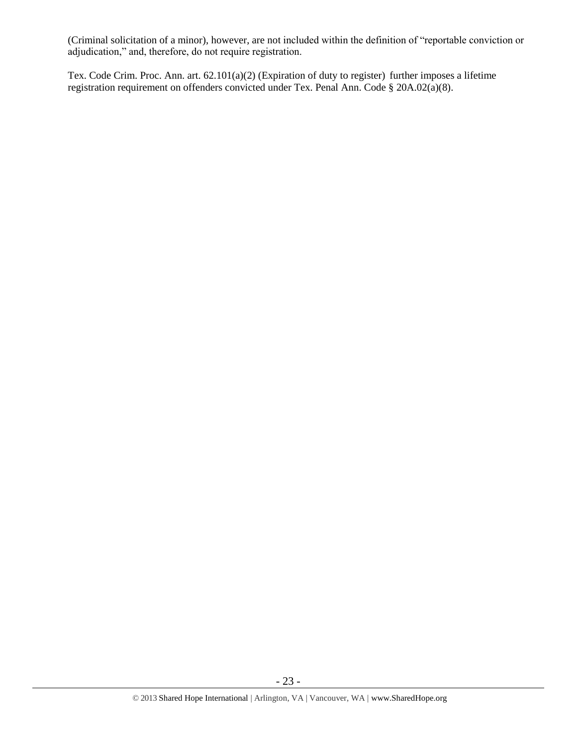(Criminal solicitation of a minor), however, are not included within the definition of "reportable conviction or adjudication," and, therefore, do not require registration.

Tex. Code Crim. Proc. Ann. art. 62.101(a)(2) (Expiration of duty to register) further imposes a lifetime registration requirement on offenders convicted under Tex. Penal Ann. Code § 20A.02(a)(8).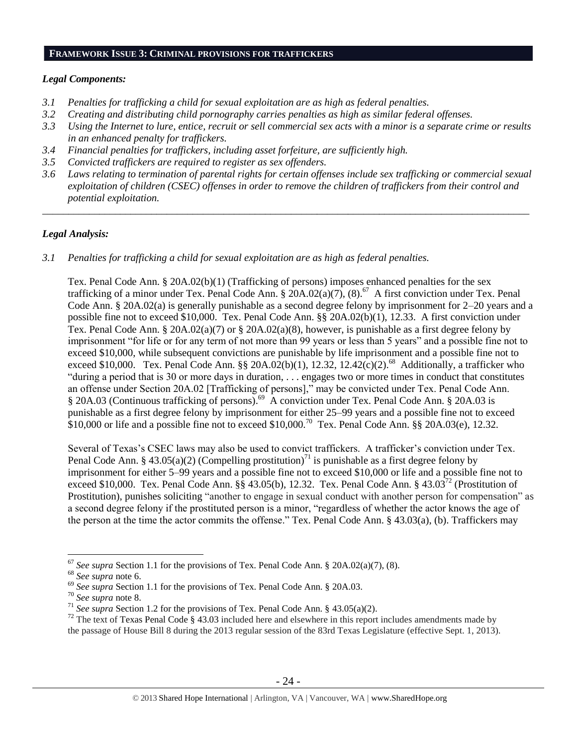#### **FRAMEWORK ISSUE 3: CRIMINAL PROVISIONS FOR TRAFFICKERS**

#### *Legal Components:*

- *3.1 Penalties for trafficking a child for sexual exploitation are as high as federal penalties.*
- *3.2 Creating and distributing child pornography carries penalties as high as similar federal offenses.*
- *3.3 Using the Internet to lure, entice, recruit or sell commercial sex acts with a minor is a separate crime or results in an enhanced penalty for traffickers.*
- *3.4 Financial penalties for traffickers, including asset forfeiture, are sufficiently high.*
- *3.5 Convicted traffickers are required to register as sex offenders.*
- *3.6 Laws relating to termination of parental rights for certain offenses include sex trafficking or commercial sexual exploitation of children (CSEC) offenses in order to remove the children of traffickers from their control and potential exploitation.*

\_\_\_\_\_\_\_\_\_\_\_\_\_\_\_\_\_\_\_\_\_\_\_\_\_\_\_\_\_\_\_\_\_\_\_\_\_\_\_\_\_\_\_\_\_\_\_\_\_\_\_\_\_\_\_\_\_\_\_\_\_\_\_\_\_\_\_\_\_\_\_\_\_\_\_\_\_\_\_\_\_\_\_\_\_\_\_\_\_\_\_\_\_\_

#### *Legal Analysis:*

*3.1 Penalties for trafficking a child for sexual exploitation are as high as federal penalties.* 

Tex. Penal Code Ann. § 20A.02(b)(1) (Trafficking of persons) imposes enhanced penalties for the sex trafficking of a minor under Tex. Penal Code Ann.  $\S$  20A.02(a)(7), (8).<sup>67</sup> A first conviction under Tex. Penal Code Ann. § 20A.02(a) is generally punishable as a second degree felony by imprisonment for 2–20 years and a possible fine not to exceed \$10,000. Tex. Penal Code Ann. §§ 20A.02(b)(1), 12.33. A first conviction under Tex. Penal Code Ann. § 20A.02(a)(7) or § 20A.02(a)(8), however, is punishable as a first degree felony by imprisonment "for life or for any term of not more than 99 years or less than 5 years" and a possible fine not to exceed \$10,000, while subsequent convictions are punishable by life imprisonment and a possible fine not to exceed \$10,000. Tex. Penal Code Ann. §§ 20A.02(b)(1), 12.32, 12.42(c)(2).<sup>68</sup> Additionally, a trafficker who "during a period that is 30 or more days in duration, . . . engages two or more times in conduct that constitutes an offense under Section 20A.02 [Trafficking of persons]," may be convicted under Tex. Penal Code Ann. § 20A.03 (Continuous trafficking of persons).<sup>69</sup> A conviction under Tex. Penal Code Ann. § 20A.03 is punishable as a first degree felony by imprisonment for either 25–99 years and a possible fine not to exceed  $$10,000$  or life and a possible fine not to exceed \$10,000.<sup>70</sup> Tex. Penal Code Ann. §§ 20A.03(e), 12.32.

Several of Texas's CSEC laws may also be used to convict traffickers. A trafficker's conviction under Tex. Penal Code Ann. § 43.05(a)(2) (Compelling prostitution)<sup>71</sup> is punishable as a first degree felony by imprisonment for either 5–99 years and a possible fine not to exceed \$10,000 or life and a possible fine not to exceed \$10,000. Tex. Penal Code Ann. §§ 43.05(b), 12.32. Tex. Penal Code Ann. § 43.03<sup>72</sup> (Prostitution of Prostitution), punishes soliciting "another to engage in sexual conduct with another person for compensation" as a second degree felony if the prostituted person is a minor, "regardless of whether the actor knows the age of the person at the time the actor commits the offense." Tex. Penal Code Ann. § 43.03(a), (b). Traffickers may

<sup>67</sup> *See supra* Section 1.1 for the provisions of Tex. Penal Code Ann. § 20A.02(a)(7), (8).

<sup>68</sup> *See supra* note [6.](#page-2-0)

<sup>&</sup>lt;sup>69</sup> See supra Section 1.1 for the provisions of Tex. Penal Code Ann. § 20A.03.

<sup>70</sup> *See supra* note [8.](#page-3-0)

<sup>&</sup>lt;sup>71</sup> *See supra* Section 1.2 for the provisions of Tex. Penal Code Ann. § 43.05(a)(2).

<sup>&</sup>lt;sup>72</sup> The text of Texas Penal Code § 43.03 included here and elsewhere in this report includes amendments made by the passage of House Bill 8 during the 2013 regular session of the 83rd Texas Legislature (effective Sept. 1, 2013).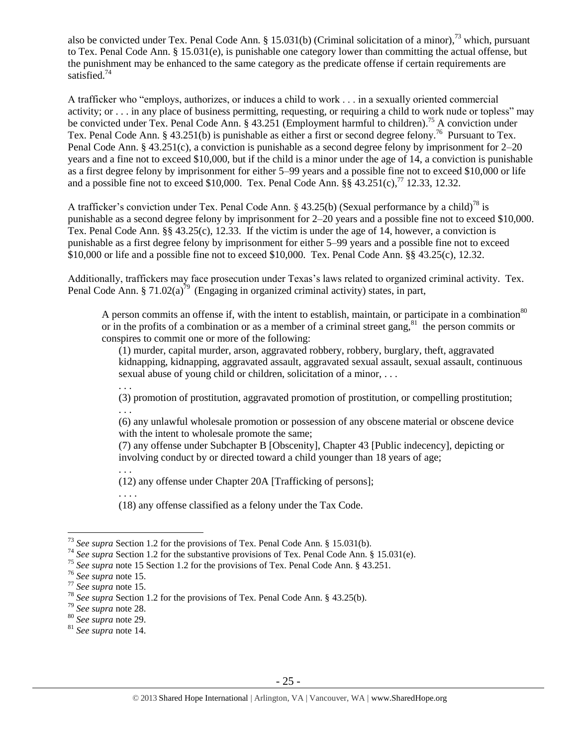also be convicted under Tex. Penal Code Ann. § 15.031(b) (Criminal solicitation of a minor),<sup>73</sup> which, pursuant to Tex. Penal Code Ann. § 15.031(e), is punishable one category lower than committing the actual offense, but the punishment may be enhanced to the same category as the predicate offense if certain requirements are satisfied.<sup>74</sup>

A trafficker who "employs, authorizes, or induces a child to work . . . in a sexually oriented commercial activity; or . . . in any place of business permitting, requesting, or requiring a child to work nude or topless" may be convicted under Tex. Penal Code Ann. § 43.251 (Employment harmful to children).<sup>75</sup> A conviction under Tex. Penal Code Ann. § 43.251(b) is punishable as either a first or second degree felony.<sup>76</sup> Pursuant to Tex. Penal Code Ann. § 43.251(c), a conviction is punishable as a second degree felony by imprisonment for 2–20 years and a fine not to exceed \$10,000, but if the child is a minor under the age of 14, a conviction is punishable as a first degree felony by imprisonment for either 5–99 years and a possible fine not to exceed \$10,000 or life and a possible fine not to exceed \$10,000. Tex. Penal Code Ann.  $\S$ §  $43.251(c)$ ,<sup>77</sup> 12.33, 12.32.

A trafficker's conviction under Tex. Penal Code Ann. § 43.25(b) (Sexual performance by a child)<sup>78</sup> is punishable as a second degree felony by imprisonment for 2–20 years and a possible fine not to exceed \$10,000. Tex. Penal Code Ann. §§ 43.25(c), 12.33. If the victim is under the age of 14, however, a conviction is punishable as a first degree felony by imprisonment for either 5–99 years and a possible fine not to exceed \$10,000 or life and a possible fine not to exceed \$10,000. Tex. Penal Code Ann. §§ 43.25(c), 12.32.

Additionally, traffickers may face prosecution under Texas's laws related to organized criminal activity. Tex. Penal Code Ann. § 71.02(a)<sup>79</sup> (Engaging in organized criminal activity) states, in part,

A person commits an offense if, with the intent to establish, maintain, or participate in a combination<sup>80</sup> or in the profits of a combination or as a member of a criminal street gang, $81$  the person commits or conspires to commit one or more of the following:

(1) murder, capital murder, arson, aggravated robbery, robbery, burglary, theft, aggravated kidnapping, kidnapping, aggravated assault, aggravated sexual assault, sexual assault, continuous sexual abuse of young child or children, solicitation of a minor, . . .

. . . (3) promotion of prostitution, aggravated promotion of prostitution, or compelling prostitution; . . .

(6) any unlawful wholesale promotion or possession of any obscene material or obscene device with the intent to wholesale promote the same;

(7) any offense under Subchapter B [Obscenity], Chapter 43 [Public indecency], depicting or involving conduct by or directed toward a child younger than 18 years of age;

. . . (12) any offense under Chapter 20A [Trafficking of persons];

(18) any offense classified as a felony under the Tax Code.

 $\overline{a}$ 

. . . .

<sup>73</sup> *See supra* Section 1.2 for the provisions of Tex. Penal Code Ann. § 15.031(b).

<sup>74</sup> *See supra* Section 1.2 for the substantive provisions of Tex. Penal Code Ann. § 15.031(e).

<sup>&</sup>lt;sup>75</sup> See supra note [15](#page-4-3) Section 1.2 for the provisions of Tex. Penal Code Ann. § 43.251.

<sup>76</sup> *See supra* note [15.](#page-4-3)

<sup>77</sup> *See supra* note [15.](#page-4-3) 

<sup>78</sup> *See supra* Section 1.2 for the provisions of Tex. Penal Code Ann. § 43.25(b).

<sup>79</sup> *See supra* note [28.](#page-9-0)

<sup>80</sup> *See supra* note [29.](#page-9-1)

<sup>81</sup> *See supra* note [14.](#page-4-1)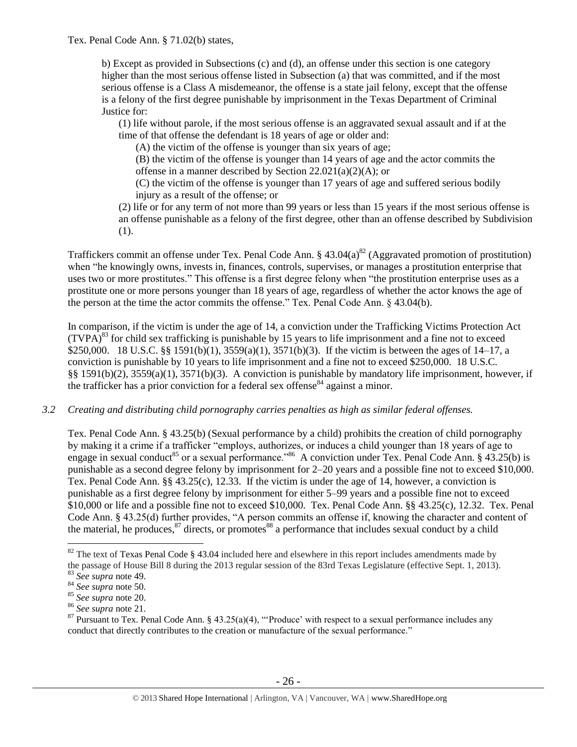Tex. Penal Code Ann. § 71.02(b) states,

b) Except as provided in Subsections (c) and (d), an offense under this section is one category higher than the most serious offense listed in Subsection (a) that was committed, and if the most serious offense is a Class A misdemeanor, the offense is a state jail felony, except that the offense is a felony of the first degree punishable by imprisonment in the Texas Department of Criminal Justice for:

(1) life without parole, if the most serious offense is an aggravated sexual assault and if at the time of that offense the defendant is 18 years of age or older and:

(A) the victim of the offense is younger than six years of age;

(B) the victim of the offense is younger than 14 years of age and the actor commits the offense in a manner described by Section 22.021(a)(2)(A); or

(C) the victim of the offense is younger than 17 years of age and suffered serious bodily injury as a result of the offense; or

(2) life or for any term of not more than 99 years or less than 15 years if the most serious offense is an offense punishable as a felony of the first degree, other than an offense described by Subdivision (1).

Traffickers commit an offense under Tex. Penal Code Ann. §  $43.04(a)^{82}$  (Aggravated promotion of prostitution) when "he knowingly owns, invests in, finances, controls, supervises, or manages a prostitution enterprise that uses two or more prostitutes." This offense is a first degree felony when "the prostitution enterprise uses as a prostitute one or more persons younger than 18 years of age, regardless of whether the actor knows the age of the person at the time the actor commits the offense." Tex. Penal Code Ann. § 43.04(b).

In comparison, if the victim is under the age of 14, a conviction under the Trafficking Victims Protection Act  $(TVPA)^{83}$  for child sex trafficking is punishable by 15 years to life imprisonment and a fine not to exceed \$250,000. 18 U.S.C. §§ 1591(b)(1), 3559(a)(1), 3571(b)(3). If the victim is between the ages of 14–17, a conviction is punishable by 10 years to life imprisonment and a fine not to exceed \$250,000. 18 U.S.C. §§ 1591(b)(2), 3559(a)(1), 3571(b)(3). A conviction is punishable by mandatory life imprisonment, however, if the trafficker has a prior conviction for a federal sex offense  $84$  against a minor.

#### *3.2 Creating and distributing child pornography carries penalties as high as similar federal offenses.*

Tex. Penal Code Ann. § 43.25(b) (Sexual performance by a child) prohibits the creation of child pornography by making it a crime if a trafficker "employs, authorizes, or induces a child younger than 18 years of age to engage in sexual conduct<sup>85</sup> or a sexual performance."<sup>86</sup> A conviction under Tex. Penal Code Ann. § 43.25(b) is punishable as a second degree felony by imprisonment for 2–20 years and a possible fine not to exceed \$10,000. Tex. Penal Code Ann. §§ 43.25(c), 12.33. If the victim is under the age of 14, however, a conviction is punishable as a first degree felony by imprisonment for either 5–99 years and a possible fine not to exceed \$10,000 or life and a possible fine not to exceed \$10,000. Tex. Penal Code Ann. §§ 43.25(c), 12.32. Tex. Penal Code Ann. § 43.25(d) further provides, "A person commits an offense if, knowing the character and content of the material, he produces,  $87$  directs, or promotes  $88$  a performance that includes sexual conduct by a child

<span id="page-25-0"></span> $82$  The text of Texas Penal Code § 43.04 included here and elsewhere in this report includes amendments made by the passage of House Bill 8 during the 2013 regular session of the 83rd Texas Legislature (effective Sept. 1, 2013).

<sup>83</sup> *See supra* note [49.](#page-16-0)

<sup>84</sup> *See supra* note [50.](#page-16-1)

<sup>85</sup> *See supra* note [20.](#page-6-0) 

<sup>86</sup> *See supra* note [21.](#page-6-1) 

<sup>&</sup>lt;sup>87</sup> Pursuant to Tex. Penal Code Ann. § 43.25(a)(4), "Produce' with respect to a sexual performance includes any conduct that directly contributes to the creation or manufacture of the sexual performance."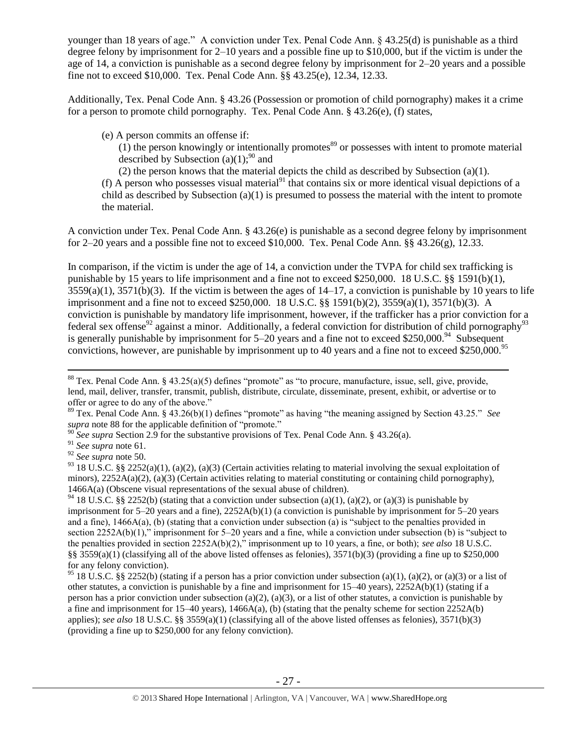younger than 18 years of age." A conviction under Tex. Penal Code Ann. § 43.25(d) is punishable as a third degree felony by imprisonment for 2–10 years and a possible fine up to \$10,000, but if the victim is under the age of 14, a conviction is punishable as a second degree felony by imprisonment for 2–20 years and a possible fine not to exceed \$10,000. Tex. Penal Code Ann. §§ 43.25(e), 12.34, 12.33.

Additionally, Tex. Penal Code Ann. § 43.26 (Possession or promotion of child pornography) makes it a crime for a person to promote child pornography. Tex. Penal Code Ann. § 43.26(e), (f) states,

(e) A person commits an offense if:

 $(1)$  the person knowingly or intentionally promotes<sup>89</sup> or possesses with intent to promote material described by Subsection (a)(1);<sup>90</sup> and

(2) the person knows that the material depicts the child as described by Subsection (a)(1).

(f) A person who possesses visual material<sup>91</sup> that contains six or more identical visual depictions of a child as described by Subsection (a)(1) is presumed to possess the material with the intent to promote the material.

A conviction under Tex. Penal Code Ann. § 43.26(e) is punishable as a second degree felony by imprisonment for 2–20 years and a possible fine not to exceed \$10,000. Tex. Penal Code Ann.  $\S$ § 43.26(g), 12.33.

In comparison, if the victim is under the age of 14, a conviction under the TVPA for child sex trafficking is punishable by 15 years to life imprisonment and a fine not to exceed \$250,000. 18 U.S.C. §§ 1591(b)(1),  $3559(a)(1)$ ,  $3571(b)(3)$ . If the victim is between the ages of  $14-17$ , a conviction is punishable by 10 years to life imprisonment and a fine not to exceed \$250,000. 18 U.S.C. §§ 1591(b)(2), 3559(a)(1), 3571(b)(3). A conviction is punishable by mandatory life imprisonment, however, if the trafficker has a prior conviction for a federal sex offense<sup>92</sup> against a minor. Additionally, a federal conviction for distribution of child pornography<sup>93</sup> is generally punishable by imprisonment for  $5-20$  years and a fine not to exceed \$250,000.<sup>94</sup> Subsequent convictions, however, are punishable by imprisonment up to 40 years and a fine not to exceed \$250,000.<sup>95</sup>

 $\overline{a}$ 

<sup>94</sup> 18 U.S.C. §§ 2252(b) (stating that a conviction under subsection (a)(1), (a)(2), or (a)(3) is punishable by imprisonment for 5–20 years and a fine), 2252A(b)(1) (a conviction is punishable by imprisonment for 5–20 years and a fine), 1466A(a), (b) (stating that a conviction under subsection (a) is "subject to the penalties provided in section 2252A(b)(1)," imprisonment for 5–20 years and a fine, while a conviction under subsection (b) is "subject to the penalties provided in section 2252A(b)(2)," imprisonment up to 10 years, a fine, or both); *see also* 18 U.S.C. §§ 3559(a)(1) (classifying all of the above listed offenses as felonies),  $3571(b)(3)$  (providing a fine up to \$250,000 for any felony conviction).

<sup>95</sup> 18 U.S.C. §§ 2252(b) (stating if a person has a prior conviction under subsection (a)(1), (a)(2), or (a)(3) or a list of other statutes, a conviction is punishable by a fine and imprisonment for 15–40 years), 2252A(b)(1) (stating if a person has a prior conviction under subsection (a)(2), (a)(3), or a list of other statutes, a conviction is punishable by a fine and imprisonment for  $15-40$  years),  $1466A(a)$ , (b) (stating that the penalty scheme for section  $2252A(b)$ applies); *see also* 18 U.S.C. §§ 3559(a)(1) (classifying all of the above listed offenses as felonies), 3571(b)(3) (providing a fine up to \$250,000 for any felony conviction).

 $88$  Tex. Penal Code Ann.  $8$  43.25(a)(5) defines "promote" as "to procure, manufacture, issue, sell, give, provide, lend, mail, deliver, transfer, transmit, publish, distribute, circulate, disseminate, present, exhibit, or advertise or to offer or agree to do any of the above."

<sup>89</sup> Tex. Penal Code Ann. § 43.26(b)(1) defines "promote" as having "the meaning assigned by Section 43.25." *See supra* note [88](#page-25-0) for the applicable definition of "promote."

<sup>90</sup> *See supra* Section 2.9 for the substantive provisions of Tex. Penal Code Ann. § 43.26(a).

<sup>91</sup> *See supra* note [61.](#page-20-0)

<sup>92</sup> *See supra* note [50.](#page-16-1) 

<sup>&</sup>lt;sup>93</sup> 18 U.S.C. §§ 2252(a)(1), (a)(2), (a)(3) (Certain activities relating to material involving the sexual exploitation of minors),  $2252A(a)(2)$ , (a)(3) (Certain activities relating to material constituting or containing child pornography), 1466A(a) (Obscene visual representations of the sexual abuse of children).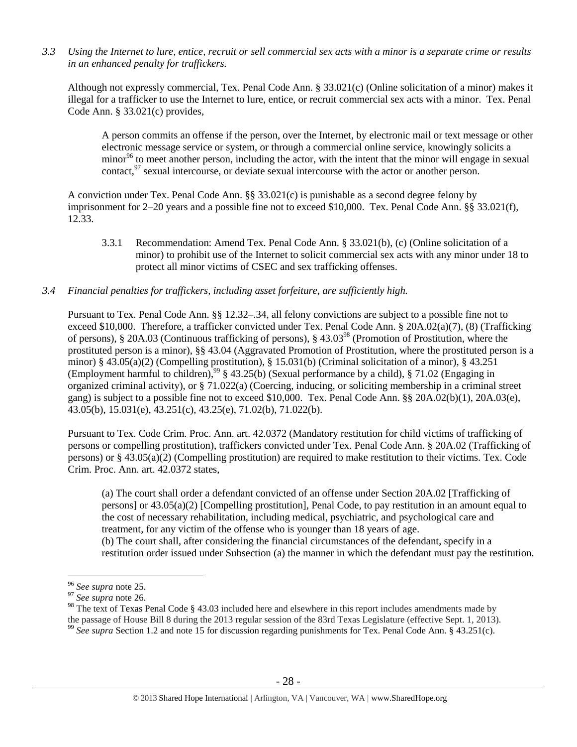*3.3 Using the Internet to lure, entice, recruit or sell commercial sex acts with a minor is a separate crime or results in an enhanced penalty for traffickers.*

Although not expressly commercial, Tex. Penal Code Ann. § 33.021(c) (Online solicitation of a minor) makes it illegal for a trafficker to use the Internet to lure, entice, or recruit commercial sex acts with a minor. Tex. Penal Code Ann. § 33.021(c) provides,

A person commits an offense if the person, over the Internet, by electronic mail or text message or other electronic message service or system, or through a commercial online service, knowingly solicits a minor<sup>96</sup> to meet another person, including the actor, with the intent that the minor will engage in sexual contact, $^{97}$  sexual intercourse, or deviate sexual intercourse with the actor or another person.

A conviction under Tex. Penal Code Ann. §§ 33.021(c) is punishable as a second degree felony by imprisonment for 2–20 years and a possible fine not to exceed \$10,000. Tex. Penal Code Ann. §§ 33.021(f), 12.33.

3.3.1 Recommendation: Amend Tex. Penal Code Ann. § 33.021(b), (c) (Online solicitation of a minor) to prohibit use of the Internet to solicit commercial sex acts with any minor under 18 to protect all minor victims of CSEC and sex trafficking offenses.

## *3.4 Financial penalties for traffickers, including asset forfeiture, are sufficiently high.*

Pursuant to Tex. Penal Code Ann. §§ 12.32–.34, all felony convictions are subject to a possible fine not to exceed \$10,000. Therefore, a trafficker convicted under Tex. Penal Code Ann. § 20A.02(a)(7), (8) (Trafficking of persons), § 20A.03 (Continuous trafficking of persons), § 43.03<sup>98</sup> (Promotion of Prostitution, where the prostituted person is a minor), §§ 43.04 (Aggravated Promotion of Prostitution, where the prostituted person is a minor) § 43.05(a)(2) (Compelling prostitution), § 15.031(b) (Criminal solicitation of a minor), § 43.251 (Employment harmful to children),<sup>99</sup> § 43.25(b) (Sexual performance by a child), § 71.02 (Engaging in organized criminal activity), or § 71.022(a) (Coercing, inducing, or soliciting membership in a criminal street gang) is subject to a possible fine not to exceed \$10,000. Tex. Penal Code Ann. §§ 20A.02(b)(1), 20A.03(e), 43.05(b), 15.031(e), 43.251(c), 43.25(e), 71.02(b), 71.022(b).

Pursuant to Tex. Code Crim. Proc. Ann. art. 42.0372 (Mandatory restitution for child victims of trafficking of persons or compelling prostitution), traffickers convicted under Tex. Penal Code Ann. § 20A.02 (Trafficking of persons) or § 43.05(a)(2) (Compelling prostitution) are required to make restitution to their victims. Tex. Code Crim. Proc. Ann. art. 42.0372 states,

(a) The court shall order a defendant convicted of an offense under Section 20A.02 [Trafficking of persons] or 43.05(a)(2) [Compelling prostitution], Penal Code, to pay restitution in an amount equal to the cost of necessary rehabilitation, including medical, psychiatric, and psychological care and treatment, for any victim of the offense who is younger than 18 years of age. (b) The court shall, after considering the financial circumstances of the defendant, specify in a restitution order issued under Subsection (a) the manner in which the defendant must pay the restitution.

<sup>96</sup> *See supra* note [25.](#page-8-1) 

<sup>97</sup> *See supra* note [26.](#page-8-2) 

<sup>&</sup>lt;sup>98</sup> The text of Texas Penal Code § 43.03 included here and elsewhere in this report includes amendments made by

the passage of House Bill 8 during the 2013 regular session of the 83rd Texas Legislature (effective Sept. 1, 2013).

<sup>99</sup> *See supra* Section 1.2 and note [15](#page-4-3) for discussion regarding punishments for Tex. Penal Code Ann. § 43.251(c).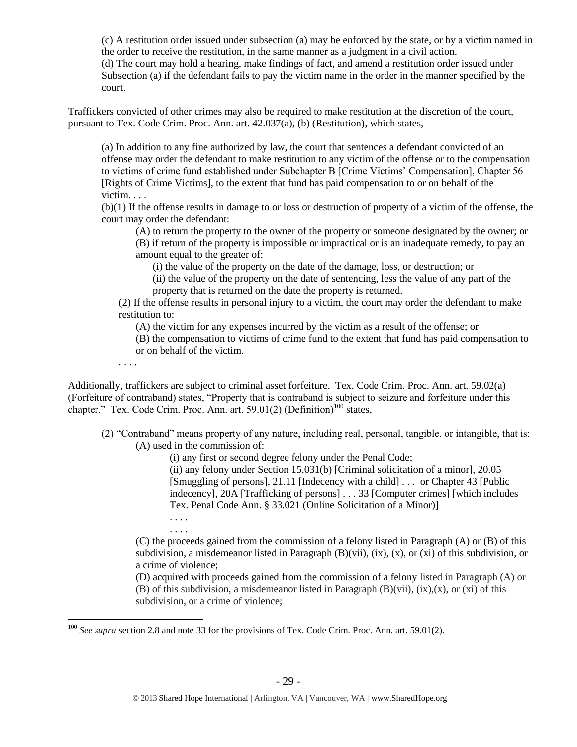(c) A restitution order issued under subsection (a) may be enforced by the state, or by a victim named in the order to receive the restitution, in the same manner as a judgment in a civil action. (d) The court may hold a hearing, make findings of fact, and amend a restitution order issued under Subsection (a) if the defendant fails to pay the victim name in the order in the manner specified by the court.

Traffickers convicted of other crimes may also be required to make restitution at the discretion of the court, pursuant to Tex. Code Crim. Proc. Ann. art. 42.037(a), (b) (Restitution), which states,

(a) In addition to any fine authorized by law, the court that sentences a defendant convicted of an offense may order the defendant to make restitution to any victim of the offense or to the compensation to victims of crime fund established under Subchapter B [Crime Victims' Compensation], Chapter 56 [Rights of Crime Victims], to the extent that fund has paid compensation to or on behalf of the victim. . . .

(b)(1) If the offense results in damage to or loss or destruction of property of a victim of the offense, the court may order the defendant:

(A) to return the property to the owner of the property or someone designated by the owner; or

(B) if return of the property is impossible or impractical or is an inadequate remedy, to pay an amount equal to the greater of:

(i) the value of the property on the date of the damage, loss, or destruction; or

(ii) the value of the property on the date of sentencing, less the value of any part of the property that is returned on the date the property is returned.

(2) If the offense results in personal injury to a victim, the court may order the defendant to make restitution to:

(A) the victim for any expenses incurred by the victim as a result of the offense; or

(B) the compensation to victims of crime fund to the extent that fund has paid compensation to or on behalf of the victim.

Additionally, traffickers are subject to criminal asset forfeiture. Tex. Code Crim. Proc. Ann. art. 59.02(a) (Forfeiture of contraband) states, "Property that is contraband is subject to seizure and forfeiture under this chapter." Tex. Code Crim. Proc. Ann. art.  $59.01(2)$  (Definition)<sup>100</sup> states,

(2) "Contraband" means property of any nature, including real, personal, tangible, or intangible, that is: (A) used in the commission of:

(i) any first or second degree felony under the Penal Code;

(ii) any felony under Section 15.031(b) [Criminal solicitation of a minor], 20.05 [Smuggling of persons], 21.11 [Indecency with a child] . . . or Chapter 43 [Public indecency], 20A [Trafficking of persons] . . . 33 [Computer crimes] [which includes Tex. Penal Code Ann. § 33.021 (Online Solicitation of a Minor)]

. . . . . . . .

. . . .

 $\overline{a}$ 

(C) the proceeds gained from the commission of a felony listed in Paragraph (A) or (B) of this subdivision, a misdemeanor listed in Paragraph  $(B)(vi)$ ,  $(ix)$ ,  $(x)$ ,  $(x)$  of this subdivision, or a crime of violence;

(D) acquired with proceeds gained from the commission of a felony listed in Paragraph (A) or (B) of this subdivision, a misdemeanor listed in Paragraph (B)(vii), (ix),(x), or (xi) of this subdivision, or a crime of violence;

<sup>100</sup> *See supra* section 2.8 and note [33](#page-11-0) for the provisions of Tex. Code Crim. Proc. Ann. art. 59.01(2).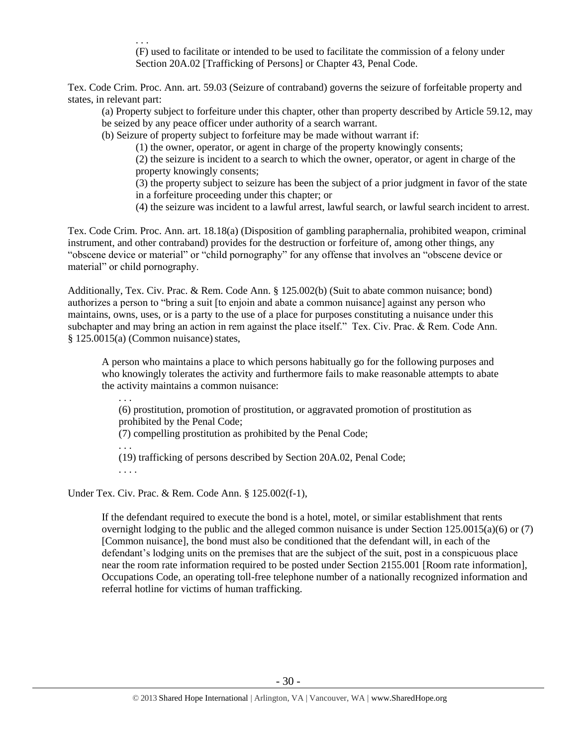. . . (F) used to facilitate or intended to be used to facilitate the commission of a felony under Section 20A.02 [Trafficking of Persons] or Chapter 43, Penal Code.

Tex. Code Crim. Proc. Ann. art. 59.03 (Seizure of contraband) governs the seizure of forfeitable property and states, in relevant part:

(a) Property subject to forfeiture under this chapter, other than property described by Article 59.12, may be seized by any peace officer under authority of a search warrant.

(b) Seizure of property subject to forfeiture may be made without warrant if:

(1) the owner, operator, or agent in charge of the property knowingly consents;

(2) the seizure is incident to a search to which the owner, operator, or agent in charge of the property knowingly consents;

(3) the property subject to seizure has been the subject of a prior judgment in favor of the state in a forfeiture proceeding under this chapter; or

(4) the seizure was incident to a lawful arrest, lawful search, or lawful search incident to arrest.

Tex. Code Crim. Proc. Ann. art. 18.18(a) (Disposition of gambling paraphernalia, prohibited weapon, criminal instrument, and other contraband) provides for the destruction or forfeiture of, among other things, any "obscene device or material" or "child pornography" for any offense that involves an "obscene device or material" or child pornography.

Additionally, Tex. Civ. Prac. & Rem. Code Ann. § 125.002(b) (Suit to abate common nuisance; bond) authorizes a person to "bring a suit [to enjoin and abate a common nuisance] against any person who maintains, owns, uses, or is a party to the use of a place for purposes constituting a nuisance under this subchapter and may bring an action in rem against the place itself." Tex. Civ. Prac. & Rem. Code Ann.  $§ 125.0015(a)$  (Common nuisance) states,

A person who maintains a place to which persons habitually go for the following purposes and who knowingly tolerates the activity and furthermore fails to make reasonable attempts to abate the activity maintains a common nuisance:

(6) prostitution, promotion of prostitution, or aggravated promotion of prostitution as prohibited by the Penal Code; (7) compelling prostitution as prohibited by the Penal Code;

. . . (19) trafficking of persons described by Section 20A.02, Penal Code;

. . . .

. . .

Under Tex. Civ. Prac. & Rem. Code Ann. § 125.002(f-1),

If the defendant required to execute the bond is a hotel, motel, or similar establishment that rents overnight lodging to the public and the alleged common nuisance is under Section 125.0015(a)(6) or (7) [Common nuisance], the bond must also be conditioned that the defendant will, in each of the defendant's lodging units on the premises that are the subject of the suit, post in a conspicuous place near the room rate information required to be posted under Section 2155.001 [Room rate information], Occupations Code, an operating toll-free telephone number of a nationally recognized information and referral hotline for victims of human trafficking.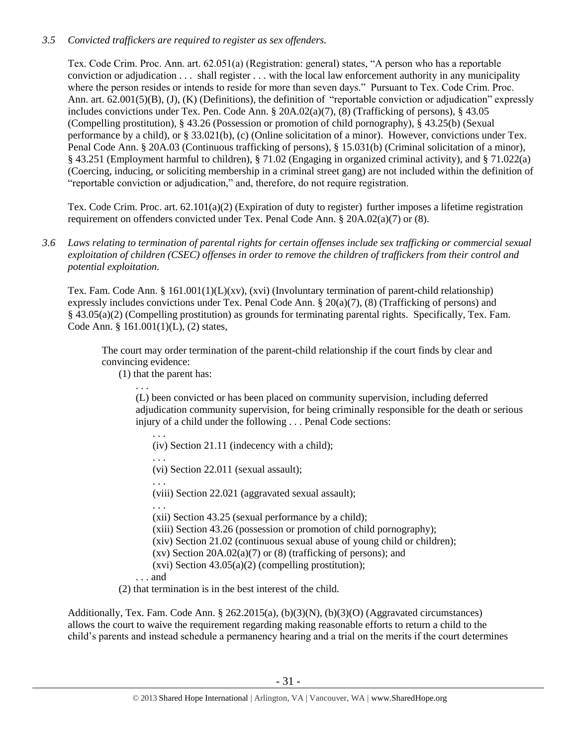# *3.5 Convicted traffickers are required to register as sex offenders.*

Tex. Code Crim. Proc. Ann. art. 62.051(a) (Registration: general) states, "A person who has a reportable conviction or adjudication . . . shall register . . . with the local law enforcement authority in any municipality where the person resides or intends to reside for more than seven days." Pursuant to Tex. Code Crim. Proc. Ann. art. 62.001(5)(B), (J), (K) (Definitions), the definition of "reportable conviction or adjudication" expressly includes convictions under Tex. Pen. Code Ann. § 20A.02(a)(7), (8) (Trafficking of persons), § 43.05 (Compelling prostitution), § 43.26 (Possession or promotion of child pornography), § 43.25(b) (Sexual performance by a child), or § 33.021(b), (c) (Online solicitation of a minor). However, convictions under Tex. Penal Code Ann. § 20A.03 (Continuous trafficking of persons), § 15.031(b) (Criminal solicitation of a minor), § 43.251 (Employment harmful to children), § 71.02 (Engaging in organized criminal activity), and § 71.022(a) (Coercing, inducing, or soliciting membership in a criminal street gang) are not included within the definition of "reportable conviction or adjudication," and, therefore, do not require registration.

Tex. Code Crim. Proc. art. 62.101(a)(2) (Expiration of duty to register) further imposes a lifetime registration requirement on offenders convicted under Tex. Penal Code Ann. § 20A.02(a)(7) or (8).

*3.6 Laws relating to termination of parental rights for certain offenses include sex trafficking or commercial sexual exploitation of children (CSEC) offenses in order to remove the children of traffickers from their control and potential exploitation.* 

Tex. Fam. Code Ann. § 161.001(1)(L)(xv), (xvi) (Involuntary termination of parent-child relationship) expressly includes convictions under Tex. Penal Code Ann. § 20(a)(7), (8) (Trafficking of persons) and § 43.05(a)(2) (Compelling prostitution) as grounds for terminating parental rights. Specifically, Tex. Fam. Code Ann. § 161.001(1)(L), (2) states,

The court may order termination of the parent-child relationship if the court finds by clear and convincing evidence:

(1) that the parent has:

. . . (L) been convicted or has been placed on community supervision, including deferred adjudication community supervision, for being criminally responsible for the death or serious injury of a child under the following . . . Penal Code sections:

. . . (iv) Section 21.11 (indecency with a child);

. . .

(vi) Section 22.011 (sexual assault);

. . . (viii) Section 22.021 (aggravated sexual assault);

. . .

(xii) Section 43.25 (sexual performance by a child);

(xiii) Section 43.26 (possession or promotion of child pornography);

(xiv) Section 21.02 (continuous sexual abuse of young child or children);

- (xv) Section  $20A.02(a)(7)$  or  $(8)$  (trafficking of persons); and
- $(xvi)$  Section 43.05 $(a)(2)$  (compelling prostitution);

. . . and

(2) that termination is in the best interest of the child.

Additionally, Tex. Fam. Code Ann. § 262.2015(a), (b)(3)(N), (b)(3)(O) (Aggravated circumstances) allows the court to waive the requirement regarding making reasonable efforts to return a child to the child's parents and instead schedule a permanency hearing and a trial on the merits if the court determines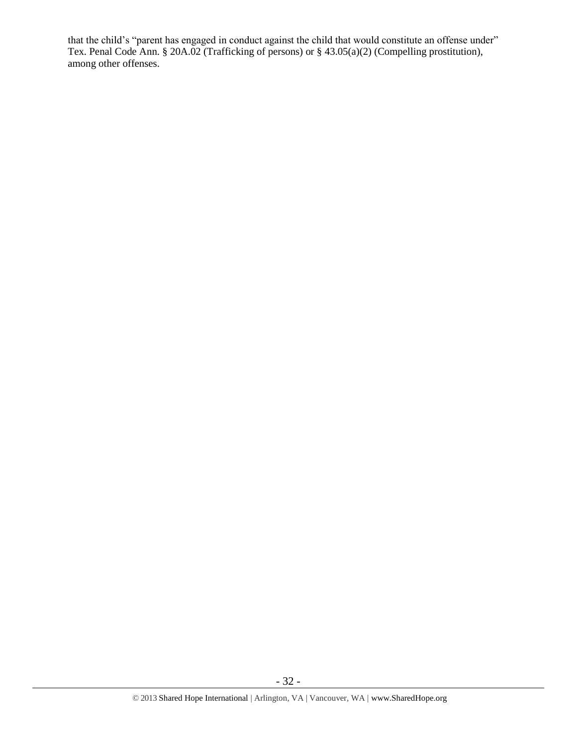that the child's "parent has engaged in conduct against the child that would constitute an offense under" Tex. Penal Code Ann. § 20A.02 (Trafficking of persons) or § 43.05(a)(2) (Compelling prostitution), among other offenses.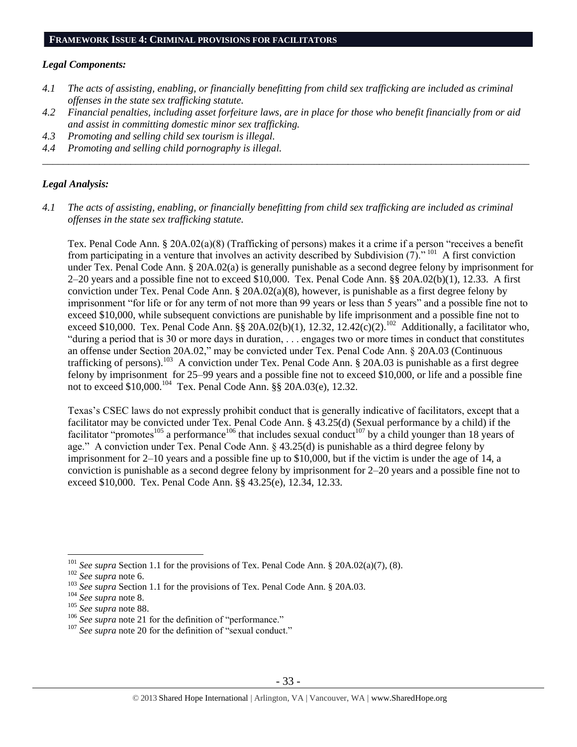#### **FRAMEWORK ISSUE 4: CRIMINAL PROVISIONS FOR FACILITATORS**

#### *Legal Components:*

- *4.1 The acts of assisting, enabling, or financially benefitting from child sex trafficking are included as criminal offenses in the state sex trafficking statute.*
- *4.2 Financial penalties, including asset forfeiture laws, are in place for those who benefit financially from or aid and assist in committing domestic minor sex trafficking.*

\_\_\_\_\_\_\_\_\_\_\_\_\_\_\_\_\_\_\_\_\_\_\_\_\_\_\_\_\_\_\_\_\_\_\_\_\_\_\_\_\_\_\_\_\_\_\_\_\_\_\_\_\_\_\_\_\_\_\_\_\_\_\_\_\_\_\_\_\_\_\_\_\_\_\_\_\_\_\_\_\_\_\_\_\_\_\_\_\_\_\_\_\_\_

- *4.3 Promoting and selling child sex tourism is illegal.*
- *4.4 Promoting and selling child pornography is illegal.*

#### *Legal Analysis:*

*4.1 The acts of assisting, enabling, or financially benefitting from child sex trafficking are included as criminal offenses in the state sex trafficking statute.*

Tex. Penal Code Ann. § 20A.02(a)(8) (Trafficking of persons) makes it a crime if a person "receives a benefit from participating in a venture that involves an activity described by Subdivision  $(7)^{101}$ . A first conviction under Tex. Penal Code Ann. § 20A.02(a) is generally punishable as a second degree felony by imprisonment for 2–20 years and a possible fine not to exceed \$10,000. Tex. Penal Code Ann. §§ 20A.02(b)(1), 12.33. A first conviction under Tex. Penal Code Ann. §  $20A.02(a)(8)$ , however, is punishable as a first degree felony by imprisonment "for life or for any term of not more than 99 years or less than 5 years" and a possible fine not to exceed \$10,000, while subsequent convictions are punishable by life imprisonment and a possible fine not to exceed \$10,000. Tex. Penal Code Ann. §§ 20A.02(b)(1), 12.32, 12.42(c)(2).<sup>102</sup> Additionally, a facilitator who, "during a period that is 30 or more days in duration, . . . engages two or more times in conduct that constitutes an offense under Section 20A.02," may be convicted under Tex. Penal Code Ann. § 20A.03 (Continuous trafficking of persons).<sup>103</sup> A conviction under Tex. Penal Code Ann. § 20A.03 is punishable as a first degree felony by imprisonment for 25–99 years and a possible fine not to exceed \$10,000, or life and a possible fine not to exceed \$10,000.<sup>104</sup> Tex. Penal Code Ann. §§ 20A.03(e), 12.32.

Texas's CSEC laws do not expressly prohibit conduct that is generally indicative of facilitators, except that a facilitator may be convicted under Tex. Penal Code Ann. § 43.25(d) (Sexual performance by a child) if the facilitator "promotes<sup>105</sup> a performance<sup>106</sup> that includes sexual conduct<sup>107</sup> by a child younger than 18 years of age." A conviction under Tex. Penal Code Ann. § 43.25(d) is punishable as a third degree felony by imprisonment for 2–10 years and a possible fine up to \$10,000, but if the victim is under the age of 14, a conviction is punishable as a second degree felony by imprisonment for 2–20 years and a possible fine not to exceed \$10,000. Tex. Penal Code Ann. §§ 43.25(e), 12.34, 12.33.

<sup>101</sup> *See supra* Section 1.1 for the provisions of Tex. Penal Code Ann. § 20A.02(a)(7), (8).

<sup>102</sup> *See supra* not[e 6.](#page-2-0)

<sup>&</sup>lt;sup>103</sup> *See supra* Section 1.1 for the provisions of Tex. Penal Code Ann. § 20A.03.

<sup>104</sup> *See supra* not[e 8.](#page-3-0)

<sup>105</sup> *See supra* not[e 88.](#page-25-0)

<sup>&</sup>lt;sup>106</sup> See supra not[e 21](#page-6-1) for the definition of "performance."

<sup>&</sup>lt;sup>107</sup> See supra not[e 20](#page-6-0) for the definition of "sexual conduct."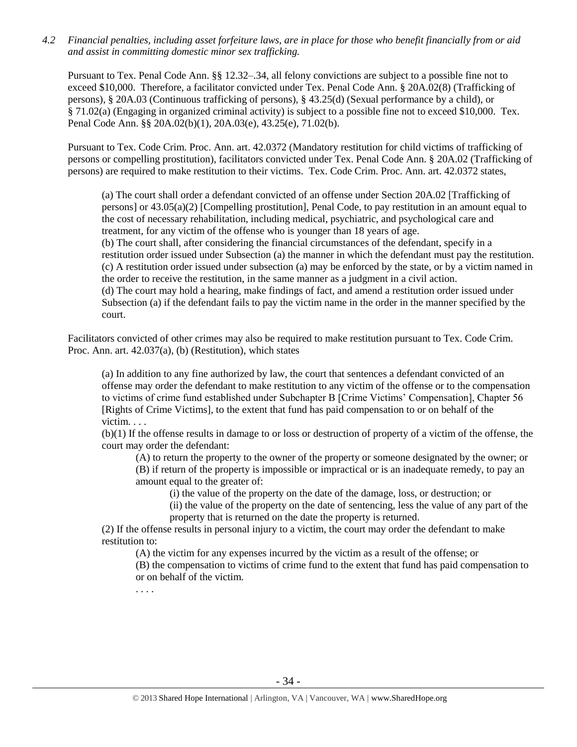*4.2 Financial penalties, including asset forfeiture laws, are in place for those who benefit financially from or aid and assist in committing domestic minor sex trafficking.*

Pursuant to Tex. Penal Code Ann. §§ 12.32–.34, all felony convictions are subject to a possible fine not to exceed \$10,000. Therefore, a facilitator convicted under Tex. Penal Code Ann. § 20A.02(8) (Trafficking of persons), § 20A.03 (Continuous trafficking of persons), § 43.25(d) (Sexual performance by a child), or § 71.02(a) (Engaging in organized criminal activity) is subject to a possible fine not to exceed \$10,000. Tex. Penal Code Ann. §§ 20A.02(b)(1), 20A.03(e), 43.25(e), 71.02(b).

Pursuant to Tex. Code Crim. Proc. Ann. art. 42.0372 (Mandatory restitution for child victims of trafficking of persons or compelling prostitution), facilitators convicted under Tex. Penal Code Ann. § 20A.02 (Trafficking of persons) are required to make restitution to their victims. Tex. Code Crim. Proc. Ann. art. 42.0372 states,

(a) The court shall order a defendant convicted of an offense under Section 20A.02 [Trafficking of persons] or 43.05(a)(2) [Compelling prostitution], Penal Code, to pay restitution in an amount equal to the cost of necessary rehabilitation, including medical, psychiatric, and psychological care and treatment, for any victim of the offense who is younger than 18 years of age. (b) The court shall, after considering the financial circumstances of the defendant, specify in a restitution order issued under Subsection (a) the manner in which the defendant must pay the restitution. (c) A restitution order issued under subsection (a) may be enforced by the state, or by a victim named in the order to receive the restitution, in the same manner as a judgment in a civil action. (d) The court may hold a hearing, make findings of fact, and amend a restitution order issued under Subsection (a) if the defendant fails to pay the victim name in the order in the manner specified by the court.

Facilitators convicted of other crimes may also be required to make restitution pursuant to Tex. Code Crim. Proc. Ann. art. 42.037(a), (b) (Restitution), which states

(a) In addition to any fine authorized by law, the court that sentences a defendant convicted of an offense may order the defendant to make restitution to any victim of the offense or to the compensation to victims of crime fund established under Subchapter B [Crime Victims' Compensation], Chapter 56 [Rights of Crime Victims], to the extent that fund has paid compensation to or on behalf of the victim. . . .

(b)(1) If the offense results in damage to or loss or destruction of property of a victim of the offense, the court may order the defendant:

(A) to return the property to the owner of the property or someone designated by the owner; or (B) if return of the property is impossible or impractical or is an inadequate remedy, to pay an amount equal to the greater of:

(i) the value of the property on the date of the damage, loss, or destruction; or

(ii) the value of the property on the date of sentencing, less the value of any part of the property that is returned on the date the property is returned.

(2) If the offense results in personal injury to a victim, the court may order the defendant to make restitution to:

(A) the victim for any expenses incurred by the victim as a result of the offense; or (B) the compensation to victims of crime fund to the extent that fund has paid compensation to or on behalf of the victim.

. . . .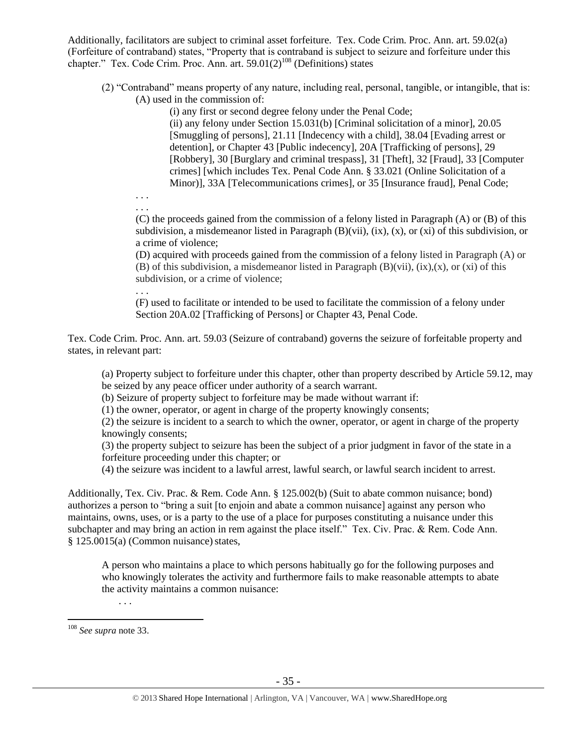Additionally, facilitators are subject to criminal asset forfeiture. Tex. Code Crim. Proc. Ann. art. 59.02(a) (Forfeiture of contraband) states, "Property that is contraband is subject to seizure and forfeiture under this chapter." Tex. Code Crim. Proc. Ann. art.  $59.01(2)^{108}$  (Definitions) states

(2) "Contraband" means property of any nature, including real, personal, tangible, or intangible, that is: (A) used in the commission of:

(i) any first or second degree felony under the Penal Code;

(ii) any felony under Section 15.031(b) [Criminal solicitation of a minor], 20.05 [Smuggling of persons], 21.11 [Indecency with a child], 38.04 [Evading arrest or detention], or Chapter 43 [Public indecency], 20A [Trafficking of persons], 29 [Robbery], 30 [Burglary and criminal trespass], 31 [Theft], 32 [Fraud], 33 [Computer crimes] [which includes Tex. Penal Code Ann. § 33.021 (Online Solicitation of a Minor)], 33A [Telecommunications crimes], or 35 [Insurance fraud], Penal Code;

. . . . . .

> (C) the proceeds gained from the commission of a felony listed in Paragraph (A) or (B) of this subdivision, a misdemeanor listed in Paragraph  $(B)(vii)$ ,  $(ix)$ ,  $(x)$ ,  $(x)$  of this subdivision, or a crime of violence;

> (D) acquired with proceeds gained from the commission of a felony listed in Paragraph (A) or (B) of this subdivision, a misdemeanor listed in Paragraph  $(B)(vii)$ ,  $(ix)$ ,  $(x)$ , or  $(xi)$  of this subdivision, or a crime of violence;

. . . (F) used to facilitate or intended to be used to facilitate the commission of a felony under Section 20A.02 [Trafficking of Persons] or Chapter 43, Penal Code.

Tex. Code Crim. Proc. Ann. art. 59.03 (Seizure of contraband) governs the seizure of forfeitable property and states, in relevant part:

(a) Property subject to forfeiture under this chapter, other than property described by Article 59.12, may be seized by any peace officer under authority of a search warrant.

(b) Seizure of property subject to forfeiture may be made without warrant if:

(1) the owner, operator, or agent in charge of the property knowingly consents;

(2) the seizure is incident to a search to which the owner, operator, or agent in charge of the property knowingly consents;

(3) the property subject to seizure has been the subject of a prior judgment in favor of the state in a forfeiture proceeding under this chapter; or

(4) the seizure was incident to a lawful arrest, lawful search, or lawful search incident to arrest.

Additionally, Tex. Civ. Prac. & Rem. Code Ann. § 125.002(b) (Suit to abate common nuisance; bond) authorizes a person to "bring a suit [to enjoin and abate a common nuisance] against any person who maintains, owns, uses, or is a party to the use of a place for purposes constituting a nuisance under this subchapter and may bring an action in rem against the place itself." Tex. Civ. Prac. & Rem. Code Ann.  $§ 125.0015(a)$  (Common nuisance) states,

A person who maintains a place to which persons habitually go for the following purposes and who knowingly tolerates the activity and furthermore fails to make reasonable attempts to abate the activity maintains a common nuisance:

. . .

<sup>108</sup> *See supra* not[e 33.](#page-11-0)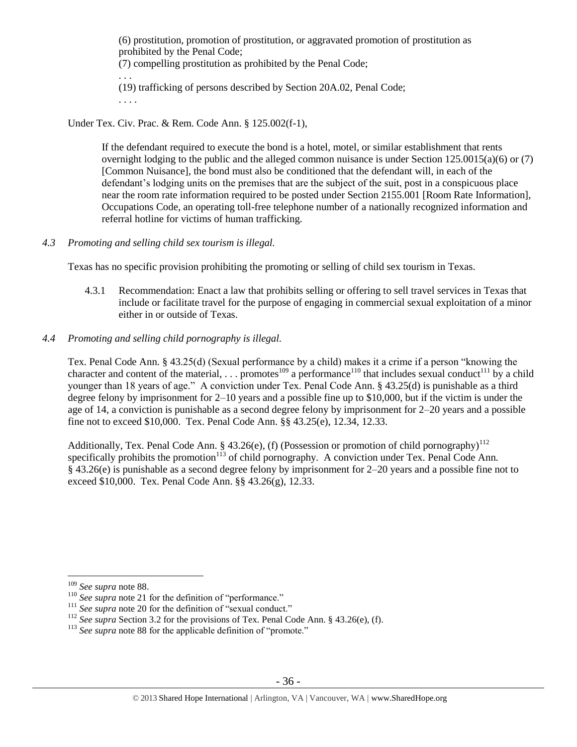(6) prostitution, promotion of prostitution, or aggravated promotion of prostitution as prohibited by the Penal Code; (7) compelling prostitution as prohibited by the Penal Code; . . . (19) trafficking of persons described by Section 20A.02, Penal Code; . . . .

Under Tex. Civ. Prac. & Rem. Code Ann. § 125.002(f-1),

If the defendant required to execute the bond is a hotel, motel, or similar establishment that rents overnight lodging to the public and the alleged common nuisance is under Section 125.0015(a)(6) or (7) [Common Nuisance], the bond must also be conditioned that the defendant will, in each of the defendant's lodging units on the premises that are the subject of the suit, post in a conspicuous place near the room rate information required to be posted under Section 2155.001 [Room Rate Information], Occupations Code, an operating toll-free telephone number of a nationally recognized information and referral hotline for victims of human trafficking.

*4.3 Promoting and selling child sex tourism is illegal.*

Texas has no specific provision prohibiting the promoting or selling of child sex tourism in Texas.

- 4.3.1 Recommendation: Enact a law that prohibits selling or offering to sell travel services in Texas that include or facilitate travel for the purpose of engaging in commercial sexual exploitation of a minor either in or outside of Texas.
- *4.4 Promoting and selling child pornography is illegal.*

Tex. Penal Code Ann. § 43.25(d) (Sexual performance by a child) makes it a crime if a person "knowing the character and content of the material, . . . promotes<sup>109</sup> a performance<sup>110</sup> that includes sexual conduct<sup>111</sup> by a child younger than 18 years of age." A conviction under Tex. Penal Code Ann. § 43.25(d) is punishable as a third degree felony by imprisonment for 2–10 years and a possible fine up to \$10,000, but if the victim is under the age of 14, a conviction is punishable as a second degree felony by imprisonment for 2–20 years and a possible fine not to exceed \$10,000. Tex. Penal Code Ann. §§ 43.25(e), 12.34, 12.33.

Additionally, Tex. Penal Code Ann. § 43.26(e), (f) (Possession or promotion of child pornography)<sup>112</sup> specifically prohibits the promotion<sup>113</sup> of child pornography. A conviction under Tex. Penal Code Ann. § 43.26(e) is punishable as a second degree felony by imprisonment for 2–20 years and a possible fine not to exceed \$10,000. Tex. Penal Code Ann. §§ 43.26(g), 12.33.

<sup>109</sup> *See supra* not[e 88.](#page-25-0)

<sup>&</sup>lt;sup>110</sup> See supra not[e 21](#page-6-1) for the definition of "performance."

<sup>&</sup>lt;sup>111</sup> See supra not[e 20](#page-6-0) for the definition of "sexual conduct."

<sup>&</sup>lt;sup>112</sup> *See supra Section 3.2 for the provisions of Tex. Penal Code Ann.* § 43.26(e), (f).

<sup>&</sup>lt;sup>113</sup> See supra not[e 88](#page-25-0) for the applicable definition of "promote."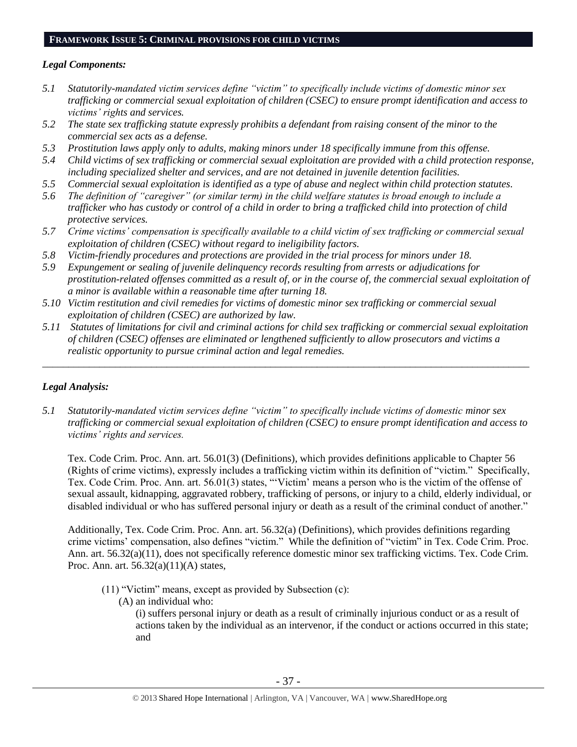#### **FRAMEWORK ISSUE 5: CRIMINAL PROVISIONS FOR CHILD VICTIMS**

#### *Legal Components:*

- *5.1 Statutorily-mandated victim services define "victim" to specifically include victims of domestic minor sex trafficking or commercial sexual exploitation of children (CSEC) to ensure prompt identification and access to victims' rights and services.*
- *5.2 The state sex trafficking statute expressly prohibits a defendant from raising consent of the minor to the commercial sex acts as a defense.*
- *5.3 Prostitution laws apply only to adults, making minors under 18 specifically immune from this offense.*
- *5.4 Child victims of sex trafficking or commercial sexual exploitation are provided with a child protection response, including specialized shelter and services, and are not detained in juvenile detention facilities.*
- *5.5 Commercial sexual exploitation is identified as a type of abuse and neglect within child protection statutes.*
- *5.6 The definition of "caregiver" (or similar term) in the child welfare statutes is broad enough to include a trafficker who has custody or control of a child in order to bring a trafficked child into protection of child protective services.*
- *5.7 Crime victims' compensation is specifically available to a child victim of sex trafficking or commercial sexual exploitation of children (CSEC) without regard to ineligibility factors.*
- *5.8 Victim-friendly procedures and protections are provided in the trial process for minors under 18.*
- *5.9 Expungement or sealing of juvenile delinquency records resulting from arrests or adjudications for prostitution-related offenses committed as a result of, or in the course of, the commercial sexual exploitation of a minor is available within a reasonable time after turning 18.*
- *5.10 Victim restitution and civil remedies for victims of domestic minor sex trafficking or commercial sexual exploitation of children (CSEC) are authorized by law.*
- *5.11 Statutes of limitations for civil and criminal actions for child sex trafficking or commercial sexual exploitation of children (CSEC) offenses are eliminated or lengthened sufficiently to allow prosecutors and victims a realistic opportunity to pursue criminal action and legal remedies.*

\_\_\_\_\_\_\_\_\_\_\_\_\_\_\_\_\_\_\_\_\_\_\_\_\_\_\_\_\_\_\_\_\_\_\_\_\_\_\_\_\_\_\_\_\_\_\_\_\_\_\_\_\_\_\_\_\_\_\_\_\_\_\_\_\_\_\_\_\_\_\_\_\_\_\_\_\_\_\_\_\_\_\_\_\_\_\_\_\_\_\_\_\_\_

## *Legal Analysis:*

*5.1 Statutorily-mandated victim services define "victim" to specifically include victims of domestic minor sex trafficking or commercial sexual exploitation of children (CSEC) to ensure prompt identification and access to victims' rights and services.* 

Tex. Code Crim. Proc. Ann. art. 56.01(3) (Definitions), which provides definitions applicable to Chapter 56 (Rights of crime victims), expressly includes a trafficking victim within its definition of "victim." Specifically, Tex. Code Crim. Proc. Ann. art. 56.01(3) states, "'Victim' means a person who is the victim of the offense of sexual assault, kidnapping, aggravated robbery, trafficking of persons, or injury to a child, elderly individual, or disabled individual or who has suffered personal injury or death as a result of the criminal conduct of another."

Additionally, Tex. Code Crim. Proc. Ann. art. 56.32(a) (Definitions), which provides definitions regarding crime victims' compensation, also defines "victim." While the definition of "victim" in Tex. Code Crim. Proc. Ann. art. 56.32(a)(11), does not specifically reference domestic minor sex trafficking victims. Tex. Code Crim. Proc. Ann. art. 56.32(a)(11)(A) states,

- (11) "Victim" means, except as provided by Subsection (c):
	- (A) an individual who:

(i) suffers personal injury or death as a result of criminally injurious conduct or as a result of actions taken by the individual as an intervenor, if the conduct or actions occurred in this state; and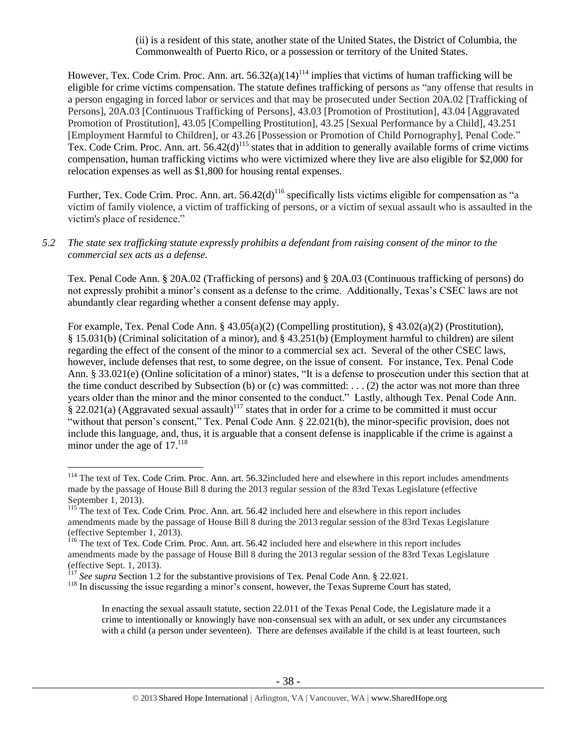<span id="page-37-0"></span>(ii) is a resident of this state, another state of the United States, the District of Columbia, the Commonwealth of Puerto Rico, or a possession or territory of the United States.

However, Tex. Code Crim. Proc. Ann. art.  $56.32(a)(14)^{114}$  implies that victims of human trafficking will be eligible for crime victims compensation. The statute defines trafficking of persons as "any offense that results in a person engaging in forced labor or services and that may be prosecuted under Section 20A.02 [Trafficking of Persons], 20A.03 [Continuous Trafficking of Persons], 43.03 [Promotion of Prostitution], 43.04 [Aggravated Promotion of Prostitution], 43.05 [Compelling Prostitution], 43.25 [Sexual Performance by a Child], 43.251 [Employment Harmful to Children], or 43.26 [Possession or Promotion of Child Pornography], Penal Code." Tex. Code Crim. Proc. Ann. art.  $56.42(d)^{115}$  states that in addition to generally available forms of crime victims compensation, human trafficking victims who were victimized where they live are also eligible for \$2,000 for relocation expenses as well as \$1,800 for housing rental expenses.

Further, Tex. Code Crim. Proc. Ann. art.  $56.42(d)^{116}$  specifically lists victims eligible for compensation as "a victim of family violence, a victim of trafficking of persons, or a victim of sexual assault who is assaulted in the victim's place of residence."

*5.2 The state sex trafficking statute expressly prohibits a defendant from raising consent of the minor to the commercial sex acts as a defense.*

Tex. Penal Code Ann. § 20A.02 (Trafficking of persons) and § 20A.03 (Continuous trafficking of persons) do not expressly prohibit a minor's consent as a defense to the crime. Additionally, Texas's CSEC laws are not abundantly clear regarding whether a consent defense may apply.

For example, Tex. Penal Code Ann. § 43.05(a)(2) (Compelling prostitution), § 43.02(a)(2) (Prostitution), § 15.031(b) (Criminal solicitation of a minor), and § 43.251(b) (Employment harmful to children) are silent regarding the effect of the consent of the minor to a commercial sex act. Several of the other CSEC laws, however, include defenses that rest, to some degree, on the issue of consent. For instance, Tex. Penal Code Ann. § 33.021(e) (Online solicitation of a minor) states, "It is a defense to prosecution under this section that at the time conduct described by Subsection (b) or (c) was committed: ... (2) the actor was not more than three years older than the minor and the minor consented to the conduct." Lastly, although Tex. Penal Code Ann.  $\S$  22.021(a) (Aggravated sexual assault)<sup>117</sup> states that in order for a crime to be committed it must occur "without that person's consent," Tex. Penal Code Ann. § 22.021(b), the minor-specific provision, does not include this language, and, thus, it is arguable that a consent defense is inapplicable if the crime is against a minor under the age of  $17<sup>118</sup>$ 

<sup>&</sup>lt;sup>114</sup> The text of Tex. Code Crim. Proc. Ann. art. 56.32included here and elsewhere in this report includes amendments made by the passage of House Bill 8 during the 2013 regular session of the 83rd Texas Legislature (effective September 1, 2013).

<sup>&</sup>lt;sup>115</sup> The text of Tex. Code Crim. Proc. Ann. art. 56.42 included here and elsewhere in this report includes amendments made by the passage of House Bill 8 during the 2013 regular session of the 83rd Texas Legislature (effective September 1, 2013).

<sup>&</sup>lt;sup>116</sup> The text of Tex. Code Crim. Proc. Ann. art. 56.42 included here and elsewhere in this report includes amendments made by the passage of House Bill 8 during the 2013 regular session of the 83rd Texas Legislature (effective Sept. 1, 2013).

<sup>117</sup> *See supra* Section 1.2 for the substantive provisions of Tex. Penal Code Ann. § 22.021.

<sup>&</sup>lt;sup>118</sup> In discussing the issue regarding a minor's consent, however, the Texas Supreme Court has stated,

In enacting the sexual assault statute, section 22.011 of the Texas Penal Code, the Legislature made it a crime to intentionally or knowingly have non-consensual sex with an adult, or sex under any circumstances with a child (a person under seventeen). There are defenses available if the child is at least fourteen, such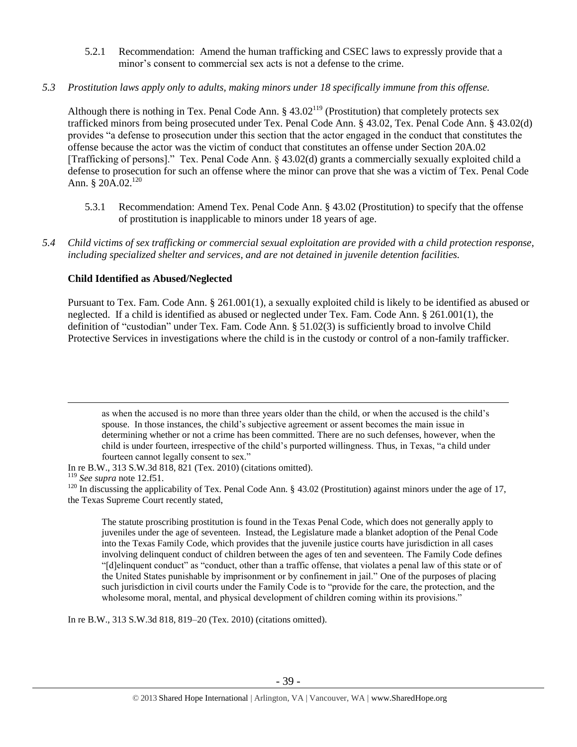- 5.2.1 Recommendation: Amend the human trafficking and CSEC laws to expressly provide that a minor's consent to commercial sex acts is not a defense to the crime.
- *5.3 Prostitution laws apply only to adults, making minors under 18 specifically immune from this offense.*

Although there is nothing in Tex. Penal Code Ann.  $\S 43.02^{119}$  (Prostitution) that completely protects sex trafficked minors from being prosecuted under Tex. Penal Code Ann. § 43.02, Tex. Penal Code Ann. § 43.02(d) provides "a defense to prosecution under this section that the actor engaged in the conduct that constitutes the offense because the actor was the victim of conduct that constitutes an offense under Section 20A.02 [Trafficking of persons]." Tex. Penal Code Ann. § 43.02(d) grants a commercially sexually exploited child a defense to prosecution for such an offense where the minor can prove that she was a victim of Tex. Penal Code Ann. § 20A.02. $^{120}$ 

- 5.3.1 Recommendation: Amend Tex. Penal Code Ann. § 43.02 (Prostitution) to specify that the offense of prostitution is inapplicable to minors under 18 years of age.
- *5.4 Child victims of sex trafficking or commercial sexual exploitation are provided with a child protection response, including specialized shelter and services, and are not detained in juvenile detention facilities.*

#### **Child Identified as Abused/Neglected**

Pursuant to Tex. Fam. Code Ann. § 261.001(1), a sexually exploited child is likely to be identified as abused or neglected. If a child is identified as abused or neglected under Tex. Fam. Code Ann. § 261.001(1), the definition of "custodian" under Tex. Fam. Code Ann. § 51.02(3) is sufficiently broad to involve Child Protective Services in investigations where the child is in the custody or control of a non-family trafficker.

as when the accused is no more than three years older than the child, or when the accused is the child's spouse. In those instances, the child's subjective agreement or assent becomes the main issue in determining whether or not a crime has been committed. There are no such defenses, however, when the child is under fourteen, irrespective of the child's purported willingness. Thus, in Texas, "a child under fourteen cannot legally consent to sex."

In re B.W., 313 S.W.3d 818, 821 (Tex. 2010) (citations omitted).

 $\overline{a}$ 

The statute proscribing prostitution is found in the Texas Penal Code, which does not generally apply to juveniles under the age of seventeen. Instead, the Legislature made a blanket adoption of the Penal Code into the Texas Family Code, which provides that the juvenile justice courts have jurisdiction in all cases involving delinquent conduct of children between the ages of ten and seventeen. The Family Code defines "[d]elinquent conduct" as "conduct, other than a traffic offense, that violates a penal law of this state or of the United States punishable by imprisonment or by confinement in jail." One of the purposes of placing such jurisdiction in civil courts under the Family Code is to "provide for the care, the protection, and the wholesome moral, mental, and physical development of children coming within its provisions."

In re B.W., 313 S.W.3d 818, 819–20 (Tex. 2010) (citations omitted).

<sup>119</sup> *See supra* not[e 12.](#page-4-0)f51.

<sup>&</sup>lt;sup>120</sup> In discussing the applicability of Tex. Penal Code Ann. § 43.02 (Prostitution) against minors under the age of 17, the Texas Supreme Court recently stated,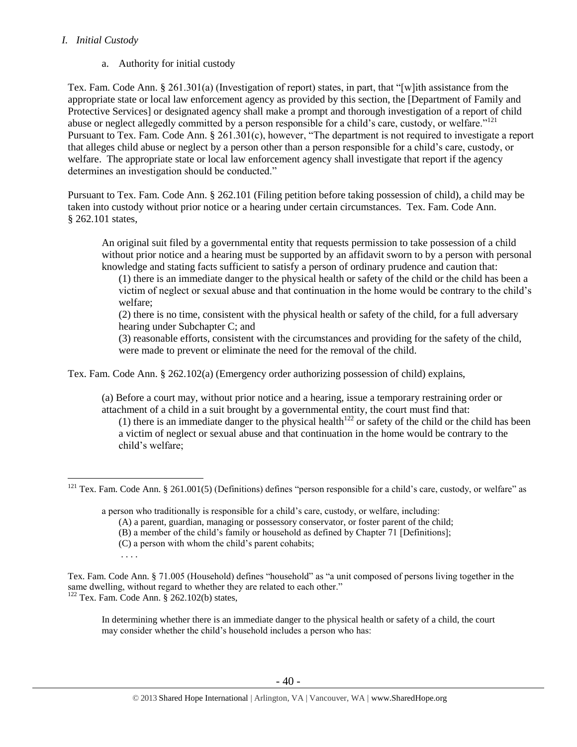## *I. Initial Custody*

a. Authority for initial custody

Tex. Fam. Code Ann. § 261.301(a) (Investigation of report) states, in part, that "[w]ith assistance from the appropriate state or local law enforcement agency as provided by this section, the [Department of Family and Protective Services] or designated agency shall make a prompt and thorough investigation of a report of child abuse or neglect allegedly committed by a person responsible for a child's care, custody, or welfare."<sup>121</sup> Pursuant to Tex. Fam. Code Ann. § 261.301(c), however, "The department is not required to investigate a report that alleges child abuse or neglect by a person other than a person responsible for a child's care, custody, or welfare. The appropriate state or local law enforcement agency shall investigate that report if the agency determines an investigation should be conducted."

Pursuant to Tex. Fam. Code Ann. § 262.101 (Filing petition before taking possession of child), a child may be taken into custody without prior notice or a hearing under certain circumstances. Tex. Fam. Code Ann. § 262.101 states,

An original suit filed by a governmental entity that requests permission to take possession of a child without prior notice and a hearing must be supported by an affidavit sworn to by a person with personal knowledge and stating facts sufficient to satisfy a person of ordinary prudence and caution that:

(1) there is an immediate danger to the physical health or safety of the child or the child has been a victim of neglect or sexual abuse and that continuation in the home would be contrary to the child's welfare;

(2) there is no time, consistent with the physical health or safety of the child, for a full adversary hearing under Subchapter C; and

(3) reasonable efforts, consistent with the circumstances and providing for the safety of the child, were made to prevent or eliminate the need for the removal of the child.

Tex. Fam. Code Ann. § 262.102(a) (Emergency order authorizing possession of child) explains,

(a) Before a court may, without prior notice and a hearing, issue a temporary restraining order or attachment of a child in a suit brought by a governmental entity, the court must find that:

(1) there is an immediate danger to the physical health<sup>122</sup> or safety of the child or the child has been a victim of neglect or sexual abuse and that continuation in the home would be contrary to the child's welfare;

a person who traditionally is responsible for a child's care, custody, or welfare, including:

- (A) a parent, guardian, managing or possessory conservator, or foster parent of the child;
- (B) a member of the child's family or household as defined by Chapter 71 [Definitions];
- (C) a person with whom the child's parent cohabits;
- . . . .
- Tex. Fam. Code Ann. § 71.005 (Household) defines "household" as "a unit composed of persons living together in the same dwelling, without regard to whether they are related to each other."  $122$  Tex. Fam. Code Ann. § 262.102(b) states,

In determining whether there is an immediate danger to the physical health or safety of a child, the court may consider whether the child's household includes a person who has:

 $\overline{a}$  $121$  Tex. Fam. Code Ann. § 261.001(5) (Definitions) defines "person responsible for a child's care, custody, or welfare" as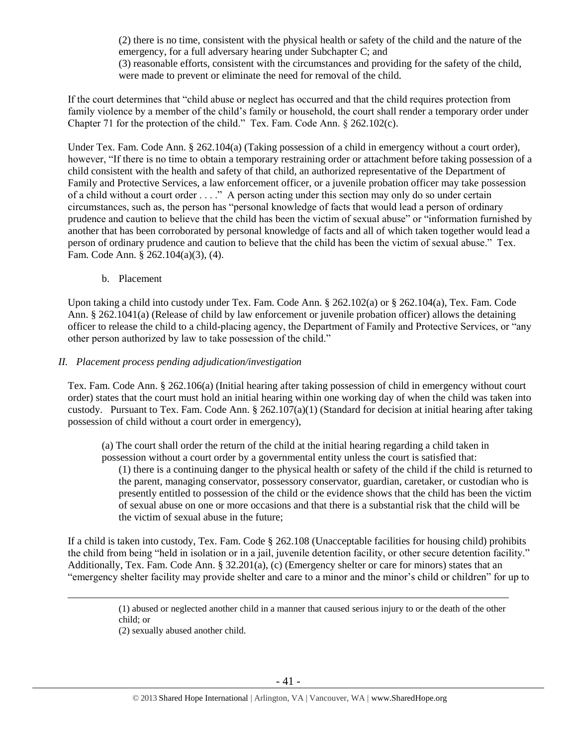(2) there is no time, consistent with the physical health or safety of the child and the nature of the emergency, for a full adversary hearing under Subchapter C; and (3) reasonable efforts, consistent with the circumstances and providing for the safety of the child, were made to prevent or eliminate the need for removal of the child.

If the court determines that "child abuse or neglect has occurred and that the child requires protection from family violence by a member of the child's family or household, the court shall render a temporary order under Chapter 71 for the protection of the child." Tex. Fam. Code Ann. § 262.102(c).

Under Tex. Fam. Code Ann. § 262.104(a) (Taking possession of a child in emergency without a court order), however, "If there is no time to obtain a temporary restraining order or attachment before taking possession of a child consistent with the health and safety of that child, an authorized representative of the Department of Family and Protective Services, a law enforcement officer, or a juvenile probation officer may take possession of a child without a court order . . . ." A person acting under this section may only do so under certain circumstances, such as, the person has "personal knowledge of facts that would lead a person of ordinary prudence and caution to believe that the child has been the victim of sexual abuse" or "information furnished by another that has been corroborated by personal knowledge of facts and all of which taken together would lead a person of ordinary prudence and caution to believe that the child has been the victim of sexual abuse." Tex. Fam. Code Ann. § 262.104(a)(3), (4).

b. Placement

Upon taking a child into custody under Tex. Fam. Code Ann. § 262.102(a) or § 262.104(a), Tex. Fam. Code Ann. § 262.1041(a) (Release of child by law enforcement or juvenile probation officer) allows the detaining officer to release the child to a child-placing agency, the Department of Family and Protective Services, or "any other person authorized by law to take possession of the child."

#### *II. Placement process pending adjudication/investigation*

Tex. Fam. Code Ann. § 262.106(a) (Initial hearing after taking possession of child in emergency without court order) states that the court must hold an initial hearing within one working day of when the child was taken into custody. Pursuant to Tex. Fam. Code Ann.  $\S 262.107(a)(1)$  (Standard for decision at initial hearing after taking possession of child without a court order in emergency),

(a) The court shall order the return of the child at the initial hearing regarding a child taken in possession without a court order by a governmental entity unless the court is satisfied that: (1) there is a continuing danger to the physical health or safety of the child if the child is returned to the parent, managing conservator, possessory conservator, guardian, caretaker, or custodian who is presently entitled to possession of the child or the evidence shows that the child has been the victim of sexual abuse on one or more occasions and that there is a substantial risk that the child will be the victim of sexual abuse in the future;

If a child is taken into custody, Tex. Fam. Code § 262.108 (Unacceptable facilities for housing child) prohibits the child from being "held in isolation or in a jail, juvenile detention facility, or other secure detention facility." Additionally, Tex. Fam. Code Ann. § 32.201(a), (c) (Emergency shelter or care for minors) states that an "emergency shelter facility may provide shelter and care to a minor and the minor's child or children" for up to

> (1) abused or neglected another child in a manner that caused serious injury to or the death of the other child; or

(2) sexually abused another child.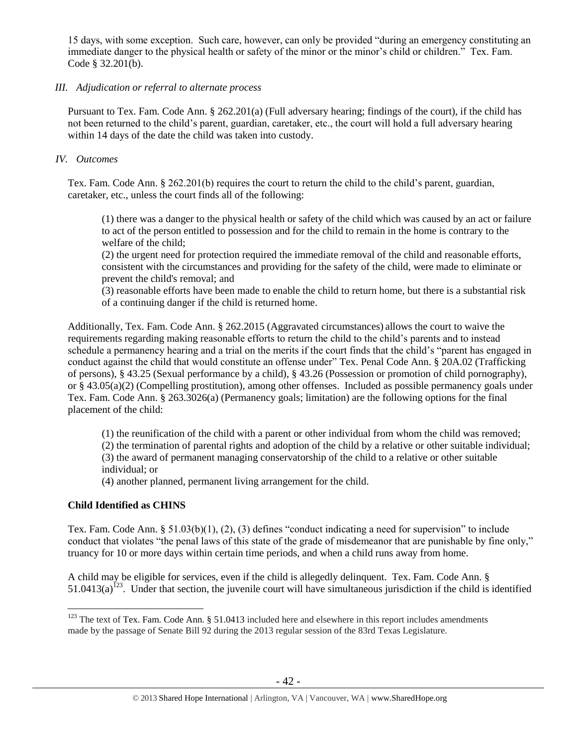15 days, with some exception. Such care, however, can only be provided "during an emergency constituting an immediate danger to the physical health or safety of the minor or the minor's child or children." Tex. Fam. Code § 32.201(b).

#### *III. Adjudication or referral to alternate process*

Pursuant to Tex. Fam. Code Ann. § 262.201(a) (Full adversary hearing; findings of the court), if the child has not been returned to the child's parent, guardian, caretaker, etc., the court will hold a full adversary hearing within 14 days of the date the child was taken into custody.

## *IV. Outcomes*

Tex. Fam. Code Ann. § 262.201(b) requires the court to return the child to the child's parent, guardian, caretaker, etc., unless the court finds all of the following:

(1) there was a danger to the physical health or safety of the child which was caused by an act or failure to act of the person entitled to possession and for the child to remain in the home is contrary to the welfare of the child;

(2) the urgent need for protection required the immediate removal of the child and reasonable efforts, consistent with the circumstances and providing for the safety of the child, were made to eliminate or prevent the child's removal; and

(3) reasonable efforts have been made to enable the child to return home, but there is a substantial risk of a continuing danger if the child is returned home.

Additionally, Tex. Fam. Code Ann. § 262.2015 (Aggravated circumstances) allows the court to waive the requirements regarding making reasonable efforts to return the child to the child's parents and to instead schedule a permanency hearing and a trial on the merits if the court finds that the child's "parent has engaged in conduct against the child that would constitute an offense under" Tex. Penal Code Ann. § 20A.02 (Trafficking of persons), § 43.25 (Sexual performance by a child), § 43.26 (Possession or promotion of child pornography), or § 43.05(a)(2) (Compelling prostitution), among other offenses. Included as possible permanency goals under Tex. Fam. Code Ann. § 263.3026(a) (Permanency goals; limitation) are the following options for the final placement of the child:

(1) the reunification of the child with a parent or other individual from whom the child was removed;

(2) the termination of parental rights and adoption of the child by a relative or other suitable individual; (3) the award of permanent managing conservatorship of the child to a relative or other suitable

individual; or

(4) another planned, permanent living arrangement for the child.

## **Child Identified as CHINS**

 $\overline{a}$ 

Tex. Fam. Code Ann. § 51.03(b)(1), (2), (3) defines "conduct indicating a need for supervision" to include conduct that violates "the penal laws of this state of the grade of misdemeanor that are punishable by fine only," truancy for 10 or more days within certain time periods, and when a child runs away from home.

A child may be eligible for services, even if the child is allegedly delinquent. Tex. Fam. Code Ann. §  $51.0413(a)^{123}$ . Under that section, the juvenile court will have simultaneous jurisdiction if the child is identified

 $123$  The text of Tex. Fam. Code Ann. § 51.0413 included here and elsewhere in this report includes amendments made by the passage of Senate Bill 92 during the 2013 regular session of the 83rd Texas Legislature.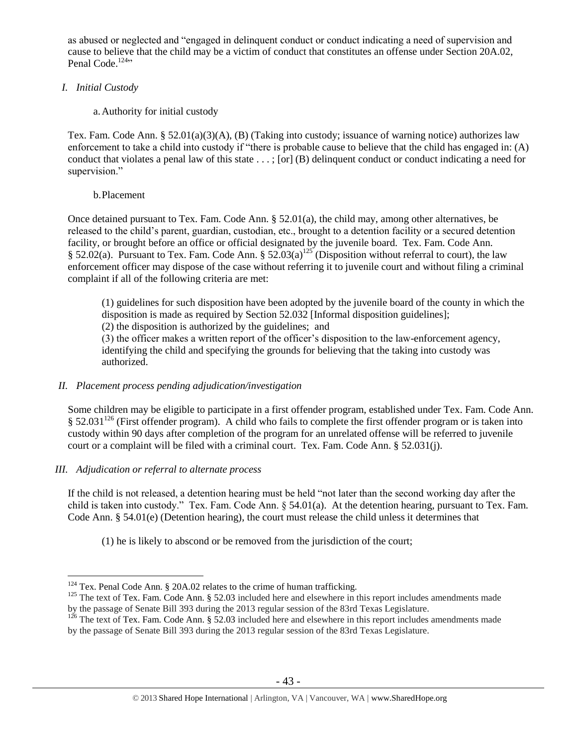as abused or neglected and "engaged in delinquent conduct or conduct indicating a need of supervision and cause to believe that the child may be a victim of conduct that constitutes an offense under Section 20A.02, Penal Code.<sup>124</sup>"

## *I. Initial Custody*

## a.Authority for initial custody

Tex. Fam. Code Ann. § 52.01(a)(3)(A), (B) (Taking into custody; issuance of warning notice) authorizes law enforcement to take a child into custody if "there is probable cause to believe that the child has engaged in: (A) conduct that violates a penal law of this state . . . ; [or] (B) delinquent conduct or conduct indicating a need for supervision."

## b.Placement

Once detained pursuant to Tex. Fam. Code Ann.  $\S 52.01(a)$ , the child may, among other alternatives, be released to the child's parent, guardian, custodian, etc., brought to a detention facility or a secured detention facility, or brought before an office or official designated by the juvenile board. Tex. Fam. Code Ann. § 52.02(a). Pursuant to Tex. Fam. Code Ann. § 52.03(a)<sup>125</sup> (Disposition without referral to court), the law enforcement officer may dispose of the case without referring it to juvenile court and without filing a criminal complaint if all of the following criteria are met:

(1) guidelines for such disposition have been adopted by the juvenile board of the county in which the disposition is made as required by Section 52.032 [Informal disposition guidelines];

(2) the disposition is authorized by the guidelines; and

(3) the officer makes a written report of the officer's disposition to the law-enforcement agency, identifying the child and specifying the grounds for believing that the taking into custody was authorized.

## *II. Placement process pending adjudication/investigation*

Some children may be eligible to participate in a first offender program, established under Tex. Fam. Code Ann. § 52.031<sup>126</sup> (First offender program). A child who fails to complete the first offender program or is taken into custody within 90 days after completion of the program for an unrelated offense will be referred to juvenile court or a complaint will be filed with a criminal court. Tex. Fam. Code Ann. § 52.031(j).

# *III. Adjudication or referral to alternate process*

 $\overline{a}$ 

If the child is not released, a detention hearing must be held "not later than the second working day after the child is taken into custody." Tex. Fam. Code Ann. § 54.01(a). At the detention hearing, pursuant to Tex. Fam. Code Ann. § 54.01(e) (Detention hearing), the court must release the child unless it determines that

(1) he is likely to abscond or be removed from the jurisdiction of the court;

<sup>&</sup>lt;sup>124</sup> Tex. Penal Code Ann. § 20A.02 relates to the crime of human trafficking.

 $125$  The text of Tex. Fam. Code Ann. § 52.03 included here and elsewhere in this report includes amendments made by the passage of Senate Bill 393 during the 2013 regular session of the 83rd Texas Legislature.

 $126$  The text of Tex. Fam. Code Ann. § 52.03 included here and elsewhere in this report includes amendments made by the passage of Senate Bill 393 during the 2013 regular session of the 83rd Texas Legislature.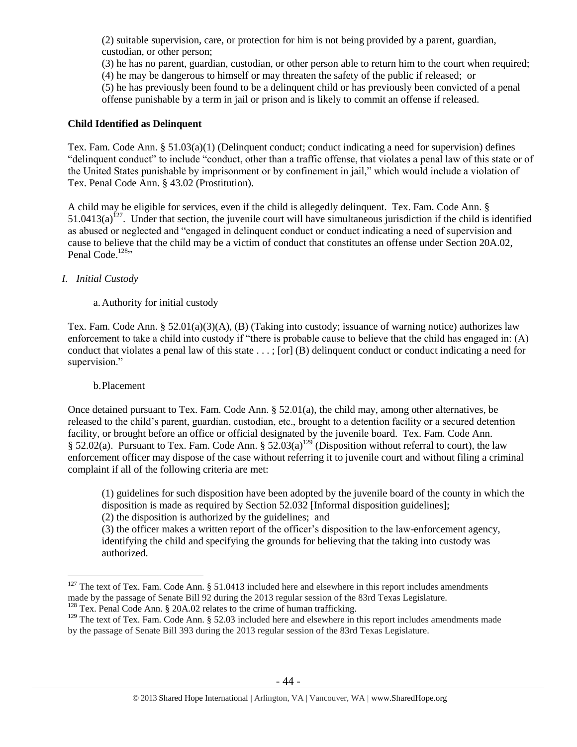(2) suitable supervision, care, or protection for him is not being provided by a parent, guardian, custodian, or other person;

(3) he has no parent, guardian, custodian, or other person able to return him to the court when required;

(4) he may be dangerous to himself or may threaten the safety of the public if released; or

(5) he has previously been found to be a delinquent child or has previously been convicted of a penal offense punishable by a term in jail or prison and is likely to commit an offense if released.

# **Child Identified as Delinquent**

Tex. Fam. Code Ann. § 51.03(a)(1) (Delinquent conduct; conduct indicating a need for supervision) defines "delinquent conduct" to include "conduct, other than a traffic offense, that violates a penal law of this state or of the United States punishable by imprisonment or by confinement in jail," which would include a violation of Tex. Penal Code Ann. § 43.02 (Prostitution).

A child may be eligible for services, even if the child is allegedly delinquent. Tex. Fam. Code Ann. §  $51.0413(a)^{127}$ . Under that section, the juvenile court will have simultaneous jurisdiction if the child is identified as abused or neglected and "engaged in delinquent conduct or conduct indicating a need of supervision and cause to believe that the child may be a victim of conduct that constitutes an offense under Section 20A.02, Penal Code. $128$ "

# *I. Initial Custody*

# a.Authority for initial custody

Tex. Fam. Code Ann. § 52.01(a)(3)(A), (B) (Taking into custody; issuance of warning notice) authorizes law enforcement to take a child into custody if "there is probable cause to believe that the child has engaged in: (A) conduct that violates a penal law of this state . . . ; [or] (B) delinquent conduct or conduct indicating a need for supervision."

## b.Placement

 $\overline{a}$ 

Once detained pursuant to Tex. Fam. Code Ann. § 52.01(a), the child may, among other alternatives, be released to the child's parent, guardian, custodian, etc., brought to a detention facility or a secured detention facility, or brought before an office or official designated by the juvenile board. Tex. Fam. Code Ann. § 52.02(a). Pursuant to Tex. Fam. Code Ann. § 52.03(a)<sup>129</sup> (Disposition without referral to court), the law enforcement officer may dispose of the case without referring it to juvenile court and without filing a criminal complaint if all of the following criteria are met:

(1) guidelines for such disposition have been adopted by the juvenile board of the county in which the disposition is made as required by Section 52.032 [Informal disposition guidelines];

(2) the disposition is authorized by the guidelines; and

(3) the officer makes a written report of the officer's disposition to the law-enforcement agency, identifying the child and specifying the grounds for believing that the taking into custody was authorized.

 $127$  The text of Tex. Fam. Code Ann. § 51.0413 included here and elsewhere in this report includes amendments made by the passage of Senate Bill 92 during the 2013 regular session of the 83rd Texas Legislature.

<sup>&</sup>lt;sup>128</sup> Tex. Penal Code Ann. § 20A.02 relates to the crime of human trafficking.

 $129$  The text of Tex. Fam. Code Ann. § 52.03 included here and elsewhere in this report includes amendments made by the passage of Senate Bill 393 during the 2013 regular session of the 83rd Texas Legislature.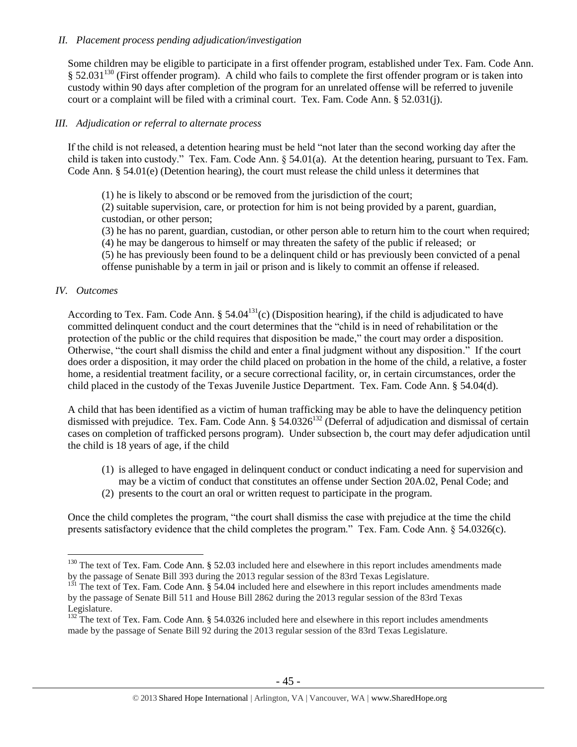#### *II. Placement process pending adjudication/investigation*

Some children may be eligible to participate in a first offender program, established under Tex. Fam. Code Ann.  $§ 52.031<sup>130</sup>$  (First offender program). A child who fails to complete the first offender program or is taken into custody within 90 days after completion of the program for an unrelated offense will be referred to juvenile court or a complaint will be filed with a criminal court. Tex. Fam. Code Ann. § 52.031(j).

#### *III. Adjudication or referral to alternate process*

If the child is not released, a detention hearing must be held "not later than the second working day after the child is taken into custody." Tex. Fam. Code Ann. § 54.01(a). At the detention hearing, pursuant to Tex. Fam. Code Ann. § 54.01(e) (Detention hearing), the court must release the child unless it determines that

(1) he is likely to abscond or be removed from the jurisdiction of the court;

(2) suitable supervision, care, or protection for him is not being provided by a parent, guardian, custodian, or other person;

(3) he has no parent, guardian, custodian, or other person able to return him to the court when required;

(4) he may be dangerous to himself or may threaten the safety of the public if released; or

(5) he has previously been found to be a delinquent child or has previously been convicted of a penal offense punishable by a term in jail or prison and is likely to commit an offense if released.

#### *IV. Outcomes*

 $\overline{a}$ 

According to Tex. Fam. Code Ann. §  $54.04^{131}$ (c) (Disposition hearing), if the child is adjudicated to have committed delinquent conduct and the court determines that the "child is in need of rehabilitation or the protection of the public or the child requires that disposition be made," the court may order a disposition. Otherwise, "the court shall dismiss the child and enter a final judgment without any disposition." If the court does order a disposition, it may order the child placed on probation in the home of the child, a relative, a foster home, a residential treatment facility, or a secure correctional facility, or, in certain circumstances, order the child placed in the custody of the Texas Juvenile Justice Department. Tex. Fam. Code Ann. § 54.04(d).

A child that has been identified as a victim of human trafficking may be able to have the delinquency petition dismissed with prejudice. Tex. Fam. Code Ann. § 54.0326<sup>132</sup> (Deferral of adjudication and dismissal of certain cases on completion of trafficked persons program). Under subsection b, the court may defer adjudication until the child is 18 years of age, if the child

- (1) is alleged to have engaged in delinquent conduct or conduct indicating a need for supervision and may be a victim of conduct that constitutes an offense under Section 20A.02, Penal Code; and
- (2) presents to the court an oral or written request to participate in the program.

Once the child completes the program, "the court shall dismiss the case with prejudice at the time the child presents satisfactory evidence that the child completes the program." Tex. Fam. Code Ann. § 54.0326(c).

<sup>&</sup>lt;sup>130</sup> The text of Tex. Fam. Code Ann. § 52.03 included here and elsewhere in this report includes amendments made by the passage of Senate Bill 393 during the 2013 regular session of the 83rd Texas Legislature.

<sup>&</sup>lt;sup>131</sup> The text of Tex. Fam. Code Ann. § 54.04 included here and elsewhere in this report includes amendments made by the passage of Senate Bill 511 and House Bill 2862 during the 2013 regular session of the 83rd Texas Legislature.

<sup>&</sup>lt;sup>132</sup> The text of Tex. Fam. Code Ann. § 54.0326 included here and elsewhere in this report includes amendments made by the passage of Senate Bill 92 during the 2013 regular session of the 83rd Texas Legislature.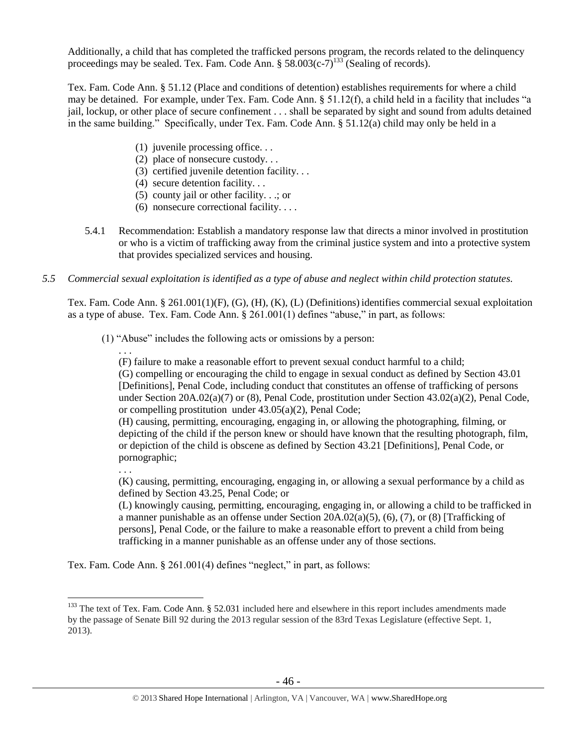Additionally, a child that has completed the trafficked persons program, the records related to the delinquency proceedings may be sealed. Tex. Fam. Code Ann.  $\S 58.003(c-7)^{133}$  (Sealing of records).

Tex. Fam. Code Ann. § 51.12 (Place and conditions of detention) establishes requirements for where a child may be detained. For example, under Tex. Fam. Code Ann. § 51.12(f), a child held in a facility that includes "a jail, lockup, or other place of secure confinement . . . shall be separated by sight and sound from adults detained in the same building." Specifically, under Tex. Fam. Code Ann. § 51.12(a) child may only be held in a

- (1) juvenile processing office. . .
- (2) place of nonsecure custody. . .
- (3) certified juvenile detention facility. . .
- (4) secure detention facility. . .
- (5) county jail or other facility. . .; or
- (6) nonsecure correctional facility. . . .
- 5.4.1 Recommendation: Establish a mandatory response law that directs a minor involved in prostitution or who is a victim of trafficking away from the criminal justice system and into a protective system that provides specialized services and housing.
- *5.5 Commercial sexual exploitation is identified as a type of abuse and neglect within child protection statutes.*

Tex. Fam. Code Ann. § 261.001(1)(F), (G), (H), (K), (L) (Definitions) identifies commercial sexual exploitation as a type of abuse. Tex. Fam. Code Ann. § 261.001(1) defines "abuse," in part, as follows:

- (1) "Abuse" includes the following acts or omissions by a person:
	- . . .

(F) failure to make a reasonable effort to prevent sexual conduct harmful to a child;

(G) compelling or encouraging the child to engage in sexual conduct as defined by [Section 43.01](https://www.lexis.com/research/buttonTFLink?_m=83b2ce932a1e7eac9e414c9f32828c7c&_xfercite=%3ccite%20cc%3d%22USA%22%3e%3c%21%5bCDATA%5bTex.%20Fam.%20Code%20%a7%20261.001%5d%5d%3e%3c%2fcite%3e&_butType=4&_butStat=0&_butNum=6&_butInline=1&_butinfo=TX%20PEN%2043.01&_fmtstr=FULL&docnum=1&_startdoc=1&wchp=dGLzVlz-zSkAA&_md5=778cc6ae4cf2b3ddb079250489f65ae2)  [\[Definitions\], Penal Code,](https://www.lexis.com/research/buttonTFLink?_m=83b2ce932a1e7eac9e414c9f32828c7c&_xfercite=%3ccite%20cc%3d%22USA%22%3e%3c%21%5bCDATA%5bTex.%20Fam.%20Code%20%a7%20261.001%5d%5d%3e%3c%2fcite%3e&_butType=4&_butStat=0&_butNum=6&_butInline=1&_butinfo=TX%20PEN%2043.01&_fmtstr=FULL&docnum=1&_startdoc=1&wchp=dGLzVlz-zSkAA&_md5=778cc6ae4cf2b3ddb079250489f65ae2) including conduct that constitutes an offense of trafficking of persons under Section 20A.02(a)(7) or (8), Penal Code, prostitution under Section 43.02(a)(2), Penal Code, or compelling prostitution under 43.05(a)(2), Penal Code;

(H) causing, permitting, encouraging, engaging in, or allowing the photographing, filming, or depicting of the child if the person knew or should have known that the resulting photograph, film, or depiction of the child is obscene as defined by Section 43.21 [Definitions], Penal Code, or pornographic;

. . .

 $\overline{a}$ 

(K) causing, permitting, encouraging, engaging in, or allowing a sexual performance by a child as defined by Section 43.25, Penal Code; or

(L) knowingly causing, permitting, encouraging, engaging in, or allowing a child to be trafficked in a manner punishable as an offense under Section  $20A.02(a)(5)$ ,  $(6)$ ,  $(7)$ , or  $(8)$  [Trafficking of persons], Penal Code, or the failure to make a reasonable effort to prevent a child from being trafficking in a manner punishable as an offense under any of those sections.

Tex. Fam. Code Ann. § 261.001(4) defines "neglect," in part, as follows:

 $133$  The text of Tex. Fam. Code Ann. § 52.031 included here and elsewhere in this report includes amendments made by the passage of Senate Bill 92 during the 2013 regular session of the 83rd Texas Legislature (effective Sept. 1, 2013).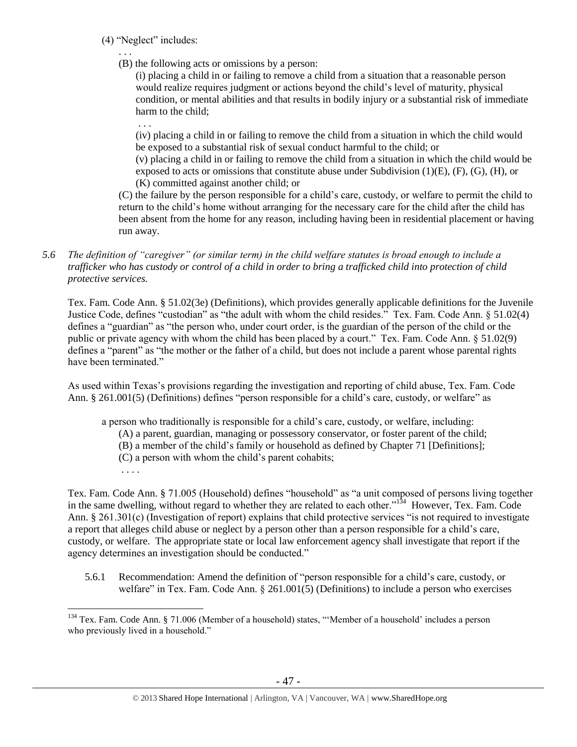- (4) "Neglect" includes:
	- . . .
	- (B) the following acts or omissions by a person:

(i) placing a child in or failing to remove a child from a situation that a reasonable person would realize requires judgment or actions beyond the child's level of maturity, physical condition, or mental abilities and that results in bodily injury or a substantial risk of immediate harm to the child;

. . .

(iv) placing a child in or failing to remove the child from a situation in which the child would be exposed to a substantial risk of sexual conduct harmful to the child; or

(v) placing a child in or failing to remove the child from a situation in which the child would be exposed to acts or omissions that constitute abuse under Subdivision  $(1)(E)$ ,  $(F)$ ,  $(G)$ ,  $(H)$ , or (K) committed against another child; or

(C) the failure by the person responsible for a child's care, custody, or welfare to permit the child to return to the child's home without arranging for the necessary care for the child after the child has been absent from the home for any reason, including having been in residential placement or having run away.

*5.6 The definition of "caregiver" (or similar term) in the child welfare statutes is broad enough to include a trafficker who has custody or control of a child in order to bring a trafficked child into protection of child protective services.*

Tex. Fam. Code Ann. § 51.02(3e) (Definitions), which provides generally applicable definitions for the Juvenile Justice Code, defines "custodian" as "the adult with whom the child resides." Tex. Fam. Code Ann. § 51.02(4) defines a "guardian" as "the person who, under court order, is the guardian of the person of the child or the public or private agency with whom the child has been placed by a court." Tex. Fam. Code Ann. § 51.02(9) defines a "parent" as "the mother or the father of a child, but does not include a parent whose parental rights have been terminated."

As used within Texas's provisions regarding the investigation and reporting of child abuse, Tex. Fam. Code Ann. § 261.001(5) (Definitions) defines "person responsible for a child's care, custody, or welfare" as

a person who traditionally is responsible for a child's care, custody, or welfare, including:

- (A) a parent, guardian, managing or possessory conservator, or foster parent of the child;
- (B) a member of the child's family or household as defined by Chapter 71 [Definitions];
- (C) a person with whom the child's parent cohabits;
- . . . .

Tex. Fam. Code Ann. § 71.005 (Household) defines "household" as "a unit composed of persons living together in the same dwelling, without regard to whether they are related to each other."<sup>134</sup> However, Tex. Fam. Code Ann. § 261.301(c) (Investigation of report) explains that child protective services "is not required to investigate a report that alleges child abuse or neglect by a person other than a person responsible for a child's care, custody, or welfare. The appropriate state or local law enforcement agency shall investigate that report if the agency determines an investigation should be conducted."

5.6.1 Recommendation: Amend the definition of "person responsible for a child's care, custody, or welfare" in Tex. Fam. Code Ann. § 261.001(5) (Definitions) to include a person who exercises

 $\overline{a}$ <sup>134</sup> Tex. Fam. Code Ann. § 71.006 (Member of a household) states, "'Member of a household' includes a person who previously lived in a household."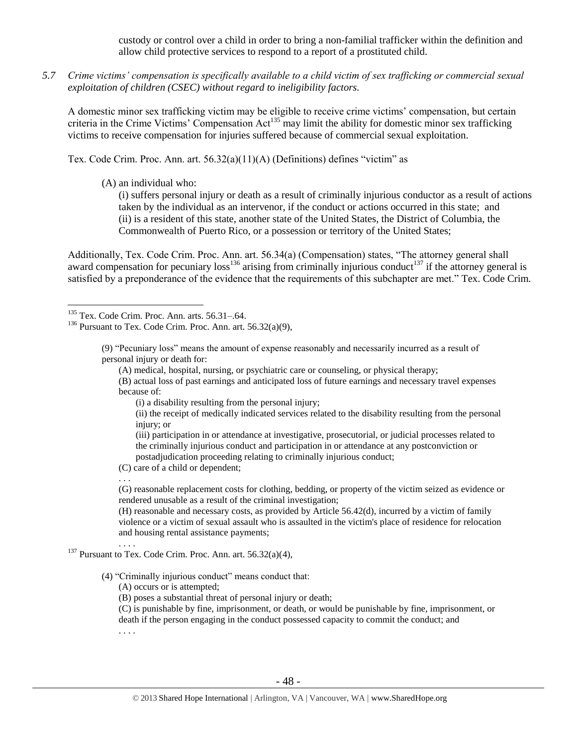custody or control over a child in order to bring a non-familial trafficker within the definition and allow child protective services to respond to a report of a prostituted child.

*5.7 Crime victims' compensation is specifically available to a child victim of sex trafficking or commercial sexual exploitation of children (CSEC) without regard to ineligibility factors.*

A domestic minor sex trafficking victim may be eligible to receive crime victims' compensation, but certain criteria in the Crime Victims' Compensation Act<sup>135</sup> may limit the ability for domestic minor sex trafficking victims to receive compensation for injuries suffered because of commercial sexual exploitation.

Tex. Code Crim. Proc. Ann. art.  $56.32(a)(11)(A)$  (Definitions) defines "victim" as

(A) an individual who:

(i) suffers personal injury or death as a result of criminally injurious conductor as a result of actions taken by the individual as an intervenor, if the conduct or actions occurred in this state; and (ii) is a resident of this state, another state of the United States, the District of Columbia, the Commonwealth of Puerto Rico, or a possession or territory of the United States;

Additionally, Tex. Code Crim. Proc. Ann. art. 56.34(a) (Compensation) states, "The attorney general shall award compensation for pecuniary  $\cos^{136}$  arising from criminally injurious conduct<sup>137</sup> if the attorney general is satisfied by a preponderance of the evidence that the requirements of this subchapter are met." Tex. Code Crim.

 $\overline{a}$ 

(A) medical, hospital, nursing, or psychiatric care or counseling, or physical therapy;

(B) actual loss of past earnings and anticipated loss of future earnings and necessary travel expenses because of:

(i) a disability resulting from the personal injury;

(ii) the receipt of medically indicated services related to the disability resulting from the personal injury; or

(iii) participation in or attendance at investigative, prosecutorial, or judicial processes related to the criminally injurious conduct and participation in or attendance at any postconviction or postadjudication proceeding relating to criminally injurious conduct;

(C) care of a child or dependent;

(G) reasonable replacement costs for clothing, bedding, or property of the victim seized as evidence or rendered unusable as a result of the criminal investigation;

(H) reasonable and necessary costs, as provided by Article 56.42(d), incurred by a victim of family violence or a victim of sexual assault who is assaulted in the victim's place of residence for relocation and housing rental assistance payments;

(A) occurs or is attempted;

(B) poses a substantial threat of personal injury or death;

(C) is punishable by fine, imprisonment, or death, or would be punishable by fine, imprisonment, or death if the person engaging in the conduct possessed capacity to commit the conduct; and

. . . .

. . .

. . . .

 $135$  Tex. Code Crim. Proc. Ann. arts. 56.31–.64.

 $136$  Pursuant to Tex. Code Crim. Proc. Ann. art. 56.32(a)(9),

<sup>(9)</sup> "Pecuniary loss" means the amount of expense reasonably and necessarily incurred as a result of personal injury or death for:

<sup>&</sup>lt;sup>137</sup> Pursuant to Tex. Code Crim. Proc. Ann. art.  $56.32(a)(4)$ ,

<sup>(4)</sup> "Criminally injurious conduct" means conduct that: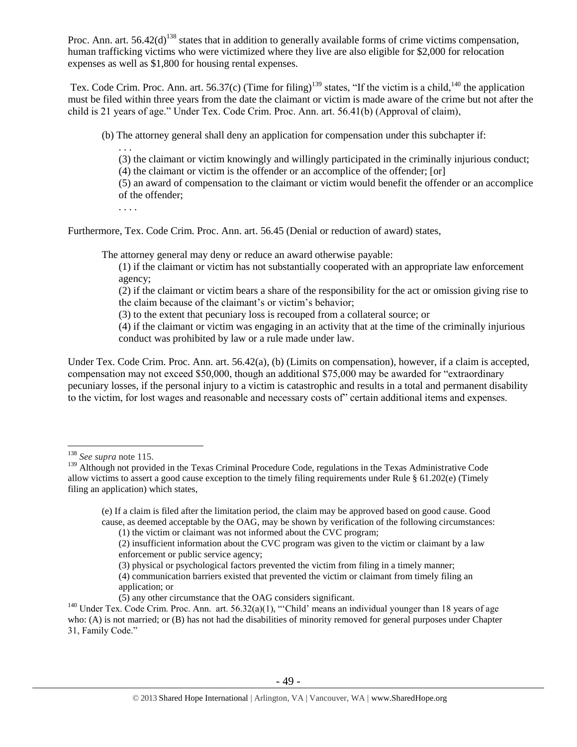Proc. Ann. art.  $56.42(d)^{138}$  states that in addition to generally available forms of crime victims compensation, human trafficking victims who were victimized where they live are also eligible for \$2,000 for relocation expenses as well as \$1,800 for housing rental expenses.

Tex. Code Crim. Proc. Ann. art. 56.37(c) (Time for filing)<sup>139</sup> states, "If the victim is a child,<sup>140</sup> the application must be filed within three years from the date the claimant or victim is made aware of the crime but not after the child is 21 years of age." Under Tex. Code Crim. Proc. Ann. art. 56.41(b) (Approval of claim),

(b) The attorney general shall deny an application for compensation under this subchapter if:

. . .

(3) the claimant or victim knowingly and willingly participated in the criminally injurious conduct;

(4) the claimant or victim is the offender or an accomplice of the offender; [or]

(5) an award of compensation to the claimant or victim would benefit the offender or an accomplice of the offender;

. . . .

Furthermore, Tex. Code Crim. Proc. Ann. art. 56.45 (Denial or reduction of award) states,

The attorney general may deny or reduce an award otherwise payable:

(1) if the claimant or victim has not substantially cooperated with an appropriate law enforcement agency;

(2) if the claimant or victim bears a share of the responsibility for the act or omission giving rise to the claim because of the claimant's or victim's behavior;

(3) to the extent that pecuniary loss is recouped from a collateral source; or

(4) if the claimant or victim was engaging in an activity that at the time of the criminally injurious conduct was prohibited by law or a rule made under law.

Under Tex. Code Crim. Proc. Ann. art. 56.42(a), (b) (Limits on compensation), however, if a claim is accepted, compensation may not exceed \$50,000, though an additional \$75,000 may be awarded for "extraordinary pecuniary losses, if the personal injury to a victim is catastrophic and results in a total and permanent disability to the victim, for lost wages and reasonable and necessary costs of" certain additional items and expenses.

 $\overline{a}$ 

(1) the victim or claimant was not informed about the CVC program;

<sup>138</sup> *See supra* not[e 115.](#page-37-0)

<sup>&</sup>lt;sup>139</sup> Although not provided in the Texas Criminal Procedure Code, regulations in the Texas Administrative Code allow victims to assert a good cause exception to the timely filing requirements under Rule § 61.202(e) (Timely filing an application) which states,

<sup>(</sup>e) If a claim is filed after the limitation period, the claim may be approved based on good cause. Good cause, as deemed acceptable by the OAG, may be shown by verification of the following circumstances:

<sup>(2)</sup> insufficient information about the CVC program was given to the victim or claimant by a law enforcement or public service agency;

<sup>(3)</sup> physical or psychological factors prevented the victim from filing in a timely manner;

<sup>(4)</sup> communication barriers existed that prevented the victim or claimant from timely filing an application; or

<sup>(5)</sup> any other circumstance that the OAG considers significant.

<sup>&</sup>lt;sup>140</sup> Under Tex. Code Crim. Proc. Ann. art. 56.32(a)(1), "'Child' means an individual younger than 18 years of age who: (A) is not married; or (B) has not had the disabilities of minority removed for general purposes under Chapter 31, Family Code."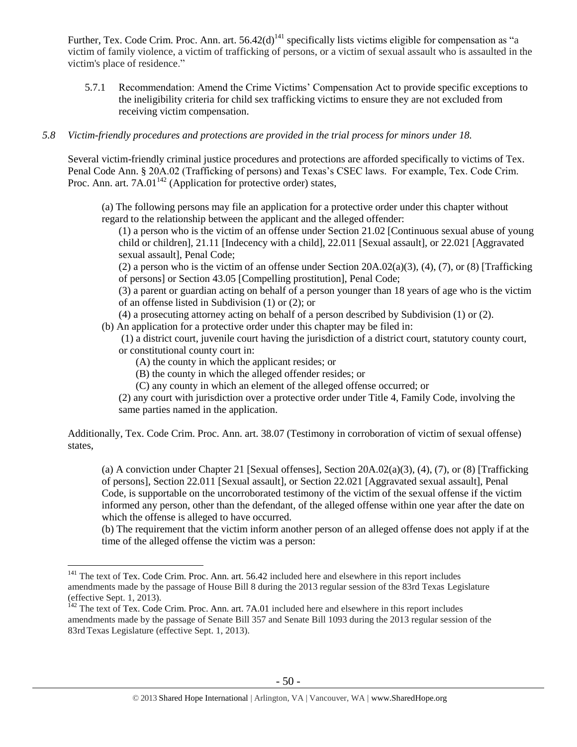Further, Tex. Code Crim. Proc. Ann. art.  $56.42(d)^{141}$  specifically lists victims eligible for compensation as "a victim of family violence, a victim of trafficking of persons, or a victim of sexual assault who is assaulted in the victim's place of residence."

5.7.1 Recommendation: Amend the Crime Victims' Compensation Act to provide specific exceptions to the ineligibility criteria for child sex trafficking victims to ensure they are not excluded from receiving victim compensation.

#### *5.8 Victim-friendly procedures and protections are provided in the trial process for minors under 18.*

Several victim-friendly criminal justice procedures and protections are afforded specifically to victims of Tex. Penal Code Ann. § 20A.02 (Trafficking of persons) and Texas's CSEC laws. For example, Tex. Code Crim. Proc. Ann. art.  $7A.01^{142}$  (Application for protective order) states,

(a) The following persons may file an application for a protective order under this chapter without regard to the relationship between the applicant and the alleged offender:

(1) a person who is the victim of an offense under Section 21.02 [Continuous sexual abuse of young child or children], 21.11 [Indecency with a child], 22.011 [Sexual assault], or 22.021 [Aggravated sexual assault], Penal Code;

(2) a person who is the victim of an offense under Section  $20A.02(a)(3)$ , (4), (7), or (8) [Trafficking of persons] or Section 43.05 [Compelling prostitution], Penal Code;

(3) a parent or guardian acting on behalf of a person younger than 18 years of age who is the victim of an offense listed in Subdivision (1) or (2); or

(4) a prosecuting attorney acting on behalf of a person described by Subdivision (1) or (2).

(b) An application for a protective order under this chapter may be filed in:

(1) a district court, juvenile court having the jurisdiction of a district court, statutory county court, or constitutional county court in:

(A) the county in which the applicant resides; or

 $\overline{a}$ 

(B) the county in which the alleged offender resides; or

(C) any county in which an element of the alleged offense occurred; or

(2) any court with jurisdiction over a protective order under Title 4, Family Code, involving the same parties named in the application.

Additionally, Tex. Code Crim. Proc. Ann. art. 38.07 (Testimony in corroboration of victim of sexual offense) states,

(a) A conviction under Chapter 21 [Sexual offenses], Section 20A.02(a)(3), (4), (7), or (8) [Trafficking of persons], Section 22.011 [Sexual assault], or Section 22.021 [Aggravated sexual assault], Penal Code, is supportable on the uncorroborated testimony of the victim of the sexual offense if the victim informed any person, other than the defendant, of the alleged offense within one year after the date on which the offense is alleged to have occurred.

(b) The requirement that the victim inform another person of an alleged offense does not apply if at the time of the alleged offense the victim was a person:

<sup>&</sup>lt;sup>141</sup> The text of Tex. Code Crim. Proc. Ann. art. 56.42 included here and elsewhere in this report includes amendments made by the passage of House Bill 8 during the 2013 regular session of the 83rd Texas Legislature (effective Sept. 1, 2013).

<sup>&</sup>lt;sup>142</sup> The text of Tex. Code Crim. Proc. Ann. art. 7A.01 included here and elsewhere in this report includes amendments made by the passage of Senate Bill 357 and Senate Bill 1093 during the 2013 regular session of the 83rdTexas Legislature (effective Sept. 1, 2013).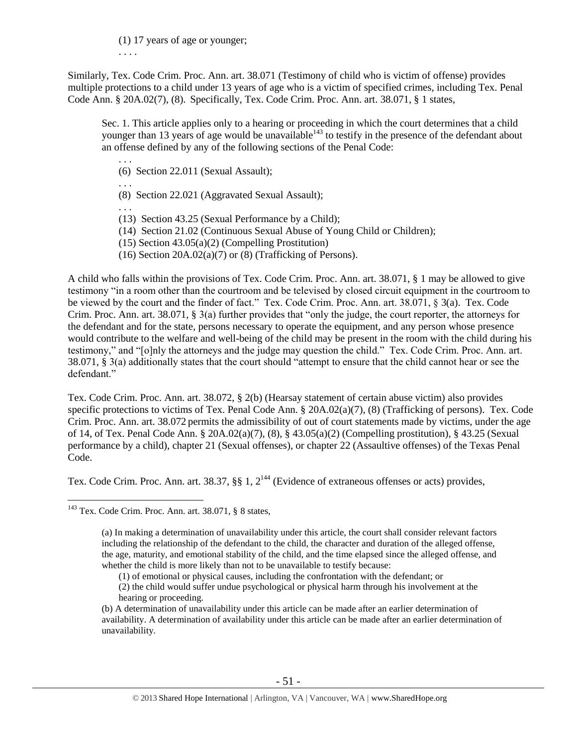(1) 17 years of age or younger; . . . .

Similarly, Tex. Code Crim. Proc. Ann. art. 38.071 (Testimony of child who is victim of offense) provides multiple protections to a child under 13 years of age who is a victim of specified crimes, including Tex. Penal Code Ann. § 20A.02(7), (8). Specifically, Tex. Code Crim. Proc. Ann. art. 38.071, § 1 states,

Sec. 1. This article applies only to a hearing or proceeding in which the court determines that a child younger than 13 years of age would be unavailable<sup>143</sup> to testify in the presence of the defendant about an offense defined by any of the following sections of the Penal Code:

. . . (6) Section 22.011 (Sexual Assault);

. . .

- (8) Section 22.021 (Aggravated Sexual Assault);
- . . . (13) Section 43.25 (Sexual Performance by a Child);
- (14) Section 21.02 (Continuous Sexual Abuse of Young Child or Children);
- (15) Section 43.05(a)(2) (Compelling Prostitution)
- (16) Section  $20A.02(a)(7)$  or (8) (Trafficking of Persons).

A child who falls within the provisions of Tex. Code Crim. Proc. Ann. art. 38.071, § 1 may be allowed to give testimony "in a room other than the courtroom and be televised by closed circuit equipment in the courtroom to be viewed by the court and the finder of fact." Tex. Code Crim. Proc. Ann. art. 38.071, § 3(a). Tex. Code Crim. Proc. Ann. art. 38.071, § 3(a) further provides that "only the judge, the court reporter, the attorneys for the defendant and for the state, persons necessary to operate the equipment, and any person whose presence would contribute to the welfare and well-being of the child may be present in the room with the child during his testimony," and "[o]nly the attorneys and the judge may question the child." Tex. Code Crim. Proc. Ann. art. 38.071, § 3(a) additionally states that the court should "attempt to ensure that the child cannot hear or see the defendant."

Tex. Code Crim. Proc. Ann. art. 38.072, § 2(b) (Hearsay statement of certain abuse victim) also provides specific protections to victims of Tex. Penal Code Ann. § 20A.02(a)(7), (8) (Trafficking of persons). Tex. Code Crim. Proc. Ann. art. 38.072 permits the admissibility of out of court statements made by victims, under the age of 14, of Tex. Penal Code Ann. § 20A.02(a)(7), (8), § 43.05(a)(2) (Compelling prostitution), § 43.25 (Sexual performance by a child), chapter 21 (Sexual offenses), or chapter 22 (Assaultive offenses) of the Texas Penal Code.

Tex. Code Crim. Proc. Ann. art. 38.37,  $\S$ , 1,  $2^{144}$  (Evidence of extraneous offenses or acts) provides,

<sup>143</sup> Tex. Code Crim. Proc. Ann. art. 38.071, § 8 states,

<sup>(</sup>a) In making a determination of unavailability under this article, the court shall consider relevant factors including the relationship of the defendant to the child, the character and duration of the alleged offense, the age, maturity, and emotional stability of the child, and the time elapsed since the alleged offense, and whether the child is more likely than not to be unavailable to testify because:

<sup>(1)</sup> of emotional or physical causes, including the confrontation with the defendant; or

<sup>(2)</sup> the child would suffer undue psychological or physical harm through his involvement at the hearing or proceeding.

<sup>(</sup>b) A determination of unavailability under this article can be made after an earlier determination of availability. A determination of availability under this article can be made after an earlier determination of unavailability.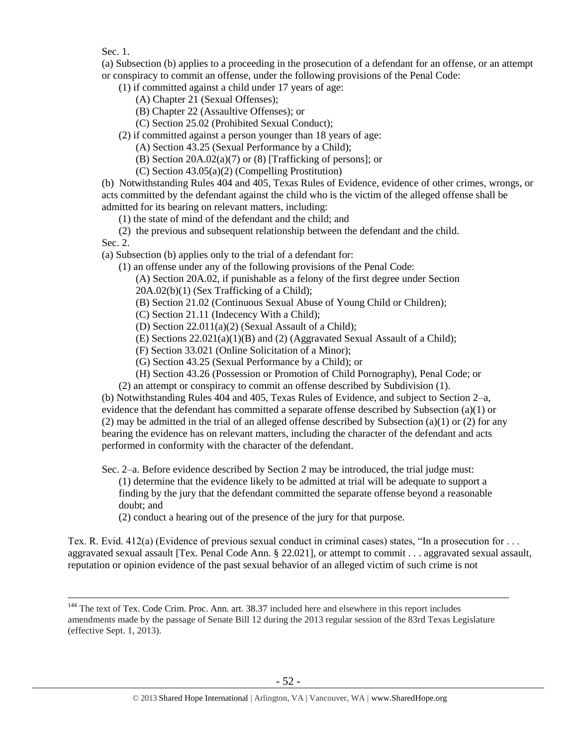Sec. 1.

 $\overline{a}$ 

(a) Subsection (b) applies to a proceeding in the prosecution of a defendant for an offense, or an attempt or conspiracy to commit an offense, under the following provisions of the Penal Code:

(1) if committed against a child under 17 years of age:

- (A) Chapter 21 (Sexual Offenses);
- (B) Chapter 22 (Assaultive Offenses); or
- (C) Section 25.02 (Prohibited Sexual Conduct);
- (2) if committed against a person younger than 18 years of age:
	- (A) Section 43.25 (Sexual Performance by a Child);
	- (B) Section 20A.02(a)(7) or (8) [Trafficking of persons]; or
	- (C) Section 43.05(a)(2) (Compelling Prostitution)

(b) Notwithstanding Rules 404 and 405, Texas Rules of Evidence, evidence of other crimes, wrongs, or acts committed by the defendant against the child who is the victim of the alleged offense shall be admitted for its bearing on relevant matters, including:

(1) the state of mind of the defendant and the child; and

(2) the previous and subsequent relationship between the defendant and the child. Sec. 2.

(a) Subsection (b) applies only to the trial of a defendant for:

(1) an offense under any of the following provisions of the Penal Code:

(A) Section 20A.02, if punishable as a felony of the first degree under Section

20A.02(b)(1) (Sex Trafficking of a Child);

(B) Section 21.02 (Continuous Sexual Abuse of Young Child or Children);

(C) Section 21.11 (Indecency With a Child);

(D) Section 22.011(a)(2) (Sexual Assault of a Child);

(E) Sections 22.021(a)(1)(B) and (2) (Aggravated Sexual Assault of a Child);

(F) Section 33.021 (Online Solicitation of a Minor);

(G) Section 43.25 (Sexual Performance by a Child); or

(H) Section 43.26 (Possession or Promotion of Child Pornography), Penal Code; or

(2) an attempt or conspiracy to commit an offense described by Subdivision (1).

(b) Notwithstanding Rules 404 and 405, Texas Rules of Evidence, and subject to Section 2–a, evidence that the defendant has committed a separate offense described by Subsection (a)(1) or (2) may be admitted in the trial of an alleged offense described by Subsection (a)(1) or (2) for any bearing the evidence has on relevant matters, including the character of the defendant and acts performed in conformity with the character of the defendant.

Sec. 2–a. Before evidence described by Section 2 may be introduced, the trial judge must: (1) determine that the evidence likely to be admitted at trial will be adequate to support a finding by the jury that the defendant committed the separate offense beyond a reasonable doubt; and

(2) conduct a hearing out of the presence of the jury for that purpose.

Tex. R. Evid. 412(a) (Evidence of previous sexual conduct in criminal cases) states, "In a prosecution for . . . aggravated sexual assault [Tex. Penal Code Ann. § 22.021], or attempt to commit . . . aggravated sexual assault, reputation or opinion evidence of the past sexual behavior of an alleged victim of such crime is not

<sup>&</sup>lt;sup>144</sup> The text of Tex. Code Crim. Proc. Ann. art. 38.37 included here and elsewhere in this report includes amendments made by the passage of Senate Bill 12 during the 2013 regular session of the 83rd Texas Legislature (effective Sept. 1, 2013).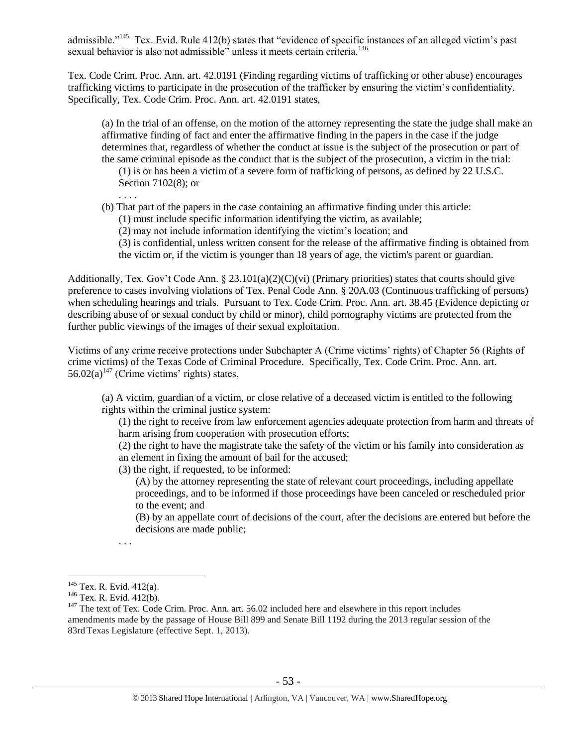admissible."<sup>145</sup> Tex. Evid. Rule 412(b) states that "evidence of specific instances of an alleged victim's past sexual behavior is also not admissible" unless it meets certain criteria.<sup>146</sup>

Tex. Code Crim. Proc. Ann. art. 42.0191 (Finding regarding victims of trafficking or other abuse) encourages trafficking victims to participate in the prosecution of the trafficker by ensuring the victim's confidentiality. Specifically, Tex. Code Crim. Proc. Ann. art. 42.0191 states,

(a) In the trial of an offense, on the motion of the attorney representing the state the judge shall make an affirmative finding of fact and enter the affirmative finding in the papers in the case if the judge determines that, regardless of whether the conduct at issue is the subject of the prosecution or part of the same criminal episode as the conduct that is the subject of the prosecution, a victim in the trial:

(1) is or has been a victim of a severe form of trafficking of persons, as defined by 22 U.S.C. Section 7102(8); or

. . . .

(b) That part of the papers in the case containing an affirmative finding under this article:

(1) must include specific information identifying the victim, as available;

(2) may not include information identifying the victim's location; and

(3) is confidential, unless written consent for the release of the affirmative finding is obtained from the victim or, if the victim is younger than 18 years of age, the victim's parent or guardian.

Additionally, Tex. Gov't Code Ann.  $\S 23.101(a)(2)(C)(vi)$  (Primary priorities) states that courts should give preference to cases involving violations of Tex. Penal Code Ann. § 20A.03 (Continuous trafficking of persons) when scheduling hearings and trials. Pursuant to Tex. Code Crim. Proc. Ann. art. 38.45 (Evidence depicting or describing abuse of or sexual conduct by child or minor), child pornography victims are protected from the further public viewings of the images of their sexual exploitation.

Victims of any crime receive protections under Subchapter A (Crime victims' rights) of Chapter 56 (Rights of crime victims) of the Texas Code of Criminal Procedure. Specifically, Tex. Code Crim. Proc. Ann. art. 56.02(a)<sup>147</sup> (Crime victims' rights) states,

(a) A victim, guardian of a victim, or close relative of a deceased victim is entitled to the following rights within the criminal justice system:

(1) the right to receive from law enforcement agencies adequate protection from harm and threats of harm arising from cooperation with prosecution efforts;

(2) the right to have the magistrate take the safety of the victim or his family into consideration as an element in fixing the amount of bail for the accused;

(3) the right, if requested, to be informed:

(A) by the attorney representing the state of relevant court proceedings, including appellate proceedings, and to be informed if those proceedings have been canceled or rescheduled prior to the event; and

(B) by an appellate court of decisions of the court, after the decisions are entered but before the decisions are made public;

<sup>. . .</sup> 

<sup>&</sup>lt;sup>145</sup> Tex. R. Evid. 412(a).

<sup>&</sup>lt;sup>146</sup> Tex. R. Evid. 412(b).

<sup>&</sup>lt;sup>147</sup> The text of Tex. Code Crim. Proc. Ann. art. 56.02 included here and elsewhere in this report includes amendments made by the passage of House Bill 899 and Senate Bill 1192 during the 2013 regular session of the 83rd Texas Legislature (effective Sept. 1, 2013).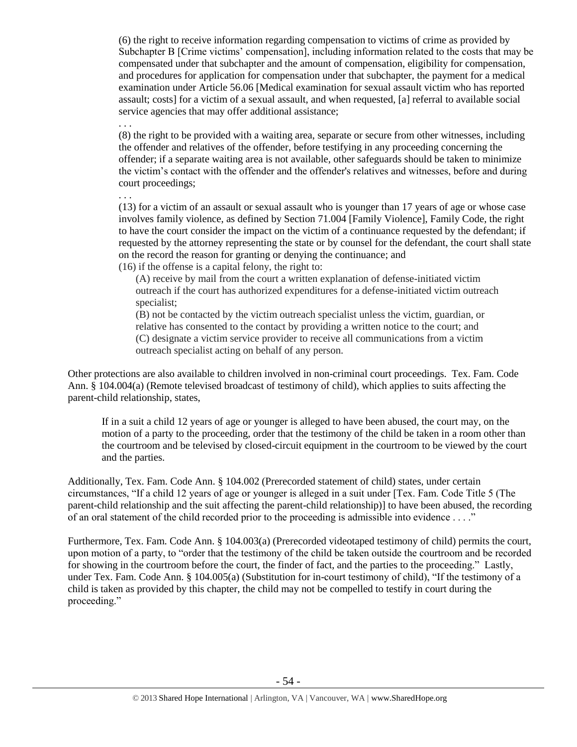(6) the right to receive information regarding compensation to victims of crime as provided by Subchapter B [Crime victims' compensation], including information related to the costs that may be compensated under that subchapter and the amount of compensation, eligibility for compensation, and procedures for application for compensation under that subchapter, the payment for a medical examination under Article 56.06 [Medical examination for sexual assault victim who has reported assault; costs] for a victim of a sexual assault, and when requested, [a] referral to available social service agencies that may offer additional assistance;

. . .

(8) the right to be provided with a waiting area, separate or secure from other witnesses, including the offender and relatives of the offender, before testifying in any proceeding concerning the offender; if a separate waiting area is not available, other safeguards should be taken to minimize the victim's contact with the offender and the offender's relatives and witnesses, before and during court proceedings;

. . . (13) for a victim of an assault or sexual assault who is younger than 17 years of age or whose case involves family violence, as defined by Section 71.004 [Family Violence], Family Code, the right to have the court consider the impact on the victim of a continuance requested by the defendant; if requested by the attorney representing the state or by counsel for the defendant, the court shall state on the record the reason for granting or denying the continuance; and (16) if the offense is a capital felony, the right to:

(A) receive by mail from the court a written explanation of defense-initiated victim outreach if the court has authorized expenditures for a defense-initiated victim outreach specialist;

(B) not be contacted by the victim outreach specialist unless the victim, guardian, or relative has consented to the contact by providing a written notice to the court; and (C) designate a victim service provider to receive all communications from a victim outreach specialist acting on behalf of any person.

Other protections are also available to children involved in non-criminal court proceedings. Tex. Fam. Code Ann. § 104.004(a) (Remote televised broadcast of testimony of child), which applies to suits affecting the parent-child relationship, states,

If in a suit a child 12 years of age or younger is alleged to have been abused, the court may, on the motion of a party to the proceeding, order that the testimony of the child be taken in a room other than the courtroom and be televised by closed-circuit equipment in the courtroom to be viewed by the court and the parties.

Additionally, Tex. Fam. Code Ann. § 104.002 (Prerecorded statement of child) states, under certain circumstances, "If a child 12 years of age or younger is alleged in a suit under [Tex. Fam. Code Title 5 (The parent-child relationship and the suit affecting the parent-child relationship)] to have been abused, the recording of an oral statement of the child recorded prior to the proceeding is admissible into evidence . . . ."

Furthermore, Tex. Fam. Code Ann. § 104.003(a) (Prerecorded videotaped testimony of child) permits the court, upon motion of a party, to "order that the testimony of the child be taken outside the courtroom and be recorded for showing in the courtroom before the court, the finder of fact, and the parties to the proceeding." Lastly, under Tex. Fam. Code Ann. § 104.005(a) (Substitution for in-court testimony of child), "If the testimony of a child is taken as provided by this chapter, the child may not be compelled to testify in court during the proceeding."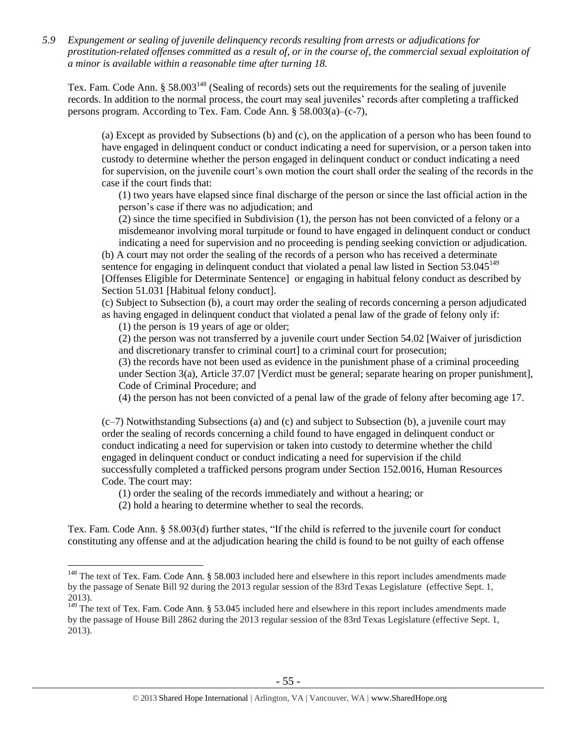*5.9 Expungement or sealing of juvenile delinquency records resulting from arrests or adjudications for prostitution-related offenses committed as a result of, or in the course of, the commercial sexual exploitation of a minor is available within a reasonable time after turning 18.*

Tex. Fam. Code Ann. § 58.003<sup>148</sup> (Sealing of records) sets out the requirements for the sealing of juvenile records. In addition to the normal process, the court may seal juveniles' records after completing a trafficked persons program. According to Tex. Fam. Code Ann. § 58.003(a)–(c-7),

(a) Except as provided by Subsections (b) and (c), on the application of a person who has been found to have engaged in delinquent conduct or conduct indicating a need for supervision, or a person taken into custody to determine whether the person engaged in delinquent conduct or conduct indicating a need for supervision, on the juvenile court's own motion the court shall order the sealing of the records in the case if the court finds that:

(1) two years have elapsed since final discharge of the person or since the last official action in the person's case if there was no adjudication; and

(2) since the time specified in Subdivision (1), the person has not been convicted of a felony or a misdemeanor involving moral turpitude or found to have engaged in delinquent conduct or conduct indicating a need for supervision and no proceeding is pending seeking conviction or adjudication.

(b) A court may not order the sealing of the records of a person who has received a determinate sentence for engaging in delinquent conduct that violated a penal law listed in Section  $53.045^{149}$ [Offenses Eligible for Determinate Sentence] or engaging in habitual felony conduct as described by Section 51.031 [Habitual felony conduct].

(c) Subject to Subsection (b), a court may order the sealing of records concerning a person adjudicated as having engaged in delinquent conduct that violated a penal law of the grade of felony only if:

(1) the person is 19 years of age or older;

(2) the person was not transferred by a juvenile court under Section 54.02 [Waiver of jurisdiction and discretionary transfer to criminal court] to a criminal court for prosecution;

(3) the records have not been used as evidence in the punishment phase of a criminal proceeding under Section 3(a), Article 37.07 [Verdict must be general; separate hearing on proper punishment], Code of Criminal Procedure; and

(4) the person has not been convicted of a penal law of the grade of felony after becoming age 17.

 $(c-7)$  Notwithstanding Subsections (a) and (c) and subject to Subsection (b), a juvenile court may order the sealing of records concerning a child found to have engaged in delinquent conduct or conduct indicating a need for supervision or taken into custody to determine whether the child engaged in delinquent conduct or conduct indicating a need for supervision if the child successfully completed a trafficked persons program under Section 152.0016, Human Resources Code. The court may:

(1) order the sealing of the records immediately and without a hearing; or

(2) hold a hearing to determine whether to seal the records.

 $\overline{a}$ 

Tex. Fam. Code Ann. § 58.003(d) further states, "If the child is referred to the juvenile court for conduct constituting any offense and at the adjudication hearing the child is found to be not guilty of each offense

<sup>&</sup>lt;sup>148</sup> The text of Tex. Fam. Code Ann. § 58.003 included here and elsewhere in this report includes amendments made by the passage of Senate Bill 92 during the 2013 regular session of the 83rd Texas Legislature (effective Sept. 1, 2013).

<sup>&</sup>lt;sup>149</sup> The text of Tex. Fam. Code Ann. § 53.045 included here and elsewhere in this report includes amendments made by the passage of House Bill 2862 during the 2013 regular session of the 83rd Texas Legislature (effective Sept. 1, 2013).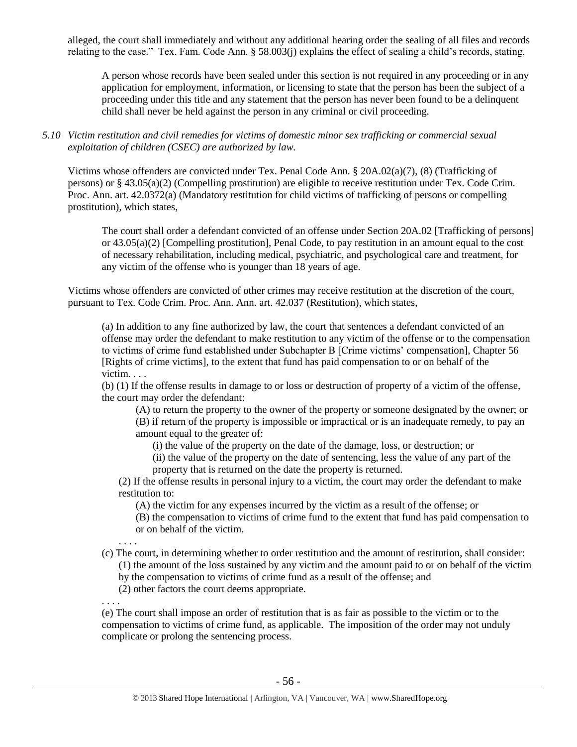alleged, the court shall immediately and without any additional hearing order the sealing of all files and records relating to the case." Tex. Fam. Code Ann. § 58.003(j) explains the effect of sealing a child's records, stating,

A person whose records have been sealed under this section is not required in any proceeding or in any application for employment, information, or licensing to state that the person has been the subject of a proceeding under this title and any statement that the person has never been found to be a delinquent child shall never be held against the person in any criminal or civil proceeding.

*5.10 Victim restitution and civil remedies for victims of domestic minor sex trafficking or commercial sexual exploitation of children (CSEC) are authorized by law.* 

Victims whose offenders are convicted under Tex. Penal Code Ann. § 20A.02(a)(7), (8) (Trafficking of persons) or § 43.05(a)(2) (Compelling prostitution) are eligible to receive restitution under Tex. Code Crim. Proc. Ann. art. 42.0372(a) (Mandatory restitution for child victims of trafficking of persons or compelling prostitution), which states,

The court shall order a defendant convicted of an offense under Section 20A.02 [Trafficking of persons] or 43.05(a)(2) [Compelling prostitution], Penal Code, to pay restitution in an amount equal to the cost of necessary rehabilitation, including medical, psychiatric, and psychological care and treatment, for any victim of the offense who is younger than 18 years of age.

Victims whose offenders are convicted of other crimes may receive restitution at the discretion of the court, pursuant to Tex. Code Crim. Proc. Ann. Ann. art. 42.037 (Restitution), which states,

(a) In addition to any fine authorized by law, the court that sentences a defendant convicted of an offense may order the defendant to make restitution to any victim of the offense or to the compensation to victims of crime fund established under Subchapter B [Crime victims' compensation], Chapter 56 [Rights of crime victims], to the extent that fund has paid compensation to or on behalf of the victim. . . .

(b) (1) If the offense results in damage to or loss or destruction of property of a victim of the offense, the court may order the defendant:

(A) to return the property to the owner of the property or someone designated by the owner; or (B) if return of the property is impossible or impractical or is an inadequate remedy, to pay an amount equal to the greater of:

- (i) the value of the property on the date of the damage, loss, or destruction; or
- (ii) the value of the property on the date of sentencing, less the value of any part of the property that is returned on the date the property is returned.

(2) If the offense results in personal injury to a victim, the court may order the defendant to make restitution to:

- (A) the victim for any expenses incurred by the victim as a result of the offense; or
- (B) the compensation to victims of crime fund to the extent that fund has paid compensation to or on behalf of the victim.
- . . . . (c) The court, in determining whether to order restitution and the amount of restitution, shall consider: (1) the amount of the loss sustained by any victim and the amount paid to or on behalf of the victim by the compensation to victims of crime fund as a result of the offense; and (2) other factors the court deems appropriate.
- . . . . (e) The court shall impose an order of restitution that is as fair as possible to the victim or to the compensation to victims of crime fund, as applicable. The imposition of the order may not unduly complicate or prolong the sentencing process.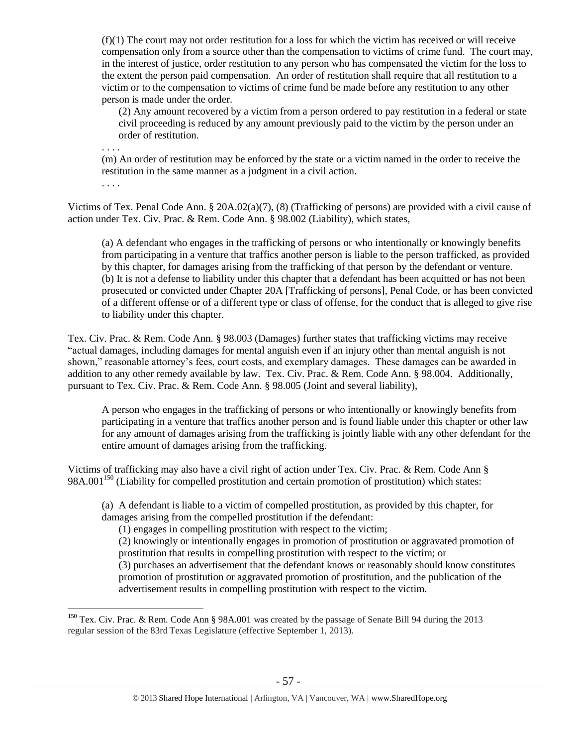$(f)(1)$  The court may not order restitution for a loss for which the victim has received or will receive compensation only from a source other than the compensation to victims of crime fund. The court may, in the interest of justice, order restitution to any person who has compensated the victim for the loss to the extent the person paid compensation. An order of restitution shall require that all restitution to a victim or to the compensation to victims of crime fund be made before any restitution to any other person is made under the order.

(2) Any amount recovered by a victim from a person ordered to pay restitution in a federal or state civil proceeding is reduced by any amount previously paid to the victim by the person under an order of restitution.

. . . .

. . . .

 $\overline{a}$ 

(m) An order of restitution may be enforced by the state or a victim named in the order to receive the restitution in the same manner as a judgment in a civil action.

Victims of Tex. Penal Code Ann. § 20A.02(a)(7), (8) (Trafficking of persons) are provided with a civil cause of action under Tex. Civ. Prac. & Rem. Code Ann. § 98.002 (Liability), which states,

(a) A defendant who engages in the trafficking of persons or who intentionally or knowingly benefits from participating in a venture that traffics another person is liable to the person trafficked, as provided by this chapter, for damages arising from the trafficking of that person by the defendant or venture. (b) It is not a defense to liability under this chapter that a defendant has been acquitted or has not been prosecuted or convicted under Chapter 20A [Trafficking of persons], Penal Code, or has been convicted of a different offense or of a different type or class of offense, for the conduct that is alleged to give rise to liability under this chapter.

Tex. Civ. Prac. & Rem. Code Ann. § 98.003 (Damages) further states that trafficking victims may receive "actual damages, including damages for mental anguish even if an injury other than mental anguish is not shown," reasonable attorney's fees, court costs, and exemplary damages. These damages can be awarded in addition to any other remedy available by law. Tex. Civ. Prac. & Rem. Code Ann. § 98.004. Additionally, pursuant to Tex. Civ. Prac. & Rem. Code Ann. § 98.005 (Joint and several liability),

A person who engages in the trafficking of persons or who intentionally or knowingly benefits from participating in a venture that traffics another person and is found liable under this chapter or other law for any amount of damages arising from the trafficking is jointly liable with any other defendant for the entire amount of damages arising from the trafficking.

Victims of trafficking may also have a civil right of action under Tex. Civ. Prac. & Rem. Code Ann §  $98A.001<sup>150</sup>$  (Liability for compelled prostitution and certain promotion of prostitution) which states:

(a) A defendant is liable to a victim of compelled prostitution, as provided by this chapter, for damages arising from the compelled prostitution if the defendant:

(1) engages in compelling prostitution with respect to the victim;

(2) knowingly or intentionally engages in promotion of prostitution or aggravated promotion of prostitution that results in compelling prostitution with respect to the victim; or (3) purchases an advertisement that the defendant knows or reasonably should know constitutes promotion of prostitution or aggravated promotion of prostitution, and the publication of the advertisement results in compelling prostitution with respect to the victim.

<sup>&</sup>lt;sup>150</sup> Tex. Civ. Prac. & Rem. Code Ann § 98A.001 was created by the passage of Senate Bill 94 during the 2013 regular session of the 83rd Texas Legislature (effective September 1, 2013).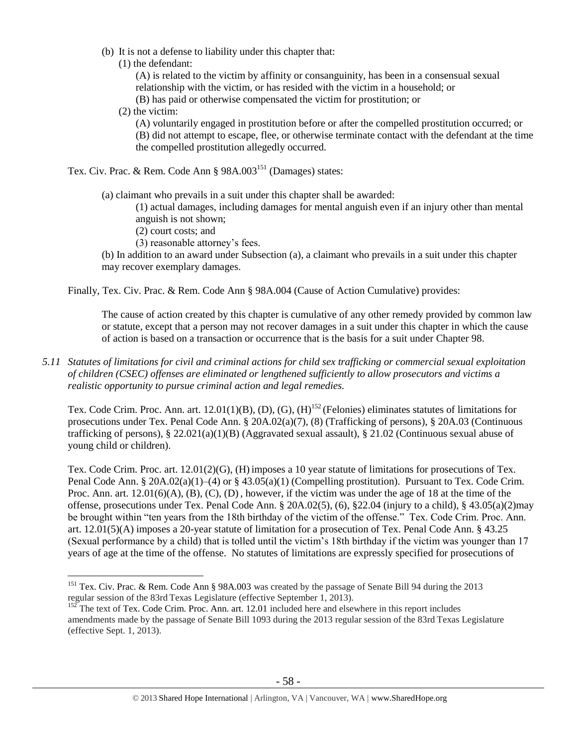- (b) It is not a defense to liability under this chapter that:
	- (1) the defendant:

(A) is related to the victim by affinity or consanguinity, has been in a consensual sexual relationship with the victim, or has resided with the victim in a household; or (B) has paid or otherwise compensated the victim for prostitution; or

(2) the victim:

 $\overline{a}$ 

(A) voluntarily engaged in prostitution before or after the compelled prostitution occurred; or (B) did not attempt to escape, flee, or otherwise terminate contact with the defendant at the time the compelled prostitution allegedly occurred.

- Tex. Civ. Prac. & Rem. Code Ann § 98A.003<sup>151</sup> (Damages) states:
	- (a) claimant who prevails in a suit under this chapter shall be awarded:

(1) actual damages, including damages for mental anguish even if an injury other than mental anguish is not shown;

- (2) court costs; and
- (3) reasonable attorney's fees.

(b) In addition to an award under Subsection (a), a claimant who prevails in a suit under this chapter may recover exemplary damages.

Finally, Tex. Civ. Prac. & Rem. Code Ann § 98A.004 (Cause of Action Cumulative) provides:

The cause of action created by this chapter is cumulative of any other remedy provided by common law or statute, except that a person may not recover damages in a suit under this chapter in which the cause of action is based on a transaction or occurrence that is the basis for a suit under Chapter 98.

*5.11 Statutes of limitations for civil and criminal actions for child sex trafficking or commercial sexual exploitation of children (CSEC) offenses are eliminated or lengthened sufficiently to allow prosecutors and victims a realistic opportunity to pursue criminal action and legal remedies.*

Tex. Code Crim. Proc. Ann. art.  $12.01(1)(B)$ , (D), (G), (H)<sup>152</sup> (Felonies) eliminates statutes of limitations for prosecutions under Tex. Penal Code Ann. § 20A.02(a)(7), (8) (Trafficking of persons), § 20A.03 (Continuous trafficking of persons), § 22.021(a)(1)(B) (Aggravated sexual assault), § 21.02 (Continuous sexual abuse of young child or children).

Tex. Code Crim. Proc. art. 12.01(2)(G), (H) imposes a 10 year statute of limitations for prosecutions of Tex. Penal Code Ann. § 20A.02(a)(1)–(4) or § 43.05(a)(1) (Compelling prostitution). Pursuant to Tex. Code Crim. Proc. Ann. art.  $12.01(6)(A)$ , (B), (C), (D), however, if the victim was under the age of 18 at the time of the offense, prosecutions under Tex. Penal Code Ann. § 20A.02(5), (6), §22.04 (injury to a child), § 43.05(a)(2)may be brought within "ten years from the 18th birthday of the victim of the offense." Tex. Code Crim. Proc. Ann. art. 12.01(5)(A) imposes a 20-year statute of limitation for a prosecution of Tex. Penal Code Ann. § 43.25 (Sexual performance by a child) that is tolled until the victim's 18th birthday if the victim was younger than 17 years of age at the time of the offense. No statutes of limitations are expressly specified for prosecutions of

<sup>&</sup>lt;sup>151</sup> Tex. Civ. Prac. & Rem. Code Ann § 98A.003 was created by the passage of Senate Bill 94 during the 2013 regular session of the 83rd Texas Legislature (effective September 1, 2013).

 $152$  The text of Tex. Code Crim. Proc. Ann. art. 12.01 included here and elsewhere in this report includes amendments made by the passage of Senate Bill 1093 during the 2013 regular session of the 83rd Texas Legislature (effective Sept. 1, 2013).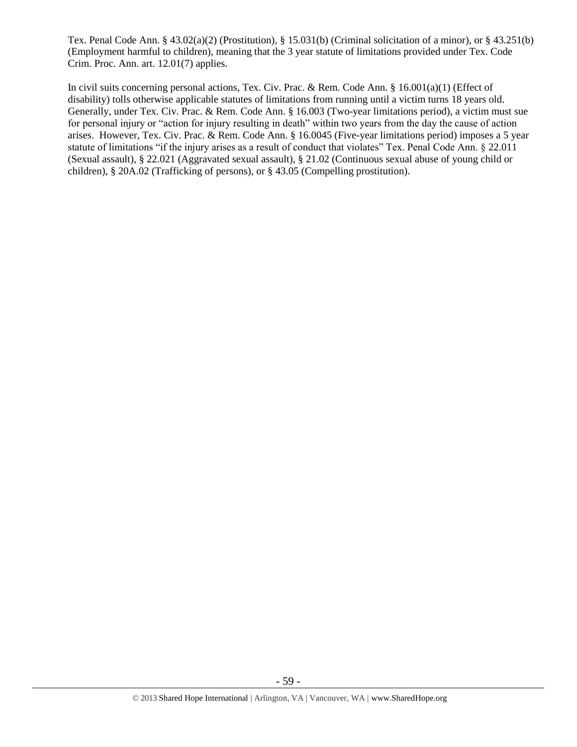Tex. Penal Code Ann. § 43.02(a)(2) (Prostitution), § 15.031(b) (Criminal solicitation of a minor), or § 43.251(b) (Employment harmful to children), meaning that the 3 year statute of limitations provided under Tex. Code Crim. Proc. Ann. art. 12.01(7) applies.

In civil suits concerning personal actions, Tex. Civ. Prac. & Rem. Code Ann. § 16.001(a)(1) (Effect of disability) tolls otherwise applicable statutes of limitations from running until a victim turns 18 years old. Generally, under Tex. Civ. Prac. & Rem. Code Ann. § 16.003 (Two-year limitations period), a victim must sue for personal injury or "action for injury resulting in death" within two years from the day the cause of action arises. However, Tex. Civ. Prac. & Rem. Code Ann. § 16.0045 (Five-year limitations period) imposes a 5 year statute of limitations "if the injury arises as a result of conduct that violates" Tex. Penal Code Ann. § 22.011 (Sexual assault), § 22.021 (Aggravated sexual assault), § 21.02 (Continuous sexual abuse of young child or children), § 20A.02 (Trafficking of persons), or § 43.05 (Compelling prostitution).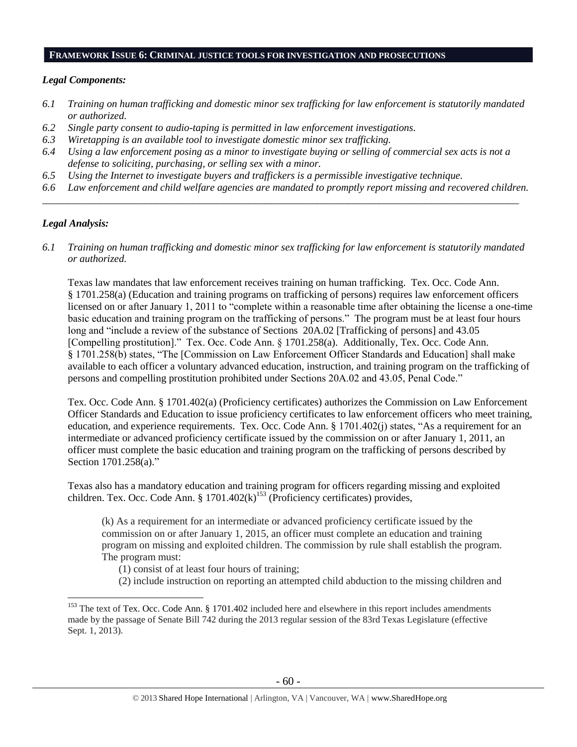#### **FRAMEWORK ISSUE 6: CRIMINAL JUSTICE TOOLS FOR INVESTIGATION AND PROSECUTIONS**

## *Legal Components:*

- *6.1 Training on human trafficking and domestic minor sex trafficking for law enforcement is statutorily mandated or authorized.*
- *6.2 Single party consent to audio-taping is permitted in law enforcement investigations.*
- *6.3 Wiretapping is an available tool to investigate domestic minor sex trafficking.*
- *6.4 Using a law enforcement posing as a minor to investigate buying or selling of commercial sex acts is not a defense to soliciting, purchasing, or selling sex with a minor.*
- *6.5 Using the Internet to investigate buyers and traffickers is a permissible investigative technique.*
- *6.6 Law enforcement and child welfare agencies are mandated to promptly report missing and recovered children. \_\_\_\_\_\_\_\_\_\_\_\_\_\_\_\_\_\_\_\_\_\_\_\_\_\_\_\_\_\_\_\_\_\_\_\_\_\_\_\_\_\_\_\_\_\_\_\_\_\_\_\_\_\_\_\_\_\_\_\_\_\_\_\_\_\_\_\_\_\_\_\_\_\_\_\_\_\_\_\_\_\_\_\_\_\_\_\_\_\_\_\_*

#### *Legal Analysis:*

 $\overline{a}$ 

*6.1 Training on human trafficking and domestic minor sex trafficking for law enforcement is statutorily mandated or authorized.*

Texas law mandates that law enforcement receives training on human trafficking. Tex. Occ. Code Ann. § 1701.258(a) (Education and training programs on trafficking of persons) requires law enforcement officers licensed on or after January 1, 2011 to "complete within a reasonable time after obtaining the license a one-time basic education and training program on the trafficking of persons." The program must be at least four hours long and "include a review of the substance of Sections 20A.02 [Trafficking of persons] and 43.05 [Compelling prostitution]." Tex. Occ. Code Ann. § 1701.258(a). Additionally, Tex. Occ. Code Ann. § 1701.258(b) states, "The [Commission on Law Enforcement Officer Standards and Education] shall make available to each officer a voluntary advanced education, instruction, and training program on the trafficking of persons and compelling prostitution prohibited under Sections 20A.02 and 43.05, Penal Code."

Tex. Occ. Code Ann. § 1701.402(a) (Proficiency certificates) authorizes the Commission on Law Enforcement Officer Standards and Education to issue proficiency certificates to law enforcement officers who meet training, education, and experience requirements. Tex. Occ. Code Ann. § 1701.402(j) states, "As a requirement for an intermediate or advanced proficiency certificate issued by the commission on or after January 1, 2011, an officer must complete the basic education and training program on the trafficking of persons described by Section 1701.258(a)."

Texas also has a mandatory education and training program for officers regarding missing and exploited children. Tex. Occ. Code Ann. §  $1701.402(k)^{153}$  (Proficiency certificates) provides,

<span id="page-59-0"></span>(k) As a requirement for an intermediate or advanced proficiency certificate issued by the commission on or after January 1, 2015, an officer must complete an education and training program on missing and exploited children. The commission by rule shall establish the program. The program must:

(1) consist of at least four hours of training;

(2) include instruction on reporting an attempted child abduction to the missing children and

<sup>&</sup>lt;sup>153</sup> The text of Tex. Occ. Code Ann. § 1701.402 included here and elsewhere in this report includes amendments made by the passage of Senate Bill 742 during the 2013 regular session of the 83rd Texas Legislature (effective Sept. 1, 2013).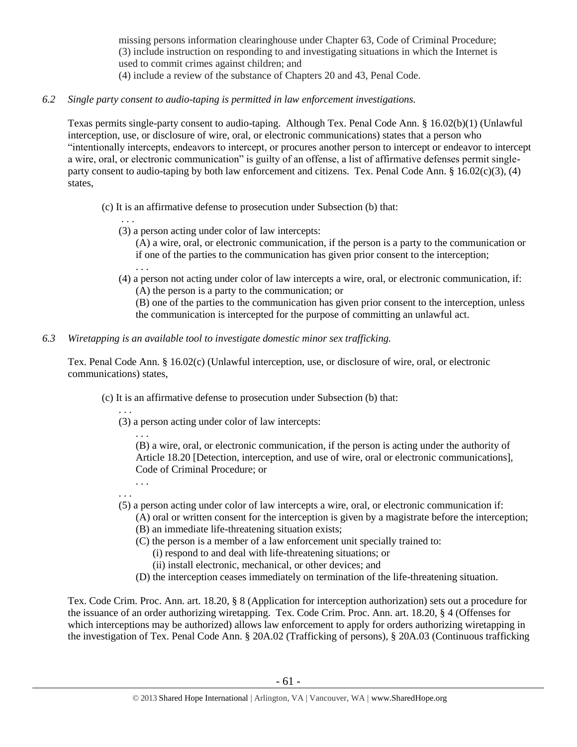missing persons information clearinghouse under Chapter 63, Code of Criminal Procedure; (3) include instruction on responding to and investigating situations in which the Internet is used to commit crimes against children; and (4) include a review of the substance of Chapters 20 and 43, Penal Code.

*6.2 Single party consent to audio-taping is permitted in law enforcement investigations.*

Texas permits single-party consent to audio-taping. Although Tex. Penal Code Ann. § 16.02(b)(1) (Unlawful interception, use, or disclosure of wire, oral, or electronic communications) states that a person who "intentionally intercepts, endeavors to intercept, or procures another person to intercept or endeavor to intercept a wire, oral, or electronic communication" is guilty of an offense, a list of affirmative defenses permit singleparty consent to audio-taping by both law enforcement and citizens. Tex. Penal Code Ann. § 16.02(c)(3), (4) states,

(c) It is an affirmative defense to prosecution under Subsection (b) that:

- (3) a person acting under color of law intercepts:
	- (A) a wire, oral, or electronic communication, if the person is a party to the communication or if one of the parties to the communication has given prior consent to the interception;
- (4) a person not acting under color of law intercepts a wire, oral, or electronic communication, if: (A) the person is a party to the communication; or
	- (B) one of the parties to the communication has given prior consent to the interception, unless the communication is intercepted for the purpose of committing an unlawful act.
- *6.3 Wiretapping is an available tool to investigate domestic minor sex trafficking.*

Tex. Penal Code Ann. § 16.02(c) (Unlawful interception, use, or disclosure of wire, oral, or electronic communications) states,

- (c) It is an affirmative defense to prosecution under Subsection (b) that:
	- . . . (3) a person acting under color of law intercepts:
		- . . .

. . .

. . .

(B) a wire, oral, or electronic communication, if the person is acting under the authority of Article 18.20 [Detection, interception, and use of wire, oral or electronic communications], Code of Criminal Procedure; or

- . . . . . .
- (5) a person acting under color of law intercepts a wire, oral, or electronic communication if:
	- (A) oral or written consent for the interception is given by a magistrate before the interception; (B) an immediate life-threatening situation exists;
	- (C) the person is a member of a law enforcement unit specially trained to:
		- (i) respond to and deal with life-threatening situations; or
		- (ii) install electronic, mechanical, or other devices; and
	- (D) the interception ceases immediately on termination of the life-threatening situation.

Tex. Code Crim. Proc. Ann. art. 18.20, § 8 (Application for interception authorization) sets out a procedure for the issuance of an order authorizing wiretapping. Tex. Code Crim. Proc. Ann. art. 18.20, § 4 (Offenses for which interceptions may be authorized) allows law enforcement to apply for orders authorizing wiretapping in the investigation of Tex. Penal Code Ann. § 20A.02 (Trafficking of persons), § 20A.03 (Continuous trafficking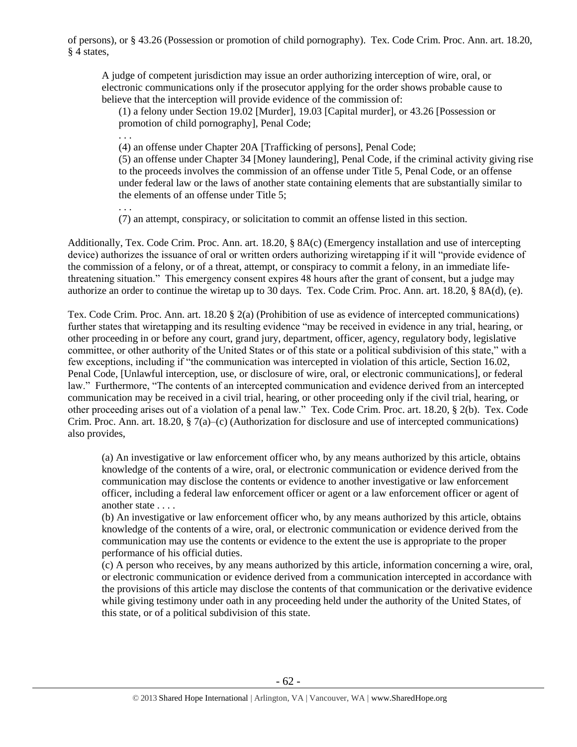of persons), or § 43.26 (Possession or promotion of child pornography). Tex. Code Crim. Proc. Ann. art. 18.20, § 4 states,

A judge of competent jurisdiction may issue an order authorizing interception of wire, oral, or electronic communications only if the prosecutor applying for the order shows probable cause to believe that the interception will provide evidence of the commission of:

(1) a felony under Section 19.02 [Murder], 19.03 [Capital murder], or 43.26 [Possession or promotion of child pornography], Penal Code;

(4) an offense under Chapter 20A [Trafficking of persons], Penal Code;

. . .

(5) an offense under Chapter 34 [Money laundering], Penal Code, if the criminal activity giving rise to the proceeds involves the commission of an offense under Title 5, Penal Code, or an offense under federal law or the laws of another state containing elements that are substantially similar to the elements of an offense under Title 5;

. . . (7) an attempt, conspiracy, or solicitation to commit an offense listed in this section.

Additionally, Tex. Code Crim. Proc. Ann. art. 18.20, § 8A(c) (Emergency installation and use of intercepting device) authorizes the issuance of oral or written orders authorizing wiretapping if it will "provide evidence of the commission of a felony, or of a threat, attempt, or conspiracy to commit a felony, in an immediate lifethreatening situation." This emergency consent expires 48 hours after the grant of consent, but a judge may authorize an order to continue the wiretap up to 30 days. Tex. Code Crim. Proc. Ann. art. 18.20, § 8A(d), (e).

Tex. Code Crim. Proc. Ann. art. 18.20 § 2(a) (Prohibition of use as evidence of intercepted communications) further states that wiretapping and its resulting evidence "may be received in evidence in any trial, hearing, or other proceeding in or before any court, grand jury, department, officer, agency, regulatory body, legislative committee, or other authority of the United States or of this state or a political subdivision of this state," with a few exceptions, including if "the communication was intercepted in violation of this article, Section 16.02, Penal Code, [Unlawful interception, use, or disclosure of wire, oral, or electronic communications], or federal law." Furthermore, "The contents of an intercepted communication and evidence derived from an intercepted communication may be received in a civil trial, hearing, or other proceeding only if the civil trial, hearing, or other proceeding arises out of a violation of a penal law." Tex. Code Crim. Proc. art. 18.20, § 2(b). Tex. Code Crim. Proc. Ann. art. 18.20, § 7(a)–(c) (Authorization for disclosure and use of intercepted communications) also provides,

(a) An investigative or law enforcement officer who, by any means authorized by this article, obtains knowledge of the contents of a wire, oral, or electronic communication or evidence derived from the communication may disclose the contents or evidence to another investigative or law enforcement officer, including a federal law enforcement officer or agent or a law enforcement officer or agent of another state . . . .

(b) An investigative or law enforcement officer who, by any means authorized by this article, obtains knowledge of the contents of a wire, oral, or electronic communication or evidence derived from the communication may use the contents or evidence to the extent the use is appropriate to the proper performance of his official duties.

(c) A person who receives, by any means authorized by this article, information concerning a wire, oral, or electronic communication or evidence derived from a communication intercepted in accordance with the provisions of this article may disclose the contents of that communication or the derivative evidence while giving testimony under oath in any proceeding held under the authority of the United States, of this state, or of a political subdivision of this state.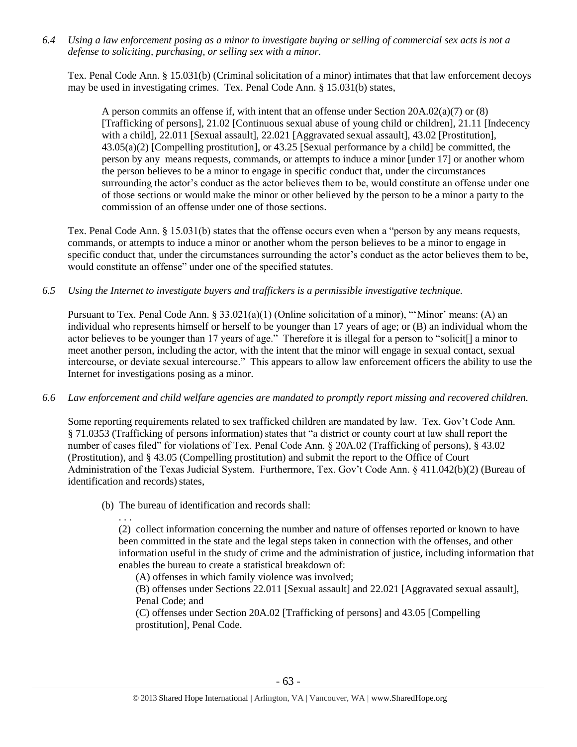*6.4 Using a law enforcement posing as a minor to investigate buying or selling of commercial sex acts is not a defense to soliciting, purchasing, or selling sex with a minor.*

Tex. Penal Code Ann. § 15.031(b) (Criminal solicitation of a minor) intimates that that law enforcement decoys may be used in investigating crimes. Tex. Penal Code Ann. § 15.031(b) states,

A person commits an offense if, with intent that an offense under Section 20A.02(a)(7) or (8) [Trafficking of persons], 21.02 [Continuous sexual abuse of young child or children], 21.11 [Indecency with a child], 22.011 [Sexual assault], 22.021 [Aggravated sexual assault], 43.02 [Prostitution], 43.05(a)(2) [Compelling prostitution], or 43.25 [Sexual performance by a child] be committed, the person by any means requests, commands, or attempts to induce a minor [under 17] or another whom the person believes to be a minor to engage in specific conduct that, under the circumstances surrounding the actor's conduct as the actor believes them to be, would constitute an offense under one of those sections or would make the minor or other believed by the person to be a minor a party to the commission of an offense under one of those sections.

Tex. Penal Code Ann. § 15.031(b) states that the offense occurs even when a "person by any means requests, commands, or attempts to induce a minor or another whom the person believes to be a minor to engage in specific conduct that, under the circumstances surrounding the actor's conduct as the actor believes them to be, would constitute an offense" under one of the specified statutes.

*6.5 Using the Internet to investigate buyers and traffickers is a permissible investigative technique.*

Pursuant to Tex. Penal Code Ann. § 33.021(a)(1) (Online solicitation of a minor), "'Minor' means: (A) an individual who represents himself or herself to be younger than 17 years of age; or (B) an individual whom the actor believes to be younger than 17 years of age." Therefore it is illegal for a person to "solicit[] a minor to meet another person, including the actor, with the intent that the minor will engage in sexual contact, sexual intercourse, or deviate sexual intercourse." This appears to allow law enforcement officers the ability to use the Internet for investigations posing as a minor.

*6.6 Law enforcement and child welfare agencies are mandated to promptly report missing and recovered children.*

Some reporting requirements related to sex trafficked children are mandated by law. Tex. Gov't Code Ann. § 71.0353 (Trafficking of persons information) states that "a district or county court at law shall report the number of cases filed" for violations of Tex. Penal Code Ann. § 20A.02 (Trafficking of persons), § 43.02 (Prostitution), and § 43.05 (Compelling prostitution) and submit the report to the Office of Court Administration of the Texas Judicial System. Furthermore, Tex. Gov't Code Ann. § 411.042(b)(2) (Bureau of identification and records) states,

(b) The bureau of identification and records shall:

. . . (2) collect information concerning the number and nature of offenses reported or known to have been committed in the state and the legal steps taken in connection with the offenses, and other information useful in the study of crime and the administration of justice, including information that enables the bureau to create a statistical breakdown of:

(A) offenses in which family violence was involved;

(B) offenses under Sections 22.011 [Sexual assault] and 22.021 [Aggravated sexual assault], Penal Code; and

(C) offenses under Section 20A.02 [Trafficking of persons] and 43.05 [Compelling prostitution], Penal Code.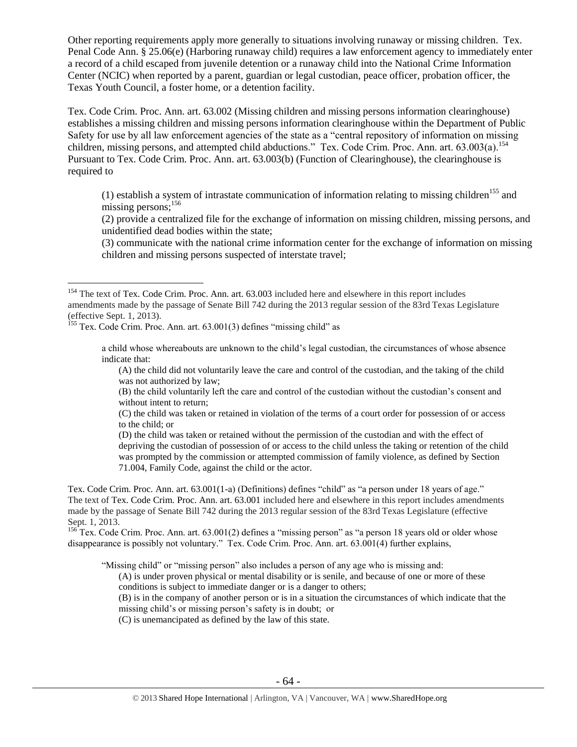Other reporting requirements apply more generally to situations involving runaway or missing children. Tex. Penal Code Ann. § 25.06(e) (Harboring runaway child) requires a law enforcement agency to immediately enter a record of a child escaped from juvenile detention or a runaway child into the National Crime Information Center (NCIC) when reported by a parent, guardian or legal custodian, peace officer, probation officer, the Texas Youth Council, a foster home, or a detention facility.

Tex. Code Crim. Proc. Ann. art. 63.002 (Missing children and missing persons information clearinghouse) establishes a missing children and missing persons information clearinghouse within the Department of Public Safety for use by all law enforcement agencies of the state as a "central repository of information on missing children, missing persons, and attempted child abductions." Tex. Code Crim. Proc. Ann. art. 63.003(a).<sup>154</sup> Pursuant to Tex. Code Crim. Proc. Ann. art. 63.003(b) (Function of Clearinghouse), the clearinghouse is required to

(1) establish a system of intrastate communication of information relating to missing children<sup>155</sup> and missing persons:<sup>156</sup>

(2) provide a centralized file for the exchange of information on missing children, missing persons, and unidentified dead bodies within the state;

(3) communicate with the national crime information center for the exchange of information on missing children and missing persons suspected of interstate travel;

<sup>155</sup> Tex. Code Crim. Proc. Ann. art. 63.001(3) defines "missing child" as

 $\overline{a}$ 

a child whose whereabouts are unknown to the child's legal custodian, the circumstances of whose absence indicate that:

(A) the child did not voluntarily leave the care and control of the custodian, and the taking of the child was not authorized by law;

(B) the child voluntarily left the care and control of the custodian without the custodian's consent and without intent to return;

(C) the child was taken or retained in violation of the terms of a court order for possession of or access to the child; or

(D) the child was taken or retained without the permission of the custodian and with the effect of depriving the custodian of possession of or access to the child unless the taking or retention of the child was prompted by the commission or attempted commission of family violence, as defined by Section 71.004, Family Code, against the child or the actor.

Tex. Code Crim. Proc. Ann. art. 63.001(1-a) (Definitions) defines "child" as "a person under 18 years of age." The text of Tex. Code Crim. Proc. Ann. art. 63.001 included here and elsewhere in this report includes amendments made by the passage of Senate Bill 742 during the 2013 regular session of the 83rd Texas Legislature (effective Sept. 1, 2013.

 $156$  Tex. Code Crim. Proc. Ann. art. 63.001(2) defines a "missing person" as "a person 18 years old or older whose disappearance is possibly not voluntary." Tex. Code Crim. Proc. Ann. art. 63.001(4) further explains,

"Missing child" or "missing person" also includes a person of any age who is missing and:

(A) is under proven physical or mental disability or is senile, and because of one or more of these conditions is subject to immediate danger or is a danger to others;

(B) is in the company of another person or is in a situation the circumstances of which indicate that the missing child's or missing person's safety is in doubt; or

(C) is unemancipated as defined by the law of this state.

<sup>&</sup>lt;sup>154</sup> The text of Tex. Code Crim. Proc. Ann. art. 63.003 included here and elsewhere in this report includes amendments made by the passage of Senate Bill 742 during the 2013 regular session of the 83rd Texas Legislature (effective Sept. 1, 2013).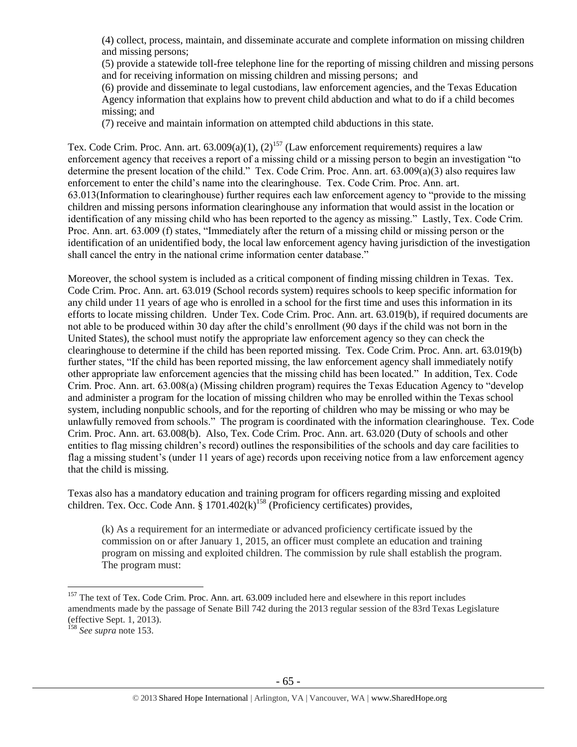(4) collect, process, maintain, and disseminate accurate and complete information on missing children and missing persons;

(5) provide a statewide toll-free telephone line for the reporting of missing children and missing persons and for receiving information on missing children and missing persons; and

(6) provide and disseminate to legal custodians, law enforcement agencies, and the Texas Education Agency information that explains how to prevent child abduction and what to do if a child becomes missing; and

(7) receive and maintain information on attempted child abductions in this state.

Tex. Code Crim. Proc. Ann. art.  $63.009(a)(1)$ ,  $(2)^{157}$  (Law enforcement requirements) requires a law enforcement agency that receives a report of a missing child or a missing person to begin an investigation "to determine the present location of the child." Tex. Code Crim. Proc. Ann. art. 63.009(a)(3) also requires law enforcement to enter the child's name into the clearinghouse. Tex. Code Crim. Proc. Ann. art. 63.013(Information to clearinghouse) further requires each law enforcement agency to "provide to the missing children and missing persons information clearinghouse any information that would assist in the location or identification of any missing child who has been reported to the agency as missing." Lastly, Tex. Code Crim. Proc. Ann. art. 63.009 (f) states, "Immediately after the return of a missing child or missing person or the identification of an unidentified body, the local law enforcement agency having jurisdiction of the investigation shall cancel the entry in the national crime information center database."

Moreover, the school system is included as a critical component of finding missing children in Texas. Tex. Code Crim. Proc. Ann. art. 63.019 (School records system) requires schools to keep specific information for any child under 11 years of age who is enrolled in a school for the first time and uses this information in its efforts to locate missing children. Under Tex. Code Crim. Proc. Ann. art. 63.019(b), if required documents are not able to be produced within 30 day after the child's enrollment (90 days if the child was not born in the United States), the school must notify the appropriate law enforcement agency so they can check the clearinghouse to determine if the child has been reported missing. Tex. Code Crim. Proc. Ann. art. 63.019(b) further states, "If the child has been reported missing, the law enforcement agency shall immediately notify other appropriate law enforcement agencies that the missing child has been located." In addition, Tex. Code Crim. Proc. Ann. art. 63.008(a) (Missing children program) requires the Texas Education Agency to "develop and administer a program for the location of missing children who may be enrolled within the Texas school system, including nonpublic schools, and for the reporting of children who may be missing or who may be unlawfully removed from schools." The program is coordinated with the information clearinghouse. Tex. Code Crim. Proc. Ann. art. 63.008(b). Also, Tex. Code Crim. Proc. Ann. art. 63.020 (Duty of schools and other entities to flag missing children's record) outlines the responsibilities of the schools and day care facilities to flag a missing student's (under 11 years of age) records upon receiving notice from a law enforcement agency that the child is missing.

Texas also has a mandatory education and training program for officers regarding missing and exploited children. Tex. Occ. Code Ann. § 1701.402 $(k)$ <sup>158</sup> (Proficiency certificates) provides,

(k) As a requirement for an intermediate or advanced proficiency certificate issued by the commission on or after January 1, 2015, an officer must complete an education and training program on missing and exploited children. The commission by rule shall establish the program. The program must:

<sup>&</sup>lt;sup>157</sup> The text of Tex. Code Crim. Proc. Ann. art. 63.009 included here and elsewhere in this report includes amendments made by the passage of Senate Bill 742 during the 2013 regular session of the 83rd Texas Legislature (effective Sept. 1, 2013).

<sup>158</sup> *See supra* not[e 153.](#page-59-0)